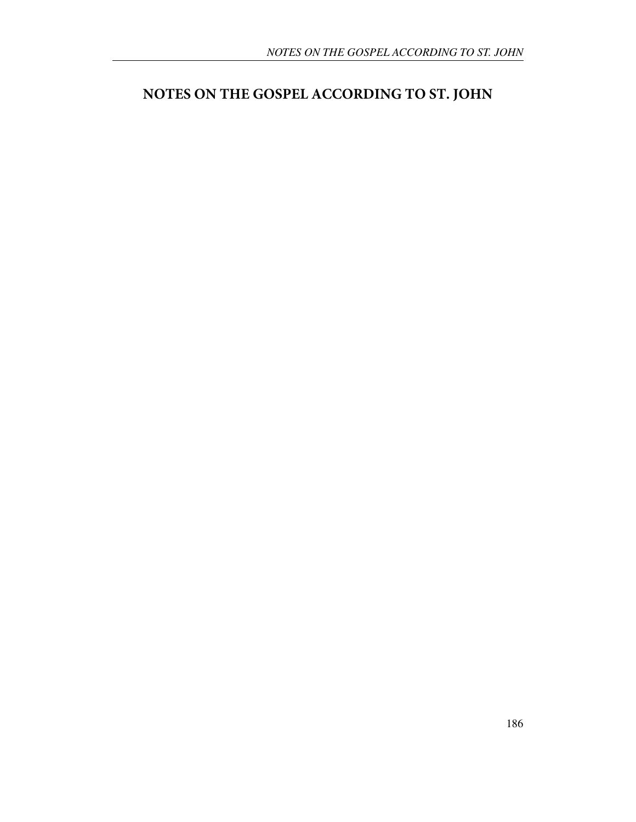# **NOTES ON THE GOSPEL ACCORDING TO ST. JOHN**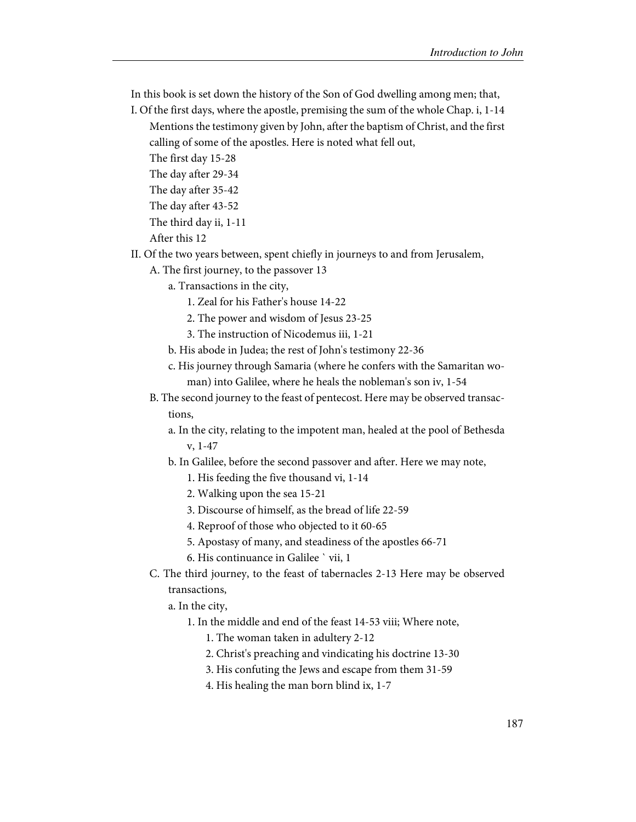In this book is set down the history of the Son of God dwelling among men; that,

- I. Of the first days, where the apostle, premising the sum of the whole Chap. i, 1-14 Mentions the testimony given by John, after the baptism of Christ, and the first calling of some of the apostles. Here is noted what fell out,
	- The first day 15-28
	- The day after 29-34
	- The day after 35-42
	- The day after 43-52
	- The third day ii, 1-11
	- After this 12
- II. Of the two years between, spent chiefly in journeys to and from Jerusalem,
	- A. The first journey, to the passover 13
		- a. Transactions in the city,
			- 1. Zeal for his Father's house 14-22
			- 2. The power and wisdom of Jesus 23-25
			- 3. The instruction of Nicodemus iii, 1-21
		- b. His abode in Judea; the rest of John's testimony 22-36
		- c. His journey through Samaria (where he confers with the Samaritan woman) into Galilee, where he heals the nobleman's son iv, 1-54
	- B. The second journey to the feast of pentecost. Here may be observed transactions,
		- a. In the city, relating to the impotent man, healed at the pool of Bethesda v, 1-47
		- b. In Galilee, before the second passover and after. Here we may note,
			- 1. His feeding the five thousand vi, 1-14
			- 2. Walking upon the sea 15-21
			- 3. Discourse of himself, as the bread of life 22-59
			- 4. Reproof of those who objected to it 60-65
			- 5. Apostasy of many, and steadiness of the apostles 66-71
			- 6. His continuance in Galilee ` vii, 1
	- C. The third journey, to the feast of tabernacles 2-13 Here may be observed transactions,

#### a. In the city,

- 1. In the middle and end of the feast 14-53 viii; Where note,
	- 1. The woman taken in adultery 2-12
	- 2. Christ's preaching and vindicating his doctrine 13-30
	- 3. His confuting the Jews and escape from them 31-59
	- 4. His healing the man born blind ix, 1-7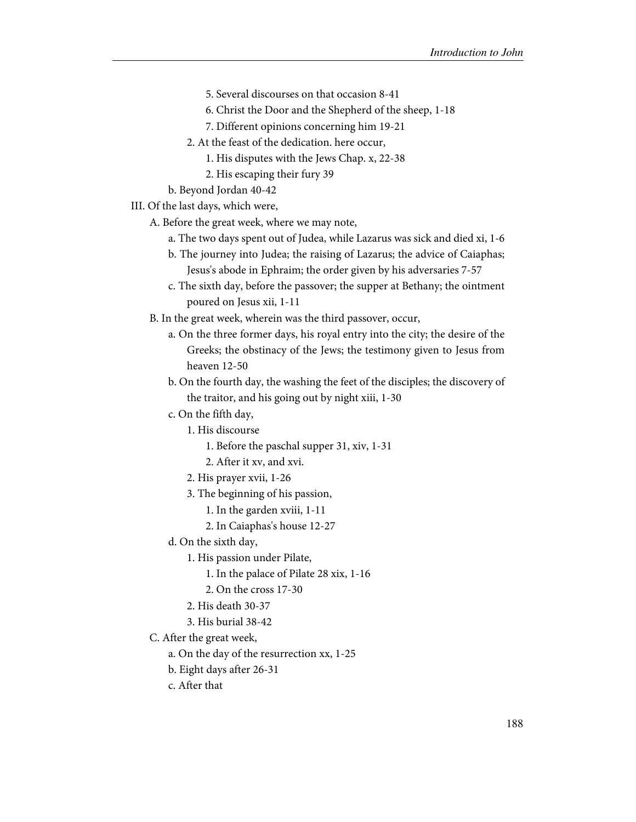- 5. Several discourses on that occasion 8-41
- 6. Christ the Door and the Shepherd of the sheep, 1-18
- 7. Different opinions concerning him 19-21
- 2. At the feast of the dedication. here occur,
	- 1. His disputes with the Jews Chap. x, 22-38
	- 2. His escaping their fury 39
- b. Beyond Jordan 40-42
- III. Of the last days, which were,
	- A. Before the great week, where we may note,
		- a. The two days spent out of Judea, while Lazarus was sick and died xi, 1-6
		- b. The journey into Judea; the raising of Lazarus; the advice of Caiaphas; Jesus's abode in Ephraim; the order given by his adversaries 7-57
		- c. The sixth day, before the passover; the supper at Bethany; the ointment poured on Jesus xii, 1-11
	- B. In the great week, wherein was the third passover, occur,
		- a. On the three former days, his royal entry into the city; the desire of the Greeks; the obstinacy of the Jews; the testimony given to Jesus from heaven 12-50
		- b. On the fourth day, the washing the feet of the disciples; the discovery of the traitor, and his going out by night xiii, 1-30
		- c. On the fifth day,
			- 1. His discourse
				- 1. Before the paschal supper 31, xiv, 1-31
				- 2. After it xv, and xvi.
			- 2. His prayer xvii, 1-26
			- 3. The beginning of his passion,
				- 1. In the garden xviii, 1-11
				- 2. In Caiaphas's house 12-27
		- d. On the sixth day,
			- 1. His passion under Pilate,
				- 1. In the palace of Pilate 28 xix, 1-16
				- 2. On the cross 17-30
			- 2. His death 30-37
			- 3. His burial 38-42
	- C. After the great week,
		- a. On the day of the resurrection xx, 1-25
		- b. Eight days after 26-31
		- c. After that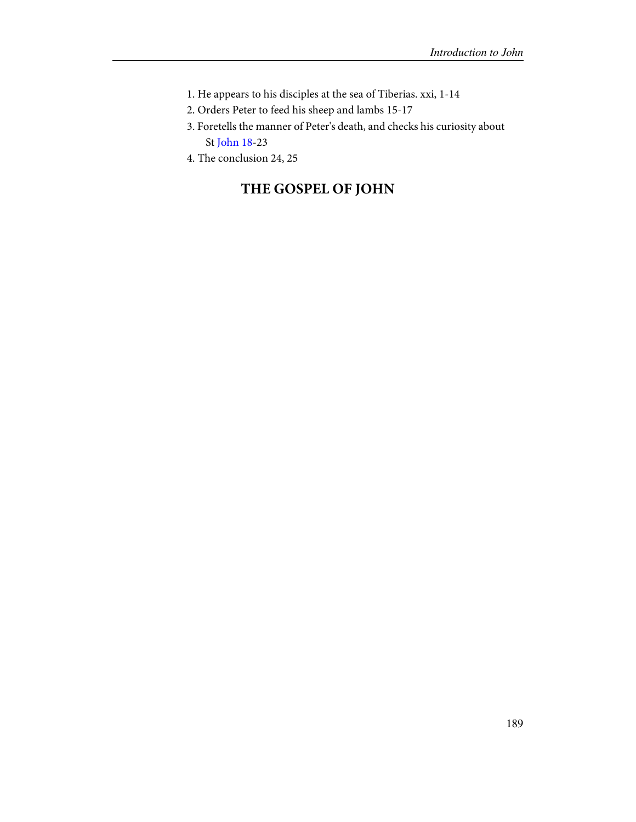- 1. He appears to his disciples at the sea of Tiberias. xxi, 1-14
- 2. Orders Peter to feed his sheep and lambs 15-17
- 3. Foretells the manner of Peter's death, and checks his curiosity about St [John 18](http://www.ccel.org/study/Bible:John.18)-23
- 4. The conclusion 24, 25

## **THE GOSPEL OF JOHN**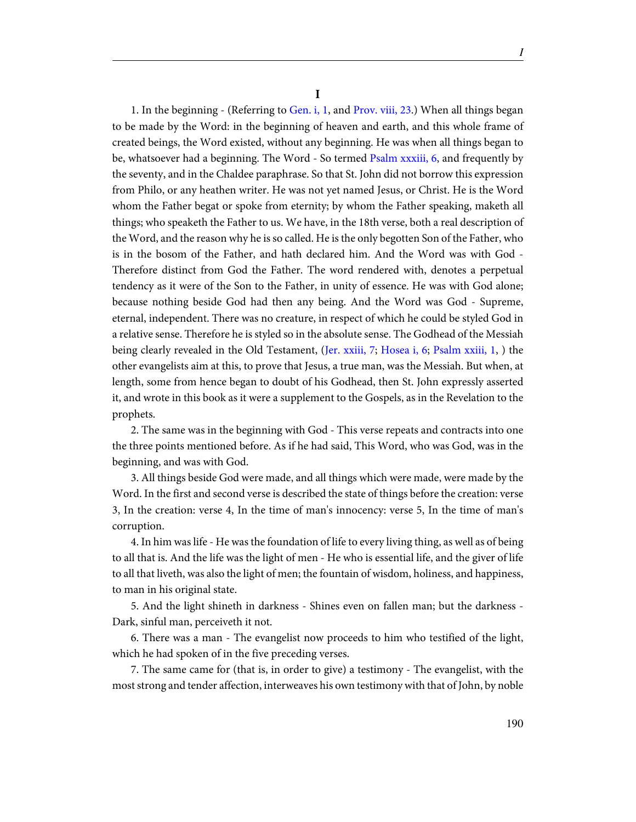**I**

1. In the beginning - (Referring to [Gen. i, 1,](http://www.ccel.org/study/Bible:Gen.1.1) and [Prov. viii, 23.](http://www.ccel.org/study/Bible:Prov.8.23)) When all things began to be made by the Word: in the beginning of heaven and earth, and this whole frame of created beings, the Word existed, without any beginning. He was when all things began to be, whatsoever had a beginning. The Word - So termed [Psalm xxxiii, 6,](http://www.ccel.org/study/Bible:Ps.33.6) and frequently by the seventy, and in the Chaldee paraphrase. So that St. John did not borrow this expression from Philo, or any heathen writer. He was not yet named Jesus, or Christ. He is the Word whom the Father begat or spoke from eternity; by whom the Father speaking, maketh all things; who speaketh the Father to us. We have, in the 18th verse, both a real description of the Word, and the reason why he is so called. He is the only begotten Son of the Father, who is in the bosom of the Father, and hath declared him. And the Word was with God - Therefore distinct from God the Father. The word rendered with, denotes a perpetual tendency as it were of the Son to the Father, in unity of essence. He was with God alone; because nothing beside God had then any being. And the Word was God - Supreme, eternal, independent. There was no creature, in respect of which he could be styled God in a relative sense. Therefore he is styled so in the absolute sense. The Godhead of the Messiah being clearly revealed in the Old Testament, ([Jer. xxiii, 7](http://www.ccel.org/study/Bible:Jer.23.7); [Hosea i, 6;](http://www.ccel.org/study/Bible:Hos.1.6) [Psalm xxiii, 1](http://www.ccel.org/study/Bible:Ps.23.1), ) the other evangelists aim at this, to prove that Jesus, a true man, was the Messiah. But when, at length, some from hence began to doubt of his Godhead, then St. John expressly asserted it, and wrote in this book as it were a supplement to the Gospels, as in the Revelation to the prophets.

2. The same was in the beginning with God - This verse repeats and contracts into one the three points mentioned before. As if he had said, This Word, who was God, was in the beginning, and was with God.

3. All things beside God were made, and all things which were made, were made by the Word. In the first and second verse is described the state of things before the creation: verse 3, In the creation: verse 4, In the time of man's innocency: verse 5, In the time of man's corruption.

4. In him was life - He was the foundation of life to every living thing, as well as of being to all that is. And the life was the light of men - He who is essential life, and the giver of life to all that liveth, was also the light of men; the fountain of wisdom, holiness, and happiness, to man in his original state.

5. And the light shineth in darkness - Shines even on fallen man; but the darkness - Dark, sinful man, perceiveth it not.

6. There was a man - The evangelist now proceeds to him who testified of the light, which he had spoken of in the five preceding verses.

7. The same came for (that is, in order to give) a testimony - The evangelist, with the most strong and tender affection, interweaves his own testimony with that of John, by noble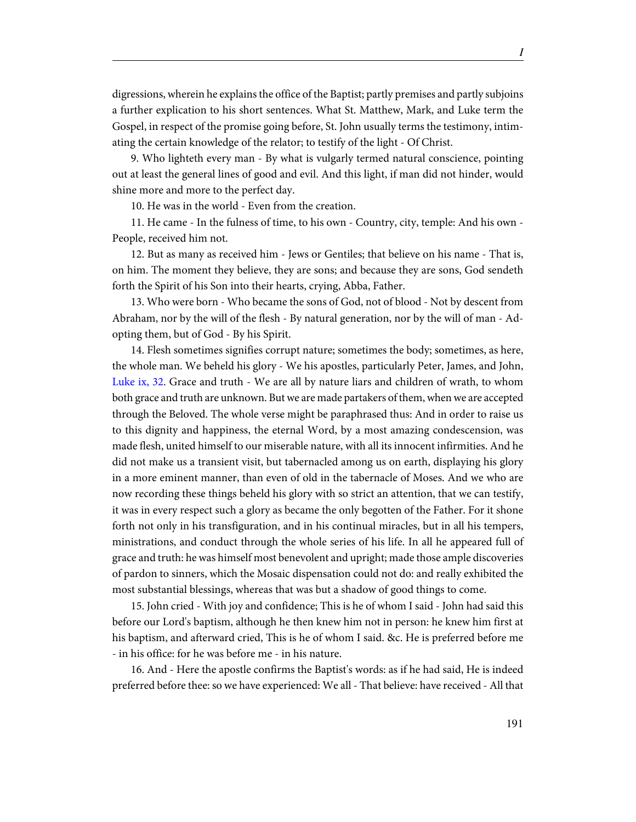digressions, wherein he explains the office of the Baptist; partly premises and partly subjoins a further explication to his short sentences. What St. Matthew, Mark, and Luke term the Gospel, in respect of the promise going before, St. John usually terms the testimony, intimating the certain knowledge of the relator; to testify of the light - Of Christ.

9. Who lighteth every man - By what is vulgarly termed natural conscience, pointing out at least the general lines of good and evil. And this light, if man did not hinder, would shine more and more to the perfect day.

10. He was in the world - Even from the creation.

11. He came - In the fulness of time, to his own - Country, city, temple: And his own - People, received him not.

12. But as many as received him - Jews or Gentiles; that believe on his name - That is, on him. The moment they believe, they are sons; and because they are sons, God sendeth forth the Spirit of his Son into their hearts, crying, Abba, Father.

13. Who were born - Who became the sons of God, not of blood - Not by descent from Abraham, nor by the will of the flesh - By natural generation, nor by the will of man - Adopting them, but of God - By his Spirit.

14. Flesh sometimes signifies corrupt nature; sometimes the body; sometimes, as here, the whole man. We beheld his glory - We his apostles, particularly Peter, James, and John, [Luke ix, 32](http://www.ccel.org/study/Bible:Luke.9.32). Grace and truth - We are all by nature liars and children of wrath, to whom both grace and truth are unknown. But we are made partakers of them, when we are accepted through the Beloved. The whole verse might be paraphrased thus: And in order to raise us to this dignity and happiness, the eternal Word, by a most amazing condescension, was made flesh, united himself to our miserable nature, with all its innocent infirmities. And he did not make us a transient visit, but tabernacled among us on earth, displaying his glory in a more eminent manner, than even of old in the tabernacle of Moses. And we who are now recording these things beheld his glory with so strict an attention, that we can testify, it was in every respect such a glory as became the only begotten of the Father. For it shone forth not only in his transfiguration, and in his continual miracles, but in all his tempers, ministrations, and conduct through the whole series of his life. In all he appeared full of grace and truth: he was himself most benevolent and upright; made those ample discoveries of pardon to sinners, which the Mosaic dispensation could not do: and really exhibited the most substantial blessings, whereas that was but a shadow of good things to come.

15. John cried - With joy and confidence; This is he of whom I said - John had said this before our Lord's baptism, although he then knew him not in person: he knew him first at his baptism, and afterward cried, This is he of whom I said. &c. He is preferred before me - in his office: for he was before me - in his nature.

16. And - Here the apostle confirms the Baptist's words: as if he had said, He is indeed preferred before thee: so we have experienced: We all - That believe: have received - All that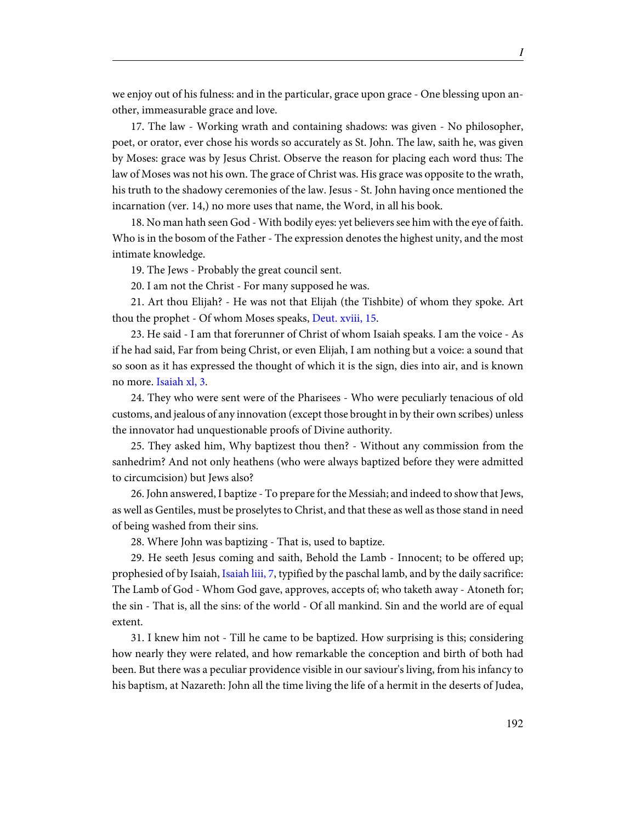we enjoy out of his fulness: and in the particular, grace upon grace - One blessing upon another, immeasurable grace and love.

17. The law - Working wrath and containing shadows: was given - No philosopher, poet, or orator, ever chose his words so accurately as St. John. The law, saith he, was given by Moses: grace was by Jesus Christ. Observe the reason for placing each word thus: The law of Moses was not his own. The grace of Christ was. His grace was opposite to the wrath, his truth to the shadowy ceremonies of the law. Jesus - St. John having once mentioned the incarnation (ver. 14,) no more uses that name, the Word, in all his book.

18. No man hath seen God - With bodily eyes: yet believers see him with the eye of faith. Who is in the bosom of the Father - The expression denotes the highest unity, and the most intimate knowledge.

19. The Jews - Probably the great council sent.

20. I am not the Christ - For many supposed he was.

21. Art thou Elijah? - He was not that Elijah (the Tishbite) of whom they spoke. Art thou the prophet - Of whom Moses speaks, [Deut. xviii, 15](http://www.ccel.org/study/Bible:Deut.18.15).

23. He said - I am that forerunner of Christ of whom Isaiah speaks. I am the voice - As if he had said, Far from being Christ, or even Elijah, I am nothing but a voice: a sound that so soon as it has expressed the thought of which it is the sign, dies into air, and is known no more. [Isaiah xl, 3.](http://www.ccel.org/study/Bible:Isa.40.3)

24. They who were sent were of the Pharisees - Who were peculiarly tenacious of old customs, and jealous of any innovation (except those brought in by their own scribes) unless the innovator had unquestionable proofs of Divine authority.

25. They asked him, Why baptizest thou then? - Without any commission from the sanhedrim? And not only heathens (who were always baptized before they were admitted to circumcision) but Jews also?

26. John answered, I baptize - To prepare for the Messiah; and indeed to show that Jews, as well as Gentiles, must be proselytes to Christ, and that these as well as those stand in need of being washed from their sins.

28. Where John was baptizing - That is, used to baptize.

29. He seeth Jesus coming and saith, Behold the Lamb - Innocent; to be offered up; prophesied of by Isaiah, [Isaiah liii, 7,](http://www.ccel.org/study/Bible:Isa.53.7) typified by the paschal lamb, and by the daily sacrifice: The Lamb of God - Whom God gave, approves, accepts of; who taketh away - Atoneth for; the sin - That is, all the sins: of the world - Of all mankind. Sin and the world are of equal extent.

31. I knew him not - Till he came to be baptized. How surprising is this; considering how nearly they were related, and how remarkable the conception and birth of both had been. But there was a peculiar providence visible in our saviour's living, from his infancy to his baptism, at Nazareth: John all the time living the life of a hermit in the deserts of Judea,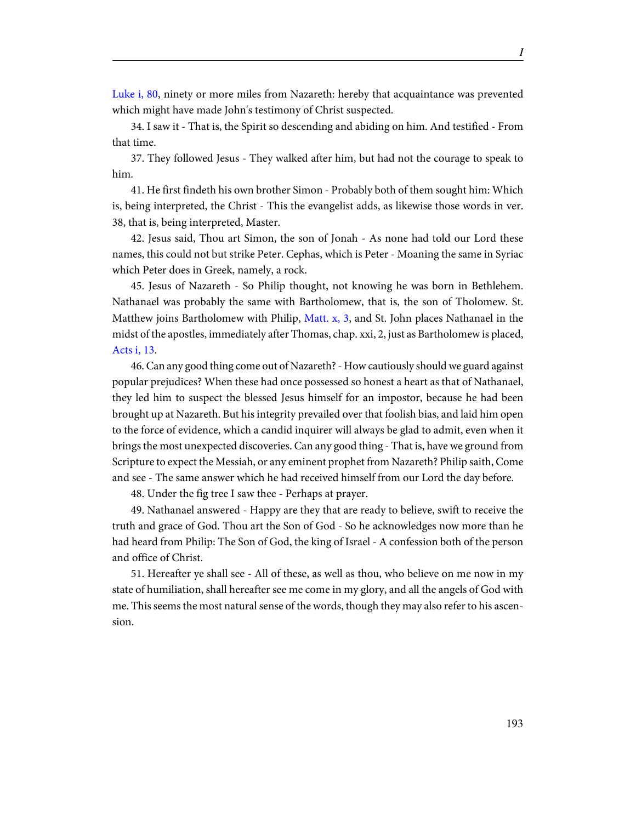[Luke i, 80](http://www.ccel.org/study/Bible:Luke.1.80), ninety or more miles from Nazareth: hereby that acquaintance was prevented which might have made John's testimony of Christ suspected.

34. I saw it - That is, the Spirit so descending and abiding on him. And testified - From that time.

37. They followed Jesus - They walked after him, but had not the courage to speak to him.

41. He first findeth his own brother Simon - Probably both of them sought him: Which is, being interpreted, the Christ - This the evangelist adds, as likewise those words in ver. 38, that is, being interpreted, Master.

42. Jesus said, Thou art Simon, the son of Jonah - As none had told our Lord these names, this could not but strike Peter. Cephas, which is Peter - Moaning the same in Syriac which Peter does in Greek, namely, a rock.

45. Jesus of Nazareth - So Philip thought, not knowing he was born in Bethlehem. Nathanael was probably the same with Bartholomew, that is, the son of Tholomew. St. Matthew joins Bartholomew with Philip, Matt.  $x$ , 3, and St. John places Nathanael in the midst of the apostles, immediately after Thomas, chap. xxi, 2, just as Bartholomew is placed, [Acts i, 13.](http://www.ccel.org/study/Bible:Acts.1.13)

46. Can any good thing come out of Nazareth? - How cautiously should we guard against popular prejudices? When these had once possessed so honest a heart as that of Nathanael, they led him to suspect the blessed Jesus himself for an impostor, because he had been brought up at Nazareth. But his integrity prevailed over that foolish bias, and laid him open to the force of evidence, which a candid inquirer will always be glad to admit, even when it brings the most unexpected discoveries. Can any good thing - That is, have we ground from Scripture to expect the Messiah, or any eminent prophet from Nazareth? Philip saith, Come and see - The same answer which he had received himself from our Lord the day before.

48. Under the fig tree I saw thee - Perhaps at prayer.

49. Nathanael answered - Happy are they that are ready to believe, swift to receive the truth and grace of God. Thou art the Son of God - So he acknowledges now more than he had heard from Philip: The Son of God, the king of Israel - A confession both of the person and office of Christ.

51. Hereafter ye shall see - All of these, as well as thou, who believe on me now in my state of humiliation, shall hereafter see me come in my glory, and all the angels of God with me. This seems the most natural sense of the words, though they may also refer to his ascension.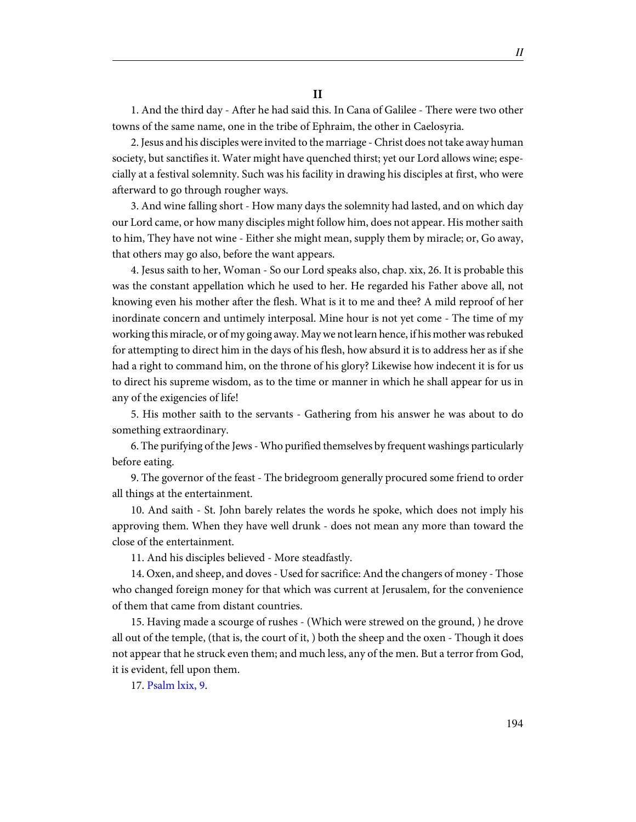**II**

1. And the third day - After he had said this. In Cana of Galilee - There were two other towns of the same name, one in the tribe of Ephraim, the other in Caelosyria.

2. Jesus and his disciples were invited to the marriage - Christ does not take away human society, but sanctifies it. Water might have quenched thirst; yet our Lord allows wine; especially at a festival solemnity. Such was his facility in drawing his disciples at first, who were afterward to go through rougher ways.

3. And wine falling short - How many days the solemnity had lasted, and on which day our Lord came, or how many disciples might follow him, does not appear. His mother saith to him, They have not wine - Either she might mean, supply them by miracle; or, Go away, that others may go also, before the want appears.

4. Jesus saith to her, Woman - So our Lord speaks also, chap. xix, 26. It is probable this was the constant appellation which he used to her. He regarded his Father above all, not knowing even his mother after the flesh. What is it to me and thee? A mild reproof of her inordinate concern and untimely interposal. Mine hour is not yet come - The time of my working this miracle, or of my going away. May we not learn hence, if his mother was rebuked for attempting to direct him in the days of his flesh, how absurd it is to address her as if she had a right to command him, on the throne of his glory? Likewise how indecent it is for us to direct his supreme wisdom, as to the time or manner in which he shall appear for us in any of the exigencies of life!

5. His mother saith to the servants - Gathering from his answer he was about to do something extraordinary.

6. The purifying of the Jews - Who purified themselves by frequent washings particularly before eating.

9. The governor of the feast - The bridegroom generally procured some friend to order all things at the entertainment.

10. And saith - St. John barely relates the words he spoke, which does not imply his approving them. When they have well drunk - does not mean any more than toward the close of the entertainment.

11. And his disciples believed - More steadfastly.

14. Oxen, and sheep, and doves - Used for sacrifice: And the changers of money - Those who changed foreign money for that which was current at Jerusalem, for the convenience of them that came from distant countries.

15. Having made a scourge of rushes - (Which were strewed on the ground, ) he drove all out of the temple, (that is, the court of it, ) both the sheep and the oxen - Though it does not appear that he struck even them; and much less, any of the men. But a terror from God, it is evident, fell upon them.

17. [Psalm lxix, 9](http://www.ccel.org/study/Bible:Ps.69.9).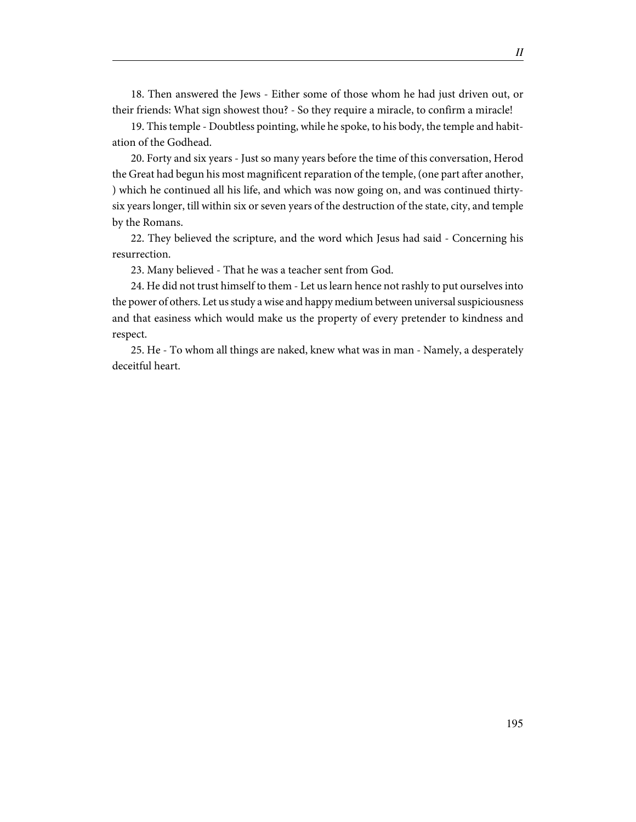18. Then answered the Jews - Either some of those whom he had just driven out, or their friends: What sign showest thou? - So they require a miracle, to confirm a miracle!

19. This temple - Doubtless pointing, while he spoke, to his body, the temple and habitation of the Godhead.

20. Forty and six years - Just so many years before the time of this conversation, Herod the Great had begun his most magnificent reparation of the temple, (one part after another, ) which he continued all his life, and which was now going on, and was continued thirtysix years longer, till within six or seven years of the destruction of the state, city, and temple by the Romans.

22. They believed the scripture, and the word which Jesus had said - Concerning his resurrection.

23. Many believed - That he was a teacher sent from God.

24. He did not trust himself to them - Let us learn hence not rashly to put ourselves into the power of others. Let us study a wise and happy medium between universal suspiciousness and that easiness which would make us the property of every pretender to kindness and respect.

25. He - To whom all things are naked, knew what was in man - Namely, a desperately deceitful heart.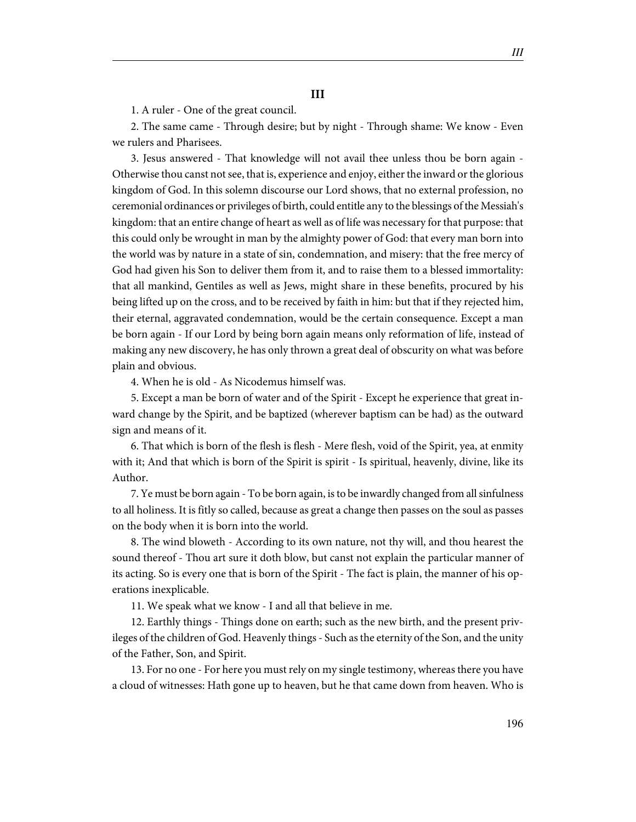**III**

1. A ruler - One of the great council.

2. The same came - Through desire; but by night - Through shame: We know - Even we rulers and Pharisees.

3. Jesus answered - That knowledge will not avail thee unless thou be born again - Otherwise thou canst not see, that is, experience and enjoy, either the inward or the glorious kingdom of God. In this solemn discourse our Lord shows, that no external profession, no ceremonial ordinances or privileges of birth, could entitle any to the blessings of the Messiah's kingdom: that an entire change of heart as well as of life was necessary for that purpose: that this could only be wrought in man by the almighty power of God: that every man born into the world was by nature in a state of sin, condemnation, and misery: that the free mercy of God had given his Son to deliver them from it, and to raise them to a blessed immortality: that all mankind, Gentiles as well as Jews, might share in these benefits, procured by his being lifted up on the cross, and to be received by faith in him: but that if they rejected him, their eternal, aggravated condemnation, would be the certain consequence. Except a man be born again - If our Lord by being born again means only reformation of life, instead of making any new discovery, he has only thrown a great deal of obscurity on what was before plain and obvious.

4. When he is old - As Nicodemus himself was.

5. Except a man be born of water and of the Spirit - Except he experience that great inward change by the Spirit, and be baptized (wherever baptism can be had) as the outward sign and means of it.

6. That which is born of the flesh is flesh - Mere flesh, void of the Spirit, yea, at enmity with it; And that which is born of the Spirit is spirit - Is spiritual, heavenly, divine, like its Author.

7. Ye must be born again - To be born again, is to be inwardly changed from all sinfulness to all holiness. It is fitly so called, because as great a change then passes on the soul as passes on the body when it is born into the world.

8. The wind bloweth - According to its own nature, not thy will, and thou hearest the sound thereof - Thou art sure it doth blow, but canst not explain the particular manner of its acting. So is every one that is born of the Spirit - The fact is plain, the manner of his operations inexplicable.

11. We speak what we know - I and all that believe in me.

12. Earthly things - Things done on earth; such as the new birth, and the present privileges of the children of God. Heavenly things - Such as the eternity of the Son, and the unity of the Father, Son, and Spirit.

13. For no one - For here you must rely on my single testimony, whereas there you have a cloud of witnesses: Hath gone up to heaven, but he that came down from heaven. Who is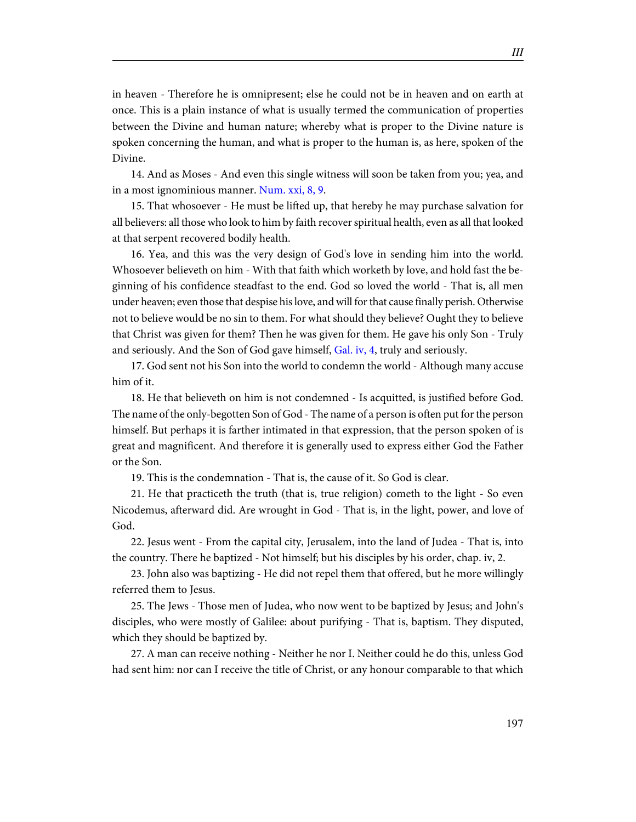in heaven - Therefore he is omnipresent; else he could not be in heaven and on earth at once. This is a plain instance of what is usually termed the communication of properties between the Divine and human nature; whereby what is proper to the Divine nature is spoken concerning the human, and what is proper to the human is, as here, spoken of the Divine.

14. And as Moses - And even this single witness will soon be taken from you; yea, and in a most ignominious manner. [Num. xxi, 8, 9.](http://www.ccel.org/study/Bible:Num.21.8-Num.21.9)

15. That whosoever - He must be lifted up, that hereby he may purchase salvation for all believers: all those who look to him by faith recover spiritual health, even as all that looked at that serpent recovered bodily health.

16. Yea, and this was the very design of God's love in sending him into the world. Whosoever believeth on him - With that faith which worketh by love, and hold fast the beginning of his confidence steadfast to the end. God so loved the world - That is, all men under heaven; even those that despise his love, and will for that cause finally perish. Otherwise not to believe would be no sin to them. For what should they believe? Ought they to believe that Christ was given for them? Then he was given for them. He gave his only Son - Truly and seriously. And the Son of God gave himself, [Gal. iv, 4,](http://www.ccel.org/study/Bible:Gal.4.4) truly and seriously.

17. God sent not his Son into the world to condemn the world - Although many accuse him of it.

18. He that believeth on him is not condemned - Is acquitted, is justified before God. The name of the only-begotten Son of God - The name of a person is often put for the person himself. But perhaps it is farther intimated in that expression, that the person spoken of is great and magnificent. And therefore it is generally used to express either God the Father or the Son.

19. This is the condemnation - That is, the cause of it. So God is clear.

21. He that practiceth the truth (that is, true religion) cometh to the light - So even Nicodemus, afterward did. Are wrought in God - That is, in the light, power, and love of God.

22. Jesus went - From the capital city, Jerusalem, into the land of Judea - That is, into the country. There he baptized - Not himself; but his disciples by his order, chap. iv, 2.

23. John also was baptizing - He did not repel them that offered, but he more willingly referred them to Jesus.

25. The Jews - Those men of Judea, who now went to be baptized by Jesus; and John's disciples, who were mostly of Galilee: about purifying - That is, baptism. They disputed, which they should be baptized by.

27. A man can receive nothing - Neither he nor I. Neither could he do this, unless God had sent him: nor can I receive the title of Christ, or any honour comparable to that which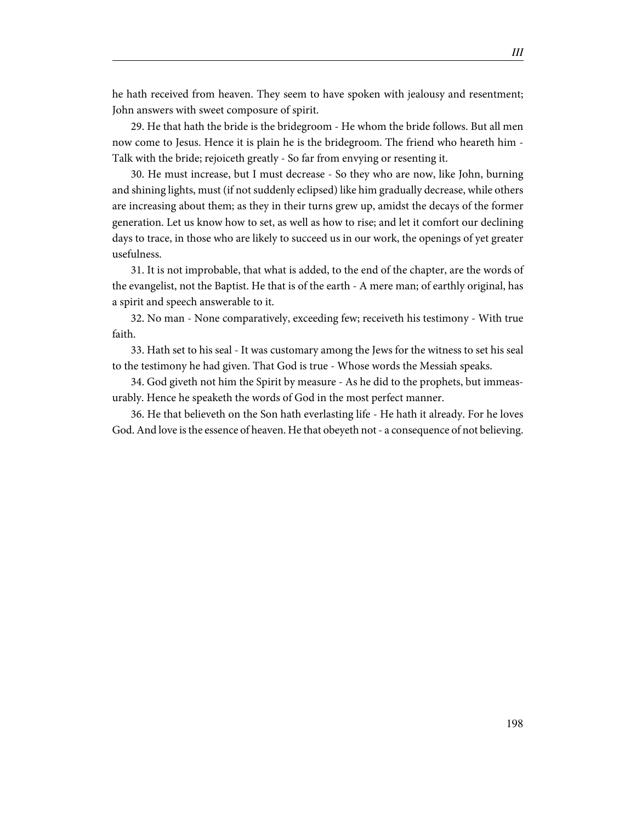he hath received from heaven. They seem to have spoken with jealousy and resentment; John answers with sweet composure of spirit.

29. He that hath the bride is the bridegroom - He whom the bride follows. But all men now come to Jesus. Hence it is plain he is the bridegroom. The friend who heareth him - Talk with the bride; rejoiceth greatly - So far from envying or resenting it.

30. He must increase, but I must decrease - So they who are now, like John, burning and shining lights, must (if not suddenly eclipsed) like him gradually decrease, while others are increasing about them; as they in their turns grew up, amidst the decays of the former generation. Let us know how to set, as well as how to rise; and let it comfort our declining days to trace, in those who are likely to succeed us in our work, the openings of yet greater usefulness.

31. It is not improbable, that what is added, to the end of the chapter, are the words of the evangelist, not the Baptist. He that is of the earth - A mere man; of earthly original, has a spirit and speech answerable to it.

32. No man - None comparatively, exceeding few; receiveth his testimony - With true faith.

33. Hath set to his seal - It was customary among the Jews for the witness to set his seal to the testimony he had given. That God is true - Whose words the Messiah speaks.

34. God giveth not him the Spirit by measure - As he did to the prophets, but immeasurably. Hence he speaketh the words of God in the most perfect manner.

36. He that believeth on the Son hath everlasting life - He hath it already. For he loves God. And love is the essence of heaven. He that obeyeth not - a consequence of not believing.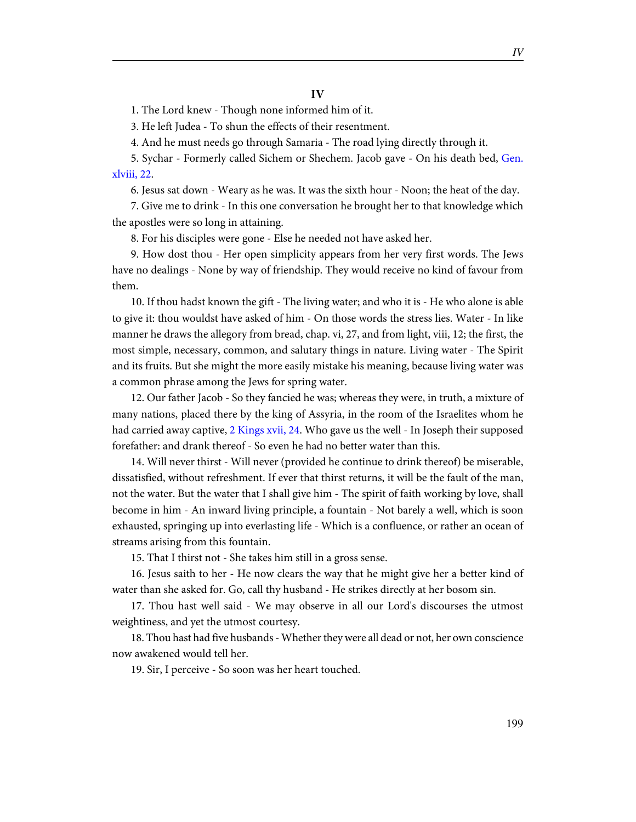1. The Lord knew - Though none informed him of it.

3. He left Judea - To shun the effects of their resentment.

4. And he must needs go through Samaria - The road lying directly through it.

5. Sychar - Formerly called Sichem or Shechem. Jacob gave - On his death bed, [Gen.](http://www.ccel.org/study/Bible:Gen.48.22) [xlviii, 22.](http://www.ccel.org/study/Bible:Gen.48.22)

6. Jesus sat down - Weary as he was. It was the sixth hour - Noon; the heat of the day.

7. Give me to drink - In this one conversation he brought her to that knowledge which the apostles were so long in attaining.

8. For his disciples were gone - Else he needed not have asked her.

9. How dost thou - Her open simplicity appears from her very first words. The Jews have no dealings - None by way of friendship. They would receive no kind of favour from them.

10. If thou hadst known the gift - The living water; and who it is - He who alone is able to give it: thou wouldst have asked of him - On those words the stress lies. Water - In like manner he draws the allegory from bread, chap. vi, 27, and from light, viii, 12; the first, the most simple, necessary, common, and salutary things in nature. Living water - The Spirit and its fruits. But she might the more easily mistake his meaning, because living water was a common phrase among the Jews for spring water.

12. Our father Jacob - So they fancied he was; whereas they were, in truth, a mixture of many nations, placed there by the king of Assyria, in the room of the Israelites whom he had carried away captive, [2 Kings xvii, 24](http://www.ccel.org/study/Bible:2Kgs.17.24). Who gave us the well - In Joseph their supposed forefather: and drank thereof - So even he had no better water than this.

14. Will never thirst - Will never (provided he continue to drink thereof) be miserable, dissatisfied, without refreshment. If ever that thirst returns, it will be the fault of the man, not the water. But the water that I shall give him - The spirit of faith working by love, shall become in him - An inward living principle, a fountain - Not barely a well, which is soon exhausted, springing up into everlasting life - Which is a confluence, or rather an ocean of streams arising from this fountain.

15. That I thirst not - She takes him still in a gross sense.

16. Jesus saith to her - He now clears the way that he might give her a better kind of water than she asked for. Go, call thy husband - He strikes directly at her bosom sin.

17. Thou hast well said - We may observe in all our Lord's discourses the utmost weightiness, and yet the utmost courtesy.

18. Thou hast had five husbands - Whether they were all dead or not, her own conscience now awakened would tell her.

19. Sir, I perceive - So soon was her heart touched.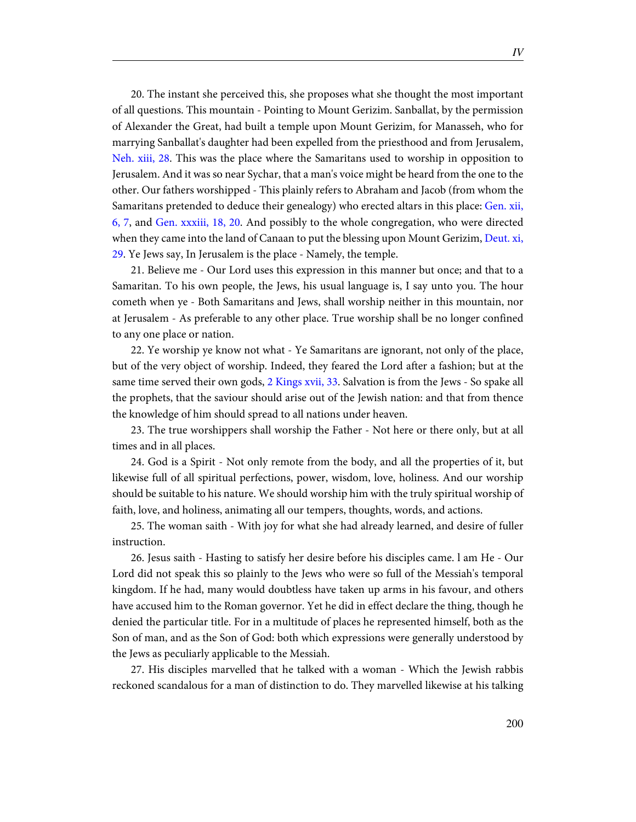20. The instant she perceived this, she proposes what she thought the most important of all questions. This mountain - Pointing to Mount Gerizim. Sanballat, by the permission of Alexander the Great, had built a temple upon Mount Gerizim, for Manasseh, who for marrying Sanballat's daughter had been expelled from the priesthood and from Jerusalem, [Neh. xiii, 28](http://www.ccel.org/study/Bible:Neh.13.28). This was the place where the Samaritans used to worship in opposition to Jerusalem. And it was so near Sychar, that a man's voice might be heard from the one to the other. Our fathers worshipped - This plainly refers to Abraham and Jacob (from whom the Samaritans pretended to deduce their genealogy) who erected altars in this place: [Gen. xii,](http://www.ccel.org/study/Bible:Gen.12.6-Gen.12.7) [6, 7](http://www.ccel.org/study/Bible:Gen.12.6-Gen.12.7), and [Gen. xxxiii, 18, 20](http://www.ccel.org/study/Bible:Gen.33.18 Bible:Gen.33.20). And possibly to the whole congregation, who were directed when they came into the land of Canaan to put the blessing upon Mount Gerizim, [Deut. xi,](http://www.ccel.org/study/Bible:Deut.11.29) [29.](http://www.ccel.org/study/Bible:Deut.11.29) Ye Jews say, In Jerusalem is the place - Namely, the temple.

21. Believe me - Our Lord uses this expression in this manner but once; and that to a Samaritan. To his own people, the Jews, his usual language is, I say unto you. The hour cometh when ye - Both Samaritans and Jews, shall worship neither in this mountain, nor at Jerusalem - As preferable to any other place. True worship shall be no longer confined to any one place or nation.

22. Ye worship ye know not what - Ye Samaritans are ignorant, not only of the place, but of the very object of worship. Indeed, they feared the Lord after a fashion; but at the same time served their own gods, [2 Kings xvii, 33](http://www.ccel.org/study/Bible:2Kgs.17.33). Salvation is from the Jews - So spake all the prophets, that the saviour should arise out of the Jewish nation: and that from thence the knowledge of him should spread to all nations under heaven.

23. The true worshippers shall worship the Father - Not here or there only, but at all times and in all places.

24. God is a Spirit - Not only remote from the body, and all the properties of it, but likewise full of all spiritual perfections, power, wisdom, love, holiness. And our worship should be suitable to his nature. We should worship him with the truly spiritual worship of faith, love, and holiness, animating all our tempers, thoughts, words, and actions.

25. The woman saith - With joy for what she had already learned, and desire of fuller instruction.

26. Jesus saith - Hasting to satisfy her desire before his disciples came. l am He - Our Lord did not speak this so plainly to the Jews who were so full of the Messiah's temporal kingdom. If he had, many would doubtless have taken up arms in his favour, and others have accused him to the Roman governor. Yet he did in effect declare the thing, though he denied the particular title. For in a multitude of places he represented himself, both as the Son of man, and as the Son of God: both which expressions were generally understood by the Jews as peculiarly applicable to the Messiah.

27. His disciples marvelled that he talked with a woman - Which the Jewish rabbis reckoned scandalous for a man of distinction to do. They marvelled likewise at his talking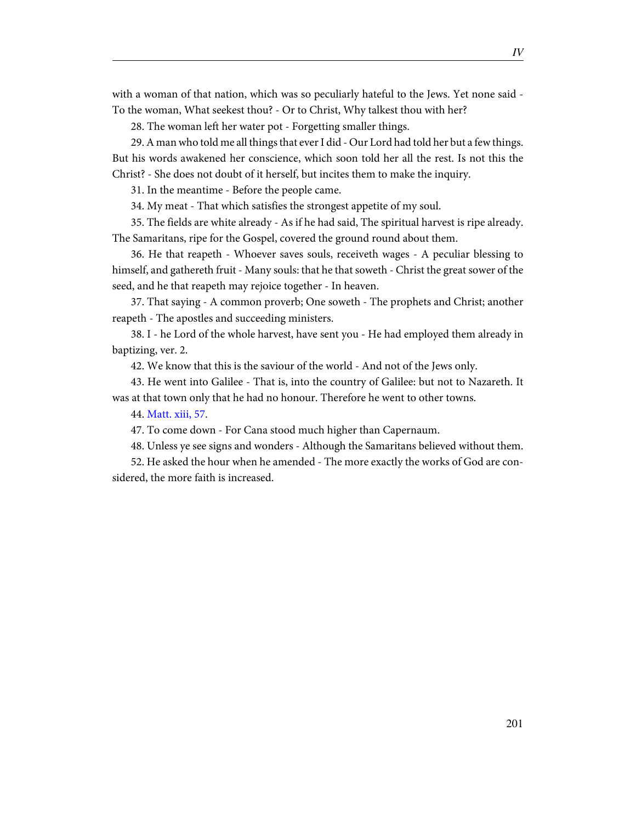with a woman of that nation, which was so peculiarly hateful to the Jews. Yet none said - To the woman, What seekest thou? - Or to Christ, Why talkest thou with her?

28. The woman left her water pot - Forgetting smaller things.

29. A man who told me all things that ever I did - Our Lord had told her but a few things. But his words awakened her conscience, which soon told her all the rest. Is not this the Christ? - She does not doubt of it herself, but incites them to make the inquiry.

31. In the meantime - Before the people came.

34. My meat - That which satisfies the strongest appetite of my soul.

35. The fields are white already - As if he had said, The spiritual harvest is ripe already. The Samaritans, ripe for the Gospel, covered the ground round about them.

36. He that reapeth - Whoever saves souls, receiveth wages - A peculiar blessing to himself, and gathereth fruit - Many souls: that he that soweth - Christ the great sower of the seed, and he that reapeth may rejoice together - In heaven.

37. That saying - A common proverb; One soweth - The prophets and Christ; another reapeth - The apostles and succeeding ministers.

38. I - he Lord of the whole harvest, have sent you - He had employed them already in baptizing, ver. 2.

42. We know that this is the saviour of the world - And not of the Jews only.

43. He went into Galilee - That is, into the country of Galilee: but not to Nazareth. It was at that town only that he had no honour. Therefore he went to other towns.

44. [Matt. xiii, 57.](http://www.ccel.org/study/Bible:Matt.13.57)

47. To come down - For Cana stood much higher than Capernaum.

48. Unless ye see signs and wonders - Although the Samaritans believed without them.

52. He asked the hour when he amended - The more exactly the works of God are considered, the more faith is increased.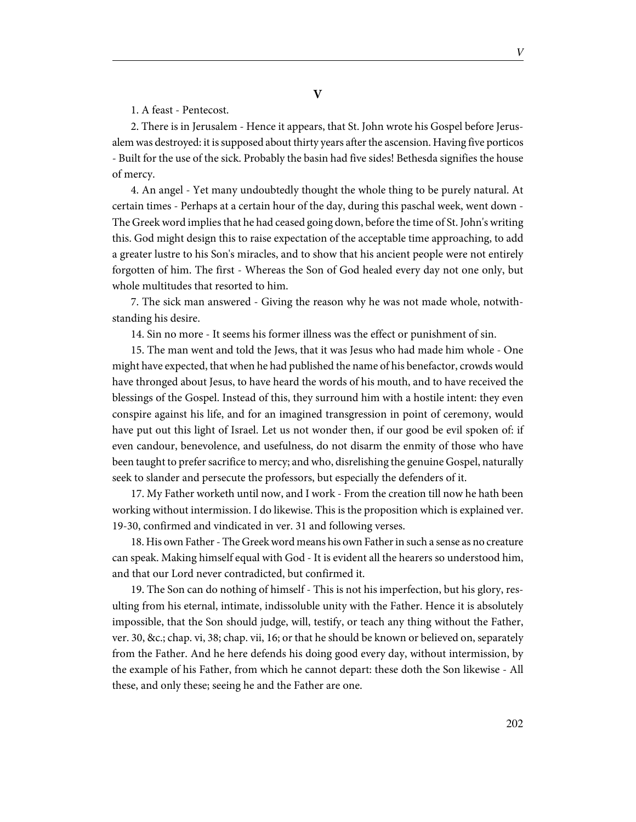**V**

1. A feast - Pentecost.

2. There is in Jerusalem - Hence it appears, that St. John wrote his Gospel before Jerusalem was destroyed: it is supposed about thirty years after the ascension. Having five porticos - Built for the use of the sick. Probably the basin had five sides! Bethesda signifies the house of mercy.

4. An angel - Yet many undoubtedly thought the whole thing to be purely natural. At certain times - Perhaps at a certain hour of the day, during this paschal week, went down - The Greek word implies that he had ceased going down, before the time of St. John's writing this. God might design this to raise expectation of the acceptable time approaching, to add a greater lustre to his Son's miracles, and to show that his ancient people were not entirely forgotten of him. The first - Whereas the Son of God healed every day not one only, but whole multitudes that resorted to him.

7. The sick man answered - Giving the reason why he was not made whole, notwithstanding his desire.

14. Sin no more - It seems his former illness was the effect or punishment of sin.

15. The man went and told the Jews, that it was Jesus who had made him whole - One might have expected, that when he had published the name of his benefactor, crowds would have thronged about Jesus, to have heard the words of his mouth, and to have received the blessings of the Gospel. Instead of this, they surround him with a hostile intent: they even conspire against his life, and for an imagined transgression in point of ceremony, would have put out this light of Israel. Let us not wonder then, if our good be evil spoken of: if even candour, benevolence, and usefulness, do not disarm the enmity of those who have been taught to prefer sacrifice to mercy; and who, disrelishing the genuine Gospel, naturally seek to slander and persecute the professors, but especially the defenders of it.

17. My Father worketh until now, and I work - From the creation till now he hath been working without intermission. I do likewise. This is the proposition which is explained ver. 19-30, confirmed and vindicated in ver. 31 and following verses.

18. His own Father - The Greek word means his own Father in such a sense as no creature can speak. Making himself equal with God - It is evident all the hearers so understood him, and that our Lord never contradicted, but confirmed it.

19. The Son can do nothing of himself - This is not his imperfection, but his glory, resulting from his eternal, intimate, indissoluble unity with the Father. Hence it is absolutely impossible, that the Son should judge, will, testify, or teach any thing without the Father, ver. 30, &c.; chap. vi, 38; chap. vii, 16; or that he should be known or believed on, separately from the Father. And he here defends his doing good every day, without intermission, by the example of his Father, from which he cannot depart: these doth the Son likewise - All these, and only these; seeing he and the Father are one.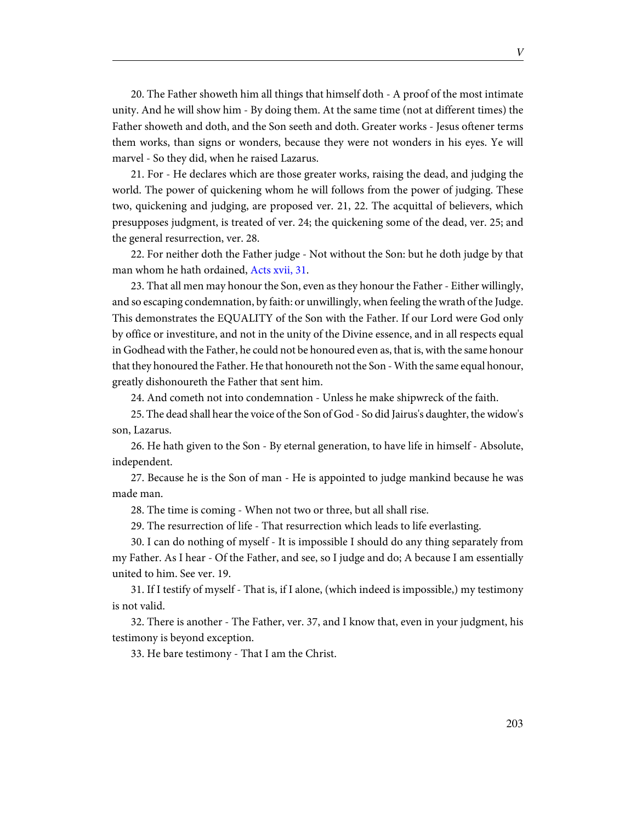20. The Father showeth him all things that himself doth - A proof of the most intimate unity. And he will show him - By doing them. At the same time (not at different times) the Father showeth and doth, and the Son seeth and doth. Greater works - Jesus oftener terms them works, than signs or wonders, because they were not wonders in his eyes. Ye will marvel - So they did, when he raised Lazarus.

21. For - He declares which are those greater works, raising the dead, and judging the world. The power of quickening whom he will follows from the power of judging. These two, quickening and judging, are proposed ver. 21, 22. The acquittal of believers, which presupposes judgment, is treated of ver. 24; the quickening some of the dead, ver. 25; and the general resurrection, ver. 28.

22. For neither doth the Father judge - Not without the Son: but he doth judge by that man whom he hath ordained, [Acts xvii, 31](http://www.ccel.org/study/Bible:Acts.17.31).

23. That all men may honour the Son, even as they honour the Father - Either willingly, and so escaping condemnation, by faith: or unwillingly, when feeling the wrath of the Judge. This demonstrates the EQUALITY of the Son with the Father. If our Lord were God only by office or investiture, and not in the unity of the Divine essence, and in all respects equal in Godhead with the Father, he could not be honoured even as, that is, with the same honour that they honoured the Father. He that honoureth not the Son - With the same equal honour, greatly dishonoureth the Father that sent him.

24. And cometh not into condemnation - Unless he make shipwreck of the faith.

25. The dead shall hear the voice of the Son of God - So did Jairus's daughter, the widow's son, Lazarus.

26. He hath given to the Son - By eternal generation, to have life in himself - Absolute, independent.

27. Because he is the Son of man - He is appointed to judge mankind because he was made man.

28. The time is coming - When not two or three, but all shall rise.

29. The resurrection of life - That resurrection which leads to life everlasting.

30. I can do nothing of myself - It is impossible I should do any thing separately from my Father. As I hear - Of the Father, and see, so I judge and do; A because I am essentially united to him. See ver. 19.

31. If I testify of myself - That is, if I alone, (which indeed is impossible,) my testimony is not valid.

32. There is another - The Father, ver. 37, and I know that, even in your judgment, his testimony is beyond exception.

33. He bare testimony - That I am the Christ.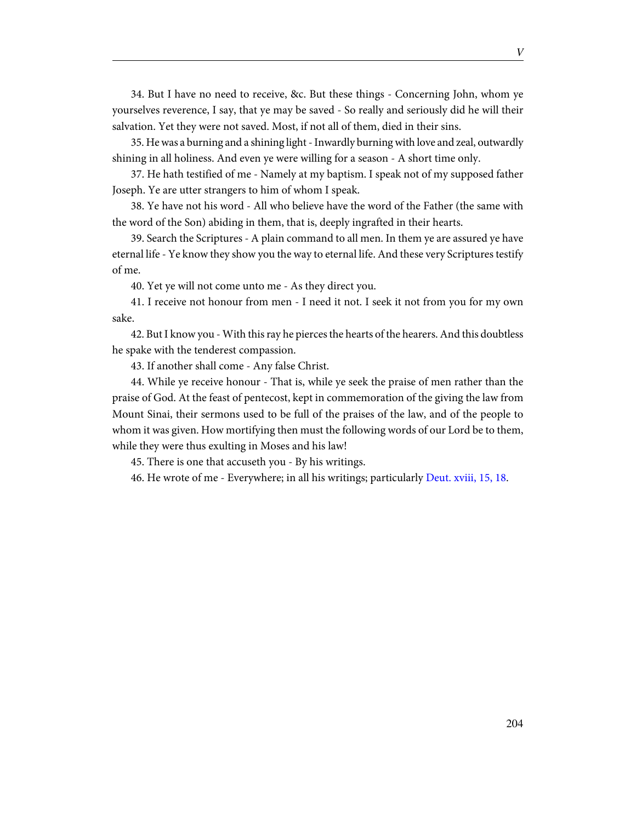34. But I have no need to receive, &c. But these things - Concerning John, whom ye yourselves reverence, I say, that ye may be saved - So really and seriously did he will their salvation. Yet they were not saved. Most, if not all of them, died in their sins.

35. He was a burning and a shining light - Inwardly burning with love and zeal, outwardly shining in all holiness. And even ye were willing for a season - A short time only.

37. He hath testified of me - Namely at my baptism. I speak not of my supposed father Joseph. Ye are utter strangers to him of whom I speak.

38. Ye have not his word - All who believe have the word of the Father (the same with the word of the Son) abiding in them, that is, deeply ingrafted in their hearts.

39. Search the Scriptures - A plain command to all men. In them ye are assured ye have eternal life - Ye know they show you the way to eternal life. And these very Scriptures testify of me.

40. Yet ye will not come unto me - As they direct you.

41. I receive not honour from men - I need it not. I seek it not from you for my own sake.

42. But I know you - With this ray he pierces the hearts of the hearers. And this doubtless he spake with the tenderest compassion.

43. If another shall come - Any false Christ.

44. While ye receive honour - That is, while ye seek the praise of men rather than the praise of God. At the feast of pentecost, kept in commemoration of the giving the law from Mount Sinai, their sermons used to be full of the praises of the law, and of the people to whom it was given. How mortifying then must the following words of our Lord be to them, while they were thus exulting in Moses and his law!

45. There is one that accuseth you - By his writings.

46. He wrote of me - Everywhere; in all his writings; particularly [Deut. xviii, 15, 18](http://www.ccel.org/study/Bible:Deut.18.15 Bible:Deut.18.18).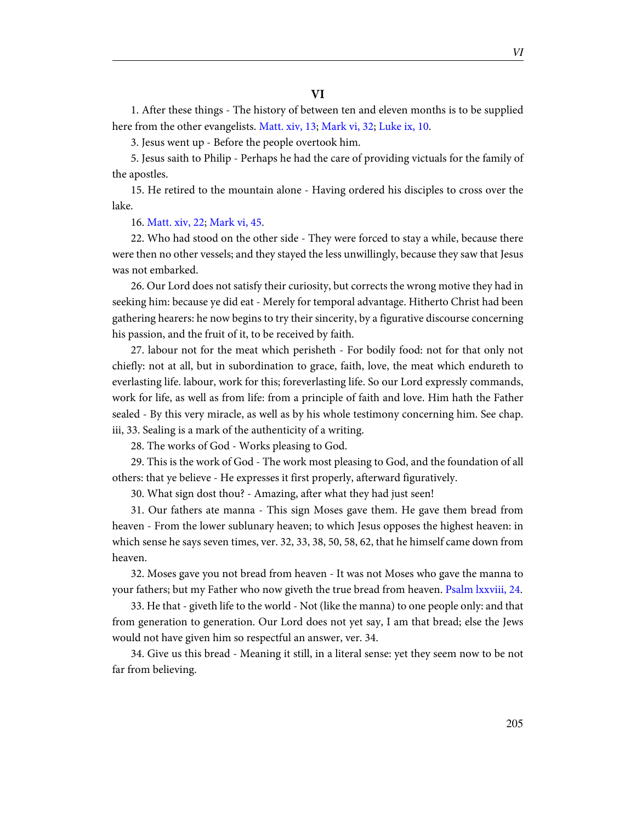**VI**

1. After these things - The history of between ten and eleven months is to be supplied here from the other evangelists. [Matt. xiv, 13](http://www.ccel.org/study/Bible:Matt.14.13); [Mark vi, 32;](http://www.ccel.org/study/Bible:Mark.6.32) [Luke ix, 10.](http://www.ccel.org/study/Bible:Luke.9.10)

3. Jesus went up - Before the people overtook him.

5. Jesus saith to Philip - Perhaps he had the care of providing victuals for the family of the apostles.

15. He retired to the mountain alone - Having ordered his disciples to cross over the lake.

16. [Matt. xiv, 22;](http://www.ccel.org/study/Bible:Matt.14.22) [Mark vi, 45.](http://www.ccel.org/study/Bible:Mark.6.45)

22. Who had stood on the other side - They were forced to stay a while, because there were then no other vessels; and they stayed the less unwillingly, because they saw that Jesus was not embarked.

26. Our Lord does not satisfy their curiosity, but corrects the wrong motive they had in seeking him: because ye did eat - Merely for temporal advantage. Hitherto Christ had been gathering hearers: he now begins to try their sincerity, by a figurative discourse concerning his passion, and the fruit of it, to be received by faith.

27. labour not for the meat which perisheth - For bodily food: not for that only not chiefly: not at all, but in subordination to grace, faith, love, the meat which endureth to everlasting life. labour, work for this; foreverlasting life. So our Lord expressly commands, work for life, as well as from life: from a principle of faith and love. Him hath the Father sealed - By this very miracle, as well as by his whole testimony concerning him. See chap. iii, 33. Sealing is a mark of the authenticity of a writing.

28. The works of God - Works pleasing to God.

29. This is the work of God - The work most pleasing to God, and the foundation of all others: that ye believe - He expresses it first properly, afterward figuratively.

30. What sign dost thou? - Amazing, after what they had just seen!

31. Our fathers ate manna - This sign Moses gave them. He gave them bread from heaven - From the lower sublunary heaven; to which Jesus opposes the highest heaven: in which sense he says seven times, ver. 32, 33, 38, 50, 58, 62, that he himself came down from heaven.

32. Moses gave you not bread from heaven - It was not Moses who gave the manna to your fathers; but my Father who now giveth the true bread from heaven. [Psalm lxxviii, 24.](http://www.ccel.org/study/Bible:Ps.78.24)

33. He that - giveth life to the world - Not (like the manna) to one people only: and that from generation to generation. Our Lord does not yet say, I am that bread; else the Jews would not have given him so respectful an answer, ver. 34.

34. Give us this bread - Meaning it still, in a literal sense: yet they seem now to be not far from believing.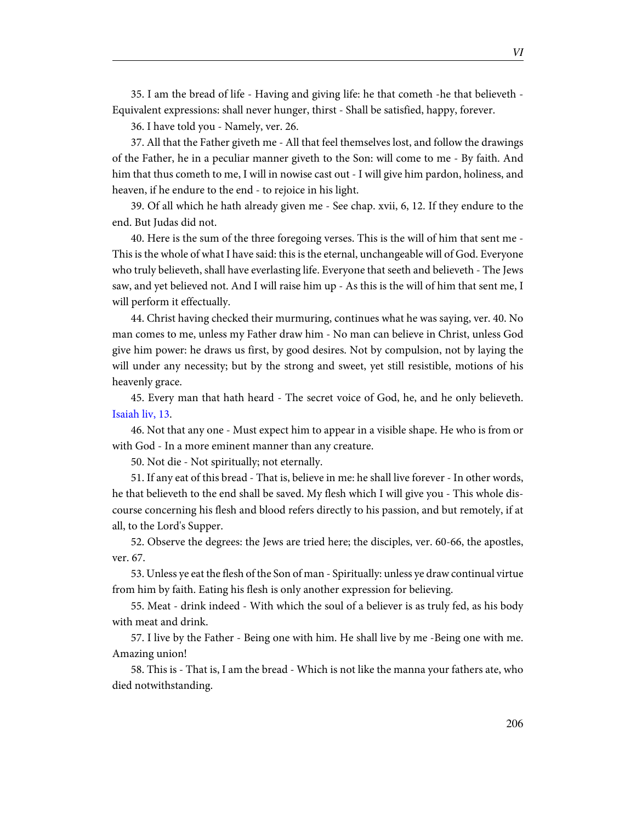35. I am the bread of life - Having and giving life: he that cometh -he that believeth - Equivalent expressions: shall never hunger, thirst - Shall be satisfied, happy, forever.

36. I have told you - Namely, ver. 26.

37. All that the Father giveth me - All that feel themselves lost, and follow the drawings of the Father, he in a peculiar manner giveth to the Son: will come to me - By faith. And him that thus cometh to me, I will in nowise cast out - I will give him pardon, holiness, and heaven, if he endure to the end - to rejoice in his light.

39. Of all which he hath already given me - See chap. xvii, 6, 12. If they endure to the end. But Judas did not.

40. Here is the sum of the three foregoing verses. This is the will of him that sent me - This is the whole of what I have said: this is the eternal, unchangeable will of God. Everyone who truly believeth, shall have everlasting life. Everyone that seeth and believeth - The Jews saw, and yet believed not. And I will raise him up - As this is the will of him that sent me, I will perform it effectually.

44. Christ having checked their murmuring, continues what he was saying, ver. 40. No man comes to me, unless my Father draw him - No man can believe in Christ, unless God give him power: he draws us first, by good desires. Not by compulsion, not by laying the will under any necessity; but by the strong and sweet, yet still resistible, motions of his heavenly grace.

45. Every man that hath heard - The secret voice of God, he, and he only believeth. [Isaiah liv, 13](http://www.ccel.org/study/Bible:Isa.54.13).

46. Not that any one - Must expect him to appear in a visible shape. He who is from or with God - In a more eminent manner than any creature.

50. Not die - Not spiritually; not eternally.

51. If any eat of this bread - That is, believe in me: he shall live forever - In other words, he that believeth to the end shall be saved. My flesh which I will give you - This whole discourse concerning his flesh and blood refers directly to his passion, and but remotely, if at all, to the Lord's Supper.

52. Observe the degrees: the Jews are tried here; the disciples, ver. 60-66, the apostles, ver. 67.

53. Unless ye eat the flesh of the Son of man - Spiritually: unless ye draw continual virtue from him by faith. Eating his flesh is only another expression for believing.

55. Meat - drink indeed - With which the soul of a believer is as truly fed, as his body with meat and drink.

57. I live by the Father - Being one with him. He shall live by me -Being one with me. Amazing union!

58. This is - That is, I am the bread - Which is not like the manna your fathers ate, who died notwithstanding.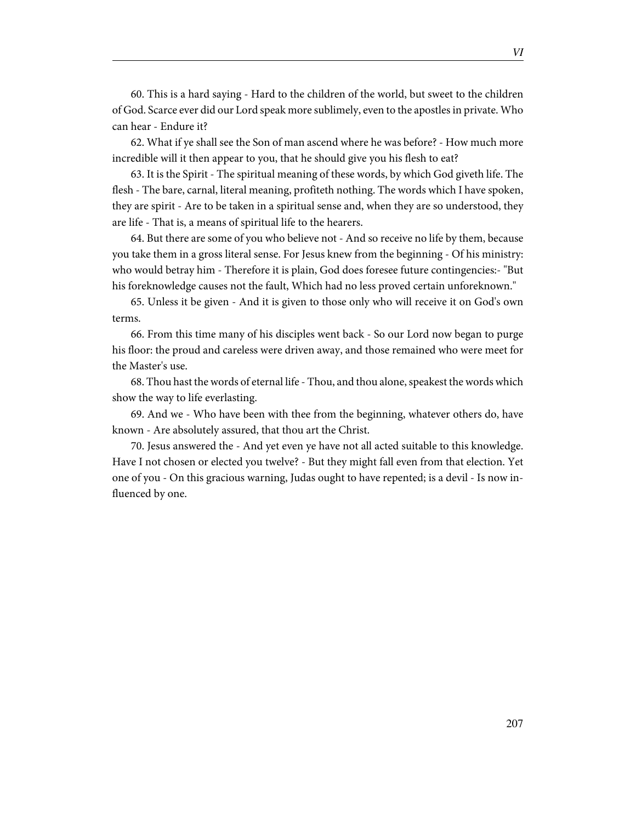60. This is a hard saying - Hard to the children of the world, but sweet to the children of God. Scarce ever did our Lord speak more sublimely, even to the apostles in private. Who can hear - Endure it?

62. What if ye shall see the Son of man ascend where he was before? - How much more incredible will it then appear to you, that he should give you his flesh to eat?

63. It is the Spirit - The spiritual meaning of these words, by which God giveth life. The flesh - The bare, carnal, literal meaning, profiteth nothing. The words which I have spoken, they are spirit - Are to be taken in a spiritual sense and, when they are so understood, they are life - That is, a means of spiritual life to the hearers.

64. But there are some of you who believe not - And so receive no life by them, because you take them in a gross literal sense. For Jesus knew from the beginning - Of his ministry: who would betray him - Therefore it is plain, God does foresee future contingencies:- "But his foreknowledge causes not the fault, Which had no less proved certain unforeknown."

65. Unless it be given - And it is given to those only who will receive it on God's own terms.

66. From this time many of his disciples went back - So our Lord now began to purge his floor: the proud and careless were driven away, and those remained who were meet for the Master's use.

68. Thou hast the words of eternal life - Thou, and thou alone, speakest the words which show the way to life everlasting.

69. And we - Who have been with thee from the beginning, whatever others do, have known - Are absolutely assured, that thou art the Christ.

70. Jesus answered the - And yet even ye have not all acted suitable to this knowledge. Have I not chosen or elected you twelve? - But they might fall even from that election. Yet one of you - On this gracious warning, Judas ought to have repented; is a devil - Is now influenced by one.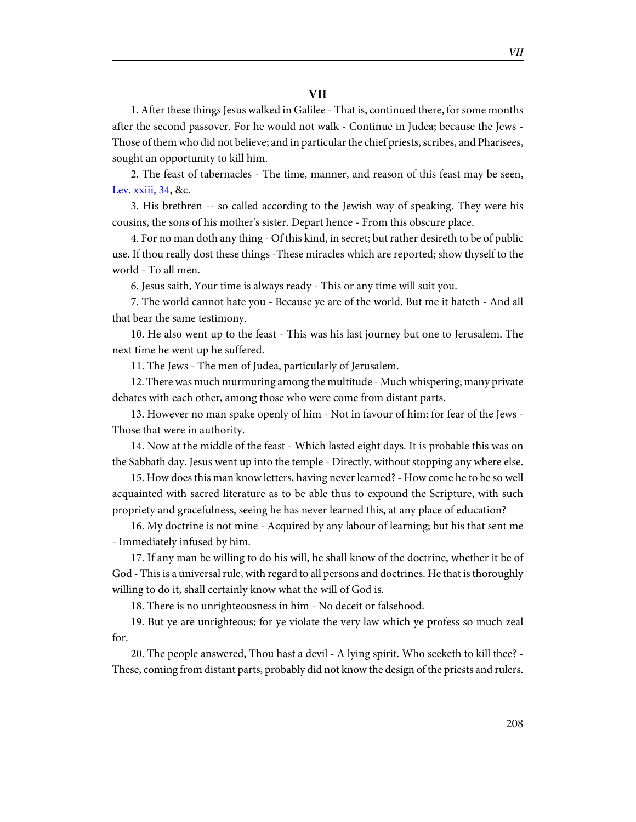#### **VII**

1. After these things Jesus walked in Galilee - That is, continued there, for some months after the second passover. For he would not walk - Continue in Judea; because the Jews - Those of them who did not believe; and in particular the chief priests, scribes, and Pharisees, sought an opportunity to kill him.

2. The feast of tabernacles - The time, manner, and reason of this feast may be seen, [Lev. xxiii, 34,](http://www.ccel.org/study/Bible:Lev.23.34) &c.

3. His brethren -- so called according to the Jewish way of speaking. They were his cousins, the sons of his mother's sister. Depart hence - From this obscure place.

4. For no man doth any thing - Of this kind, in secret; but rather desireth to be of public use. If thou really dost these things -These miracles which are reported; show thyself to the world - To all men.

6. Jesus saith, Your time is always ready - This or any time will suit you.

7. The world cannot hate you - Because ye are of the world. But me it hateth - And all that bear the same testimony.

10. He also went up to the feast - This was his last journey but one to Jerusalem. The next time he went up he suffered.

11. The Jews - The men of Judea, particularly of Jerusalem.

12. There was much murmuring among the multitude - Much whispering; many private debates with each other, among those who were come from distant parts.

13. However no man spake openly of him - Not in favour of him: for fear of the Jews - Those that were in authority.

14. Now at the middle of the feast - Which lasted eight days. It is probable this was on the Sabbath day. Jesus went up into the temple - Directly, without stopping any where else.

15. How does this man know letters, having never learned? - How come he to be so well acquainted with sacred literature as to be able thus to expound the Scripture, with such propriety and gracefulness, seeing he has never learned this, at any place of education?

16. My doctrine is not mine - Acquired by any labour of learning; but his that sent me - Immediately infused by him.

17. If any man be willing to do his will, he shall know of the doctrine, whether it be of God - This is a universal rule, with regard to all persons and doctrines. He that is thoroughly willing to do it, shall certainly know what the will of God is.

18. There is no unrighteousness in him - No deceit or falsehood.

19. But ye are unrighteous; for ye violate the very law which ye profess so much zeal for.

20. The people answered, Thou hast a devil - A lying spirit. Who seeketh to kill thee? - These, coming from distant parts, probably did not know the design of the priests and rulers.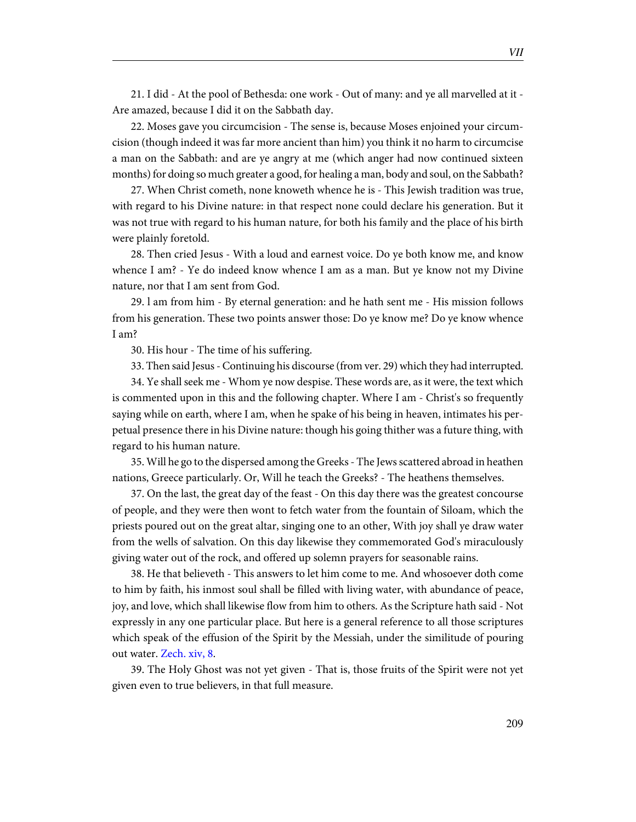21. I did - At the pool of Bethesda: one work - Out of many: and ye all marvelled at it - Are amazed, because I did it on the Sabbath day.

22. Moses gave you circumcision - The sense is, because Moses enjoined your circumcision (though indeed it was far more ancient than him) you think it no harm to circumcise a man on the Sabbath: and are ye angry at me (which anger had now continued sixteen months) for doing so much greater a good, for healing a man, body and soul, on the Sabbath?

27. When Christ cometh, none knoweth whence he is - This Jewish tradition was true, with regard to his Divine nature: in that respect none could declare his generation. But it was not true with regard to his human nature, for both his family and the place of his birth were plainly foretold.

28. Then cried Jesus - With a loud and earnest voice. Do ye both know me, and know whence I am? - Ye do indeed know whence I am as a man. But ye know not my Divine nature, nor that I am sent from God.

29. l am from him - By eternal generation: and he hath sent me - His mission follows from his generation. These two points answer those: Do ye know me? Do ye know whence I am?

30. His hour - The time of his suffering.

33. Then said Jesus - Continuing his discourse (from ver. 29) which they had interrupted.

34. Ye shall seek me - Whom ye now despise. These words are, as it were, the text which is commented upon in this and the following chapter. Where I am - Christ's so frequently saying while on earth, where I am, when he spake of his being in heaven, intimates his perpetual presence there in his Divine nature: though his going thither was a future thing, with regard to his human nature.

35. Will he go to the dispersed among the Greeks - The Jews scattered abroad in heathen nations, Greece particularly. Or, Will he teach the Greeks? - The heathens themselves.

37. On the last, the great day of the feast - On this day there was the greatest concourse of people, and they were then wont to fetch water from the fountain of Siloam, which the priests poured out on the great altar, singing one to an other, With joy shall ye draw water from the wells of salvation. On this day likewise they commemorated God's miraculously giving water out of the rock, and offered up solemn prayers for seasonable rains.

38. He that believeth - This answers to let him come to me. And whosoever doth come to him by faith, his inmost soul shall be filled with living water, with abundance of peace, joy, and love, which shall likewise flow from him to others. As the Scripture hath said - Not expressly in any one particular place. But here is a general reference to all those scriptures which speak of the effusion of the Spirit by the Messiah, under the similitude of pouring out water. [Zech. xiv, 8](http://www.ccel.org/study/Bible:Zech.14.8).

39. The Holy Ghost was not yet given - That is, those fruits of the Spirit were not yet given even to true believers, in that full measure.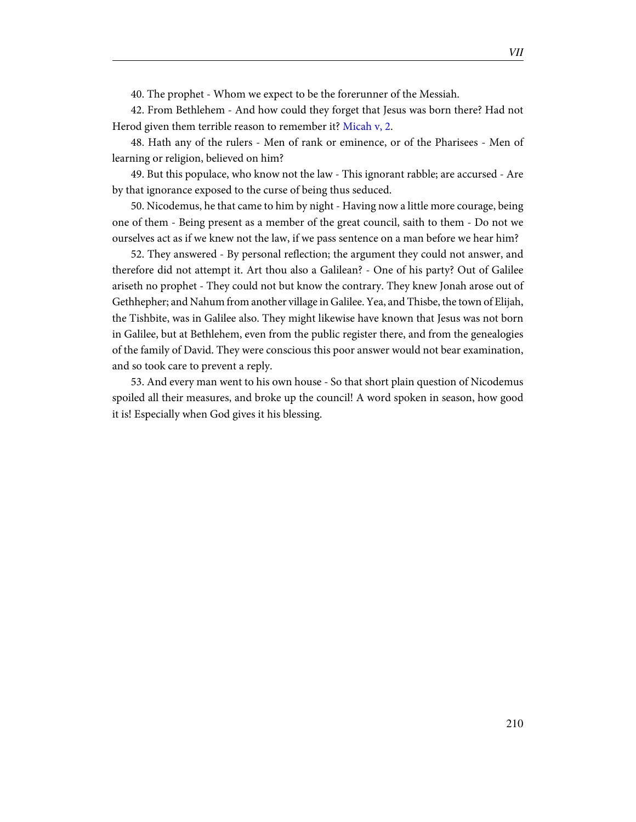40. The prophet - Whom we expect to be the forerunner of the Messiah.

42. From Bethlehem - And how could they forget that Jesus was born there? Had not Herod given them terrible reason to remember it? [Micah v, 2](http://www.ccel.org/study/Bible:Mic.5.2).

48. Hath any of the rulers - Men of rank or eminence, or of the Pharisees - Men of learning or religion, believed on him?

49. But this populace, who know not the law - This ignorant rabble; are accursed - Are by that ignorance exposed to the curse of being thus seduced.

50. Nicodemus, he that came to him by night - Having now a little more courage, being one of them - Being present as a member of the great council, saith to them - Do not we ourselves act as if we knew not the law, if we pass sentence on a man before we hear him?

52. They answered - By personal reflection; the argument they could not answer, and therefore did not attempt it. Art thou also a Galilean? - One of his party? Out of Galilee ariseth no prophet - They could not but know the contrary. They knew Jonah arose out of Gethhepher; and Nahum from another village in Galilee. Yea, and Thisbe, the town of Elijah, the Tishbite, was in Galilee also. They might likewise have known that Jesus was not born in Galilee, but at Bethlehem, even from the public register there, and from the genealogies of the family of David. They were conscious this poor answer would not bear examination, and so took care to prevent a reply.

53. And every man went to his own house - So that short plain question of Nicodemus spoiled all their measures, and broke up the council! A word spoken in season, how good it is! Especially when God gives it his blessing.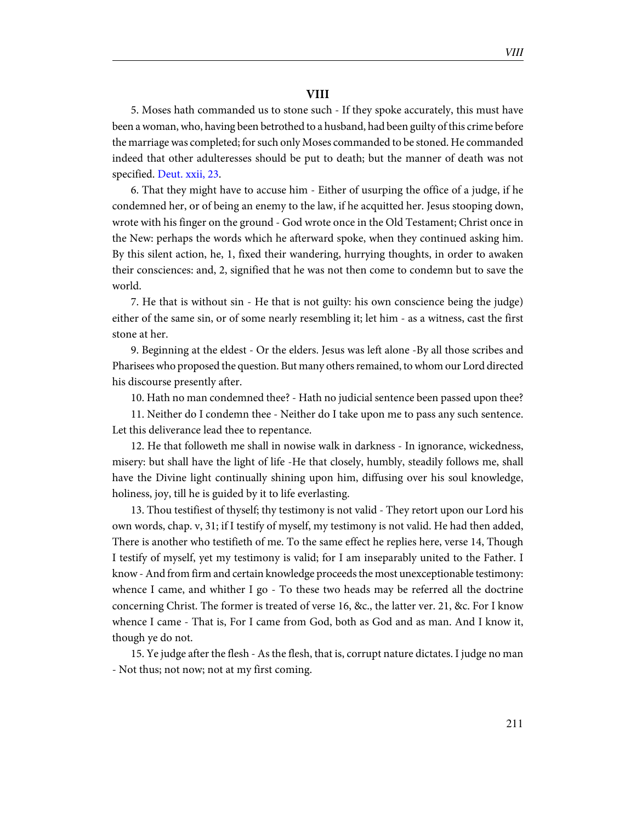#### **VIII**

5. Moses hath commanded us to stone such - If they spoke accurately, this must have been a woman, who, having been betrothed to a husband, had been guilty of this crime before the marriage was completed; for such only Moses commanded to be stoned. He commanded indeed that other adulteresses should be put to death; but the manner of death was not specified. [Deut. xxii, 23.](http://www.ccel.org/study/Bible:Deut.22.23)

6. That they might have to accuse him - Either of usurping the office of a judge, if he condemned her, or of being an enemy to the law, if he acquitted her. Jesus stooping down, wrote with his finger on the ground - God wrote once in the Old Testament; Christ once in the New: perhaps the words which he afterward spoke, when they continued asking him. By this silent action, he, 1, fixed their wandering, hurrying thoughts, in order to awaken their consciences: and, 2, signified that he was not then come to condemn but to save the world.

7. He that is without sin - He that is not guilty: his own conscience being the judge) either of the same sin, or of some nearly resembling it; let him - as a witness, cast the first stone at her.

9. Beginning at the eldest - Or the elders. Jesus was left alone -By all those scribes and Pharisees who proposed the question. But many others remained, to whom our Lord directed his discourse presently after.

10. Hath no man condemned thee? - Hath no judicial sentence been passed upon thee?

11. Neither do I condemn thee - Neither do I take upon me to pass any such sentence. Let this deliverance lead thee to repentance.

12. He that followeth me shall in nowise walk in darkness - In ignorance, wickedness, misery: but shall have the light of life -He that closely, humbly, steadily follows me, shall have the Divine light continually shining upon him, diffusing over his soul knowledge, holiness, joy, till he is guided by it to life everlasting.

13. Thou testifiest of thyself; thy testimony is not valid - They retort upon our Lord his own words, chap. v, 31; if I testify of myself, my testimony is not valid. He had then added, There is another who testifieth of me. To the same effect he replies here, verse 14, Though I testify of myself, yet my testimony is valid; for I am inseparably united to the Father. I know - And from firm and certain knowledge proceeds the most unexceptionable testimony: whence I came, and whither I go - To these two heads may be referred all the doctrine concerning Christ. The former is treated of verse 16, &c., the latter ver. 21, &c. For I know whence I came - That is, For I came from God, both as God and as man. And I know it, though ye do not.

15. Ye judge after the flesh - As the flesh, that is, corrupt nature dictates. I judge no man - Not thus; not now; not at my first coming.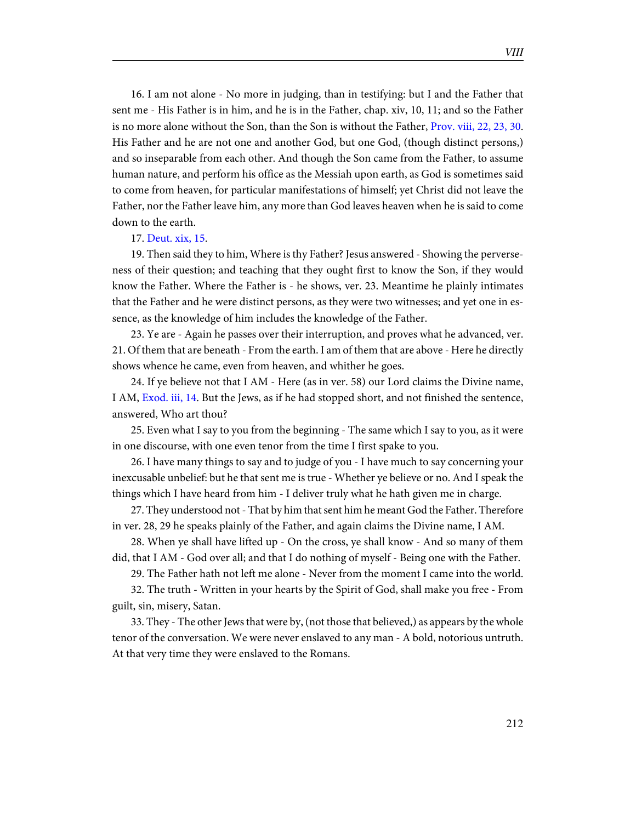16. I am not alone - No more in judging, than in testifying: but I and the Father that sent me - His Father is in him, and he is in the Father, chap. xiv, 10, 11; and so the Father is no more alone without the Son, than the Son is without the Father, [Prov. viii, 22, 23, 30.](http://www.ccel.org/study/Bible:Prov.8.22-Prov.8.23 Bible:Prov.8.30) His Father and he are not one and another God, but one God, (though distinct persons,) and so inseparable from each other. And though the Son came from the Father, to assume human nature, and perform his office as the Messiah upon earth, as God is sometimes said to come from heaven, for particular manifestations of himself; yet Christ did not leave the Father, nor the Father leave him, any more than God leaves heaven when he is said to come down to the earth.

#### 17. [Deut. xix, 15](http://www.ccel.org/study/Bible:Deut.19.15).

19. Then said they to him, Where is thy Father? Jesus answered - Showing the perverseness of their question; and teaching that they ought first to know the Son, if they would know the Father. Where the Father is - he shows, ver. 23. Meantime he plainly intimates that the Father and he were distinct persons, as they were two witnesses; and yet one in essence, as the knowledge of him includes the knowledge of the Father.

23. Ye are - Again he passes over their interruption, and proves what he advanced, ver. 21. Of them that are beneath - From the earth. I am of them that are above - Here he directly shows whence he came, even from heaven, and whither he goes.

24. If ye believe not that I AM - Here (as in ver. 58) our Lord claims the Divine name, I AM, [Exod. iii, 14](http://www.ccel.org/study/Bible:Exod.3.14). But the Jews, as if he had stopped short, and not finished the sentence, answered, Who art thou?

25. Even what I say to you from the beginning - The same which I say to you, as it were in one discourse, with one even tenor from the time I first spake to you.

26. I have many things to say and to judge of you - I have much to say concerning your inexcusable unbelief: but he that sent me is true - Whether ye believe or no. And I speak the things which I have heard from him - I deliver truly what he hath given me in charge.

27. They understood not - That by him that sent him he meant God the Father. Therefore in ver. 28, 29 he speaks plainly of the Father, and again claims the Divine name, I AM.

28. When ye shall have lifted up - On the cross, ye shall know - And so many of them did, that I AM - God over all; and that I do nothing of myself - Being one with the Father.

29. The Father hath not left me alone - Never from the moment I came into the world.

32. The truth - Written in your hearts by the Spirit of God, shall make you free - From guilt, sin, misery, Satan.

33. They - The other Jews that were by, (not those that believed,) as appears by the whole tenor of the conversation. We were never enslaved to any man - A bold, notorious untruth. At that very time they were enslaved to the Romans.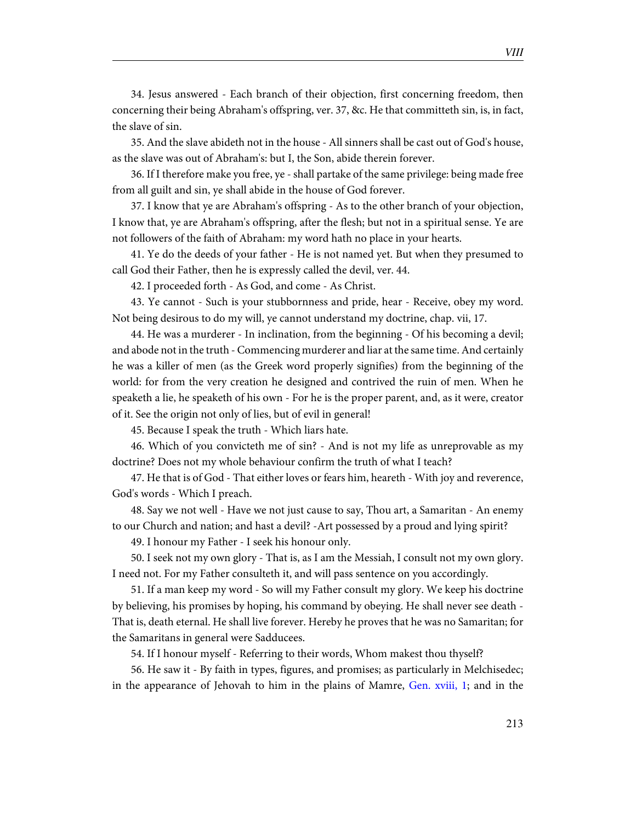34. Jesus answered - Each branch of their objection, first concerning freedom, then concerning their being Abraham's offspring, ver. 37, &c. He that committeth sin, is, in fact, the slave of sin.

35. And the slave abideth not in the house - All sinners shall be cast out of God's house, as the slave was out of Abraham's: but I, the Son, abide therein forever.

36. If I therefore make you free, ye - shall partake of the same privilege: being made free from all guilt and sin, ye shall abide in the house of God forever.

37. I know that ye are Abraham's offspring - As to the other branch of your objection, I know that, ye are Abraham's offspring, after the flesh; but not in a spiritual sense. Ye are not followers of the faith of Abraham: my word hath no place in your hearts.

41. Ye do the deeds of your father - He is not named yet. But when they presumed to call God their Father, then he is expressly called the devil, ver. 44.

42. I proceeded forth - As God, and come - As Christ.

43. Ye cannot - Such is your stubbornness and pride, hear - Receive, obey my word. Not being desirous to do my will, ye cannot understand my doctrine, chap. vii, 17.

44. He was a murderer - In inclination, from the beginning - Of his becoming a devil; and abode not in the truth - Commencing murderer and liar at the same time. And certainly he was a killer of men (as the Greek word properly signifies) from the beginning of the world: for from the very creation he designed and contrived the ruin of men. When he speaketh a lie, he speaketh of his own - For he is the proper parent, and, as it were, creator of it. See the origin not only of lies, but of evil in general!

45. Because I speak the truth - Which liars hate.

46. Which of you convicteth me of sin? - And is not my life as unreprovable as my doctrine? Does not my whole behaviour confirm the truth of what I teach?

47. He that is of God - That either loves or fears him, heareth - With joy and reverence, God's words - Which I preach.

48. Say we not well - Have we not just cause to say, Thou art, a Samaritan - An enemy to our Church and nation; and hast a devil? -Art possessed by a proud and lying spirit?

49. I honour my Father - I seek his honour only.

50. I seek not my own glory - That is, as I am the Messiah, I consult not my own glory. I need not. For my Father consulteth it, and will pass sentence on you accordingly.

51. If a man keep my word - So will my Father consult my glory. We keep his doctrine by believing, his promises by hoping, his command by obeying. He shall never see death - That is, death eternal. He shall live forever. Hereby he proves that he was no Samaritan; for the Samaritans in general were Sadducees.

54. If I honour myself - Referring to their words, Whom makest thou thyself?

56. He saw it - By faith in types, figures, and promises; as particularly in Melchisedec; in the appearance of Jehovah to him in the plains of Mamre, [Gen. xviii, 1;](http://www.ccel.org/study/Bible:Gen.18.1) and in the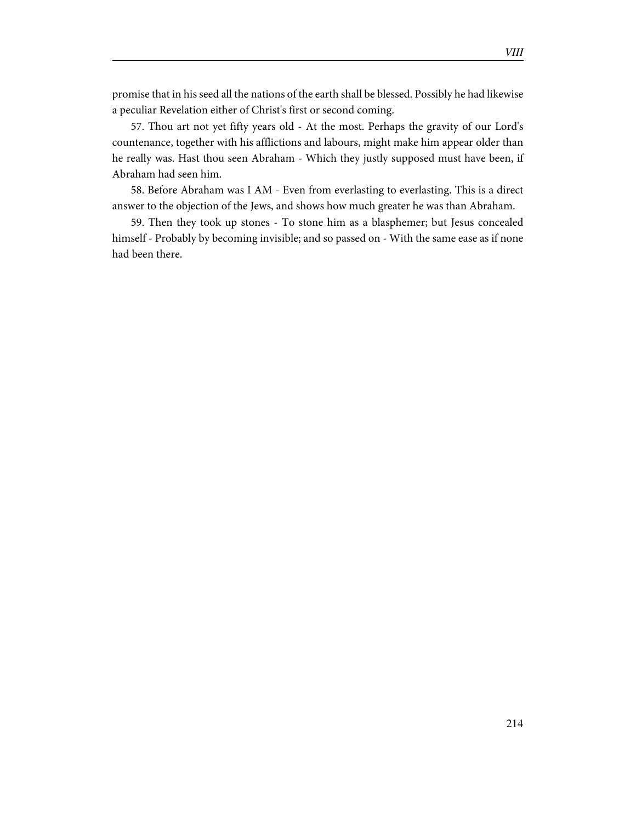57. Thou art not yet fifty years old - At the most. Perhaps the gravity of our Lord's countenance, together with his afflictions and labours, might make him appear older than he really was. Hast thou seen Abraham - Which they justly supposed must have been, if Abraham had seen him.

58. Before Abraham was I AM - Even from everlasting to everlasting. This is a direct answer to the objection of the Jews, and shows how much greater he was than Abraham.

59. Then they took up stones - To stone him as a blasphemer; but Jesus concealed himself - Probably by becoming invisible; and so passed on - With the same ease as if none had been there.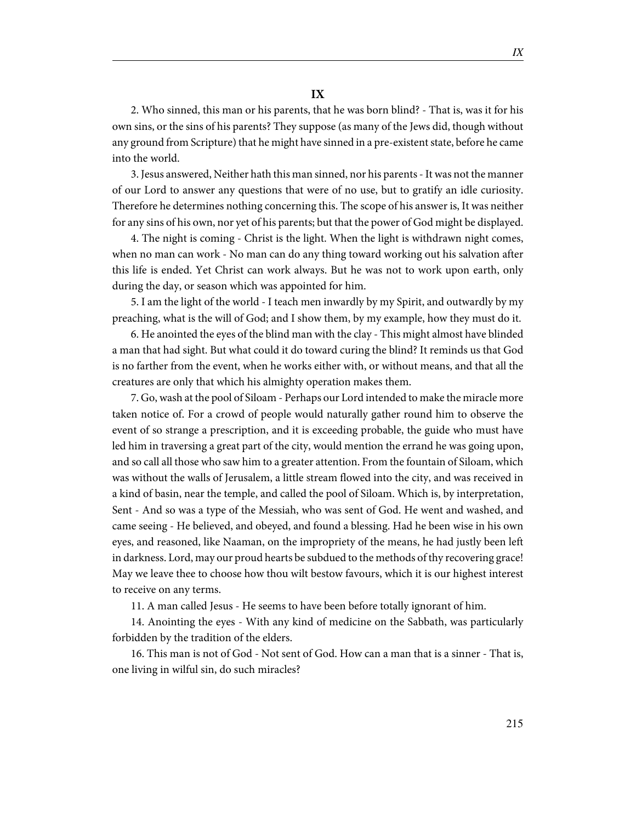2. Who sinned, this man or his parents, that he was born blind? - That is, was it for his own sins, or the sins of his parents? They suppose (as many of the Jews did, though without any ground from Scripture) that he might have sinned in a pre-existent state, before he came into the world.

3. Jesus answered, Neither hath this man sinned, nor his parents - It was not the manner of our Lord to answer any questions that were of no use, but to gratify an idle curiosity. Therefore he determines nothing concerning this. The scope of his answer is, It was neither for any sins of his own, nor yet of his parents; but that the power of God might be displayed.

4. The night is coming - Christ is the light. When the light is withdrawn night comes, when no man can work - No man can do any thing toward working out his salvation after this life is ended. Yet Christ can work always. But he was not to work upon earth, only during the day, or season which was appointed for him.

5. I am the light of the world - I teach men inwardly by my Spirit, and outwardly by my preaching, what is the will of God; and I show them, by my example, how they must do it.

6. He anointed the eyes of the blind man with the clay - This might almost have blinded a man that had sight. But what could it do toward curing the blind? It reminds us that God is no farther from the event, when he works either with, or without means, and that all the creatures are only that which his almighty operation makes them.

7. Go, wash at the pool of Siloam - Perhaps our Lord intended to make the miracle more taken notice of. For a crowd of people would naturally gather round him to observe the event of so strange a prescription, and it is exceeding probable, the guide who must have led him in traversing a great part of the city, would mention the errand he was going upon, and so call all those who saw him to a greater attention. From the fountain of Siloam, which was without the walls of Jerusalem, a little stream flowed into the city, and was received in a kind of basin, near the temple, and called the pool of Siloam. Which is, by interpretation, Sent - And so was a type of the Messiah, who was sent of God. He went and washed, and came seeing - He believed, and obeyed, and found a blessing. Had he been wise in his own eyes, and reasoned, like Naaman, on the impropriety of the means, he had justly been left in darkness. Lord, may our proud hearts be subdued to the methods of thy recovering grace! May we leave thee to choose how thou wilt bestow favours, which it is our highest interest to receive on any terms.

11. A man called Jesus - He seems to have been before totally ignorant of him.

14. Anointing the eyes - With any kind of medicine on the Sabbath, was particularly forbidden by the tradition of the elders.

16. This man is not of God - Not sent of God. How can a man that is a sinner - That is, one living in wilful sin, do such miracles?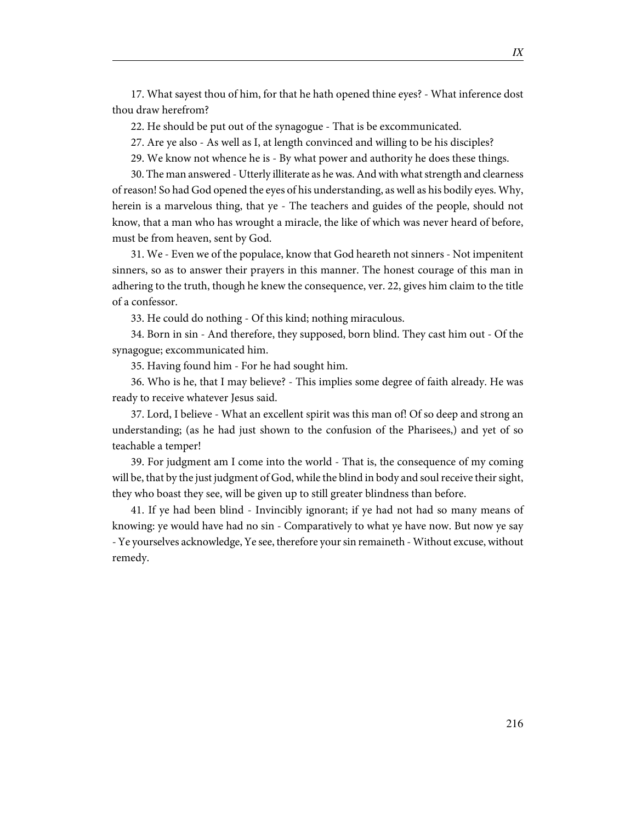17. What sayest thou of him, for that he hath opened thine eyes? - What inference dost thou draw herefrom?

22. He should be put out of the synagogue - That is be excommunicated.

27. Are ye also - As well as I, at length convinced and willing to be his disciples?

29. We know not whence he is - By what power and authority he does these things.

30. The man answered - Utterly illiterate as he was. And with what strength and clearness of reason! So had God opened the eyes of his understanding, as well as his bodily eyes. Why, herein is a marvelous thing, that ye - The teachers and guides of the people, should not know, that a man who has wrought a miracle, the like of which was never heard of before, must be from heaven, sent by God.

31. We - Even we of the populace, know that God heareth not sinners - Not impenitent sinners, so as to answer their prayers in this manner. The honest courage of this man in adhering to the truth, though he knew the consequence, ver. 22, gives him claim to the title of a confessor.

33. He could do nothing - Of this kind; nothing miraculous.

34. Born in sin - And therefore, they supposed, born blind. They cast him out - Of the synagogue; excommunicated him.

35. Having found him - For he had sought him.

36. Who is he, that I may believe? - This implies some degree of faith already. He was ready to receive whatever Jesus said.

37. Lord, I believe - What an excellent spirit was this man of! Of so deep and strong an understanding; (as he had just shown to the confusion of the Pharisees,) and yet of so teachable a temper!

39. For judgment am I come into the world - That is, the consequence of my coming will be, that by the just judgment of God, while the blind in body and soul receive their sight, they who boast they see, will be given up to still greater blindness than before.

41. If ye had been blind - Invincibly ignorant; if ye had not had so many means of knowing: ye would have had no sin - Comparatively to what ye have now. But now ye say - Ye yourselves acknowledge, Ye see, therefore your sin remaineth - Without excuse, without remedy.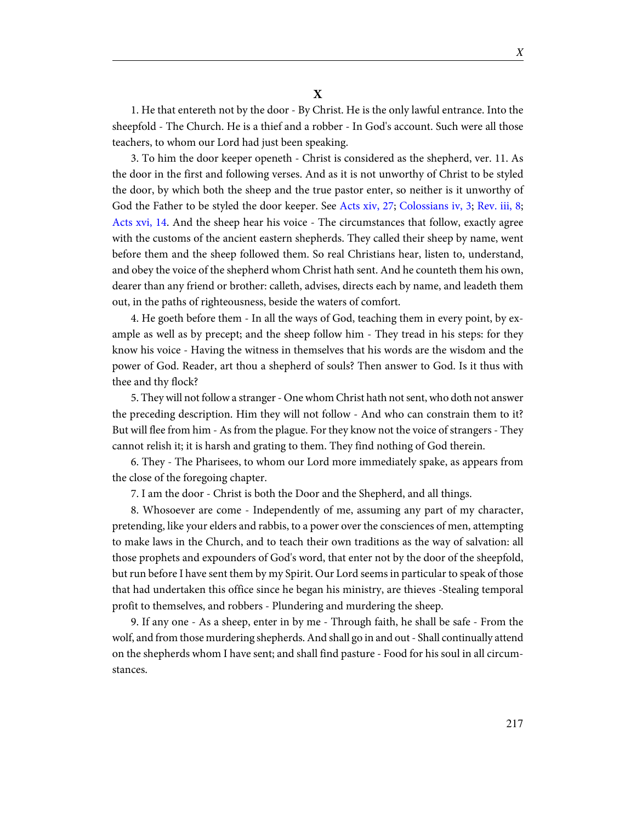1. He that entereth not by the door - By Christ. He is the only lawful entrance. Into the sheepfold - The Church. He is a thief and a robber - In God's account. Such were all those teachers, to whom our Lord had just been speaking.

3. To him the door keeper openeth - Christ is considered as the shepherd, ver. 11. As the door in the first and following verses. And as it is not unworthy of Christ to be styled the door, by which both the sheep and the true pastor enter, so neither is it unworthy of God the Father to be styled the door keeper. See [Acts xiv, 27](http://www.ccel.org/study/Bible:Acts.14.27); [Colossians iv, 3;](http://www.ccel.org/study/Bible:Col.4.3) [Rev. iii, 8;](http://www.ccel.org/study/Bible:Rev.3.8) [Acts xvi, 14](http://www.ccel.org/study/Bible:Acts.16.14). And the sheep hear his voice - The circumstances that follow, exactly agree with the customs of the ancient eastern shepherds. They called their sheep by name, went before them and the sheep followed them. So real Christians hear, listen to, understand, and obey the voice of the shepherd whom Christ hath sent. And he counteth them his own, dearer than any friend or brother: calleth, advises, directs each by name, and leadeth them out, in the paths of righteousness, beside the waters of comfort.

4. He goeth before them - In all the ways of God, teaching them in every point, by example as well as by precept; and the sheep follow him - They tread in his steps: for they know his voice - Having the witness in themselves that his words are the wisdom and the power of God. Reader, art thou a shepherd of souls? Then answer to God. Is it thus with thee and thy flock?

5. They will not follow a stranger - One whom Christ hath not sent, who doth not answer the preceding description. Him they will not follow - And who can constrain them to it? But will flee from him - As from the plague. For they know not the voice of strangers - They cannot relish it; it is harsh and grating to them. They find nothing of God therein.

6. They - The Pharisees, to whom our Lord more immediately spake, as appears from the close of the foregoing chapter.

7. I am the door - Christ is both the Door and the Shepherd, and all things.

8. Whosoever are come - Independently of me, assuming any part of my character, pretending, like your elders and rabbis, to a power over the consciences of men, attempting to make laws in the Church, and to teach their own traditions as the way of salvation: all those prophets and expounders of God's word, that enter not by the door of the sheepfold, but run before I have sent them by my Spirit. Our Lord seems in particular to speak of those that had undertaken this office since he began his ministry, are thieves -Stealing temporal profit to themselves, and robbers - Plundering and murdering the sheep.

9. If any one - As a sheep, enter in by me - Through faith, he shall be safe - From the wolf, and from those murdering shepherds. And shall go in and out - Shall continually attend on the shepherds whom I have sent; and shall find pasture - Food for his soul in all circumstances.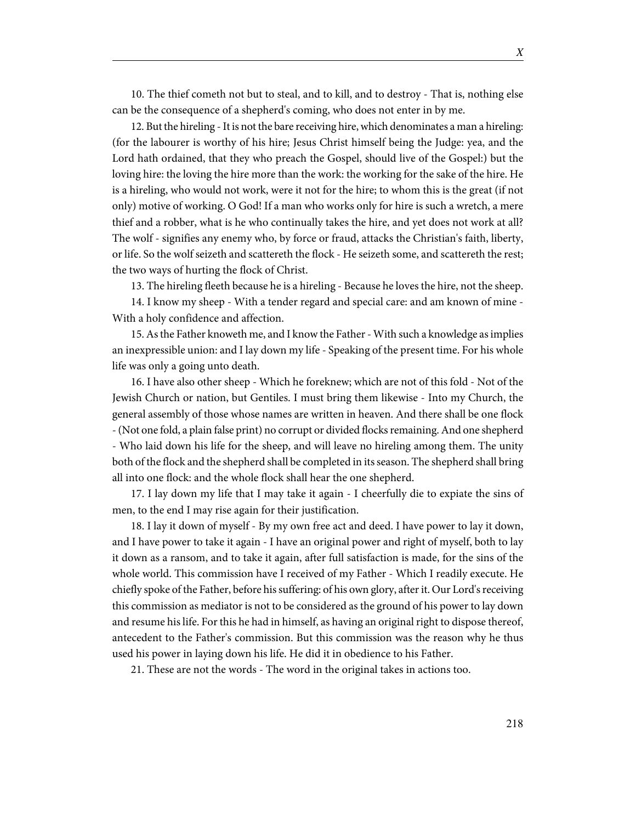10. The thief cometh not but to steal, and to kill, and to destroy - That is, nothing else can be the consequence of a shepherd's coming, who does not enter in by me.

12. But the hireling - It is not the bare receiving hire, which denominates a man a hireling: (for the labourer is worthy of his hire; Jesus Christ himself being the Judge: yea, and the Lord hath ordained, that they who preach the Gospel, should live of the Gospel:) but the loving hire: the loving the hire more than the work: the working for the sake of the hire. He is a hireling, who would not work, were it not for the hire; to whom this is the great (if not only) motive of working. O God! If a man who works only for hire is such a wretch, a mere thief and a robber, what is he who continually takes the hire, and yet does not work at all? The wolf - signifies any enemy who, by force or fraud, attacks the Christian's faith, liberty, or life. So the wolf seizeth and scattereth the flock - He seizeth some, and scattereth the rest; the two ways of hurting the flock of Christ.

13. The hireling fleeth because he is a hireling - Because he loves the hire, not the sheep.

14. I know my sheep - With a tender regard and special care: and am known of mine - With a holy confidence and affection.

15. As the Father knoweth me, and I know the Father - With such a knowledge as implies an inexpressible union: and I lay down my life - Speaking of the present time. For his whole life was only a going unto death.

16. I have also other sheep - Which he foreknew; which are not of this fold - Not of the Jewish Church or nation, but Gentiles. I must bring them likewise - Into my Church, the general assembly of those whose names are written in heaven. And there shall be one flock - (Not one fold, a plain false print) no corrupt or divided flocks remaining. And one shepherd - Who laid down his life for the sheep, and will leave no hireling among them. The unity both of the flock and the shepherd shall be completed in its season. The shepherd shall bring all into one flock: and the whole flock shall hear the one shepherd.

17. I lay down my life that I may take it again - I cheerfully die to expiate the sins of men, to the end I may rise again for their justification.

18. I lay it down of myself - By my own free act and deed. I have power to lay it down, and I have power to take it again - I have an original power and right of myself, both to lay it down as a ransom, and to take it again, after full satisfaction is made, for the sins of the whole world. This commission have I received of my Father - Which I readily execute. He chiefly spoke of the Father, before his suffering: of his own glory, after it. Our Lord's receiving this commission as mediator is not to be considered as the ground of his power to lay down and resume his life. For this he had in himself, as having an original right to dispose thereof, antecedent to the Father's commission. But this commission was the reason why he thus used his power in laying down his life. He did it in obedience to his Father.

21. These are not the words - The word in the original takes in actions too.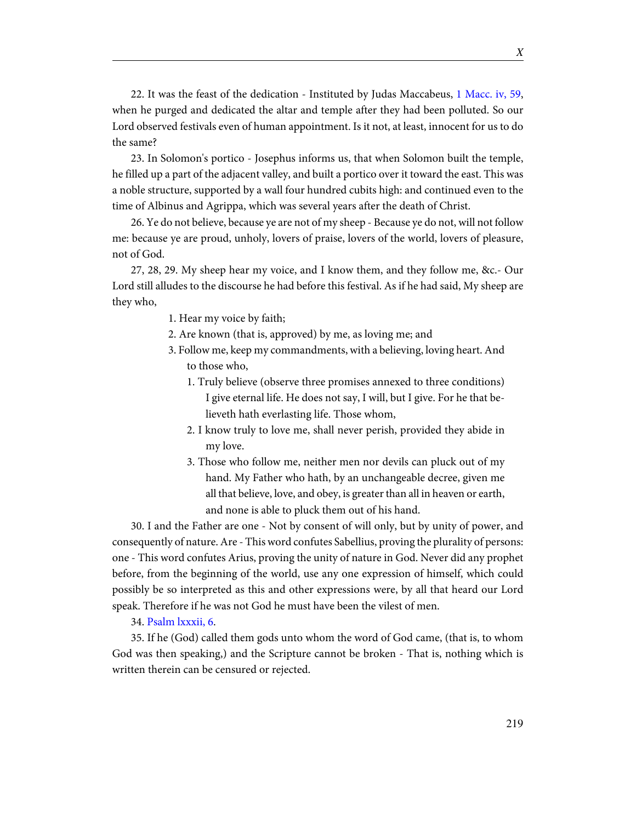22. It was the feast of the dedication - Instituted by Judas Maccabeus, [1 Macc. iv, 59,](http://www.ccel.org/study/Bible:1Macc.4.59) when he purged and dedicated the altar and temple after they had been polluted. So our Lord observed festivals even of human appointment. Is it not, at least, innocent for us to do the same?

23. In Solomon's portico - Josephus informs us, that when Solomon built the temple, he filled up a part of the adjacent valley, and built a portico over it toward the east. This was a noble structure, supported by a wall four hundred cubits high: and continued even to the time of Albinus and Agrippa, which was several years after the death of Christ.

26. Ye do not believe, because ye are not of my sheep - Because ye do not, will not follow me: because ye are proud, unholy, lovers of praise, lovers of the world, lovers of pleasure, not of God.

27, 28, 29. My sheep hear my voice, and I know them, and they follow me, &c.- Our Lord still alludes to the discourse he had before this festival. As if he had said, My sheep are they who,

1. Hear my voice by faith;

- 2. Are known (that is, approved) by me, as loving me; and
- 3. Follow me, keep my commandments, with a believing, loving heart. And to those who,
	- 1. Truly believe (observe three promises annexed to three conditions) I give eternal life. He does not say, I will, but I give. For he that believeth hath everlasting life. Those whom,
	- 2. I know truly to love me, shall never perish, provided they abide in my love.
	- 3. Those who follow me, neither men nor devils can pluck out of my hand. My Father who hath, by an unchangeable decree, given me all that believe, love, and obey, is greater than all in heaven or earth, and none is able to pluck them out of his hand.

30. I and the Father are one - Not by consent of will only, but by unity of power, and consequently of nature. Are - This word confutes Sabellius, proving the plurality of persons: one - This word confutes Arius, proving the unity of nature in God. Never did any prophet before, from the beginning of the world, use any one expression of himself, which could possibly be so interpreted as this and other expressions were, by all that heard our Lord speak. Therefore if he was not God he must have been the vilest of men.

34. [Psalm lxxxii, 6.](http://www.ccel.org/study/Bible:Ps.82.6)

35. If he (God) called them gods unto whom the word of God came, (that is, to whom God was then speaking,) and the Scripture cannot be broken - That is, nothing which is written therein can be censured or rejected.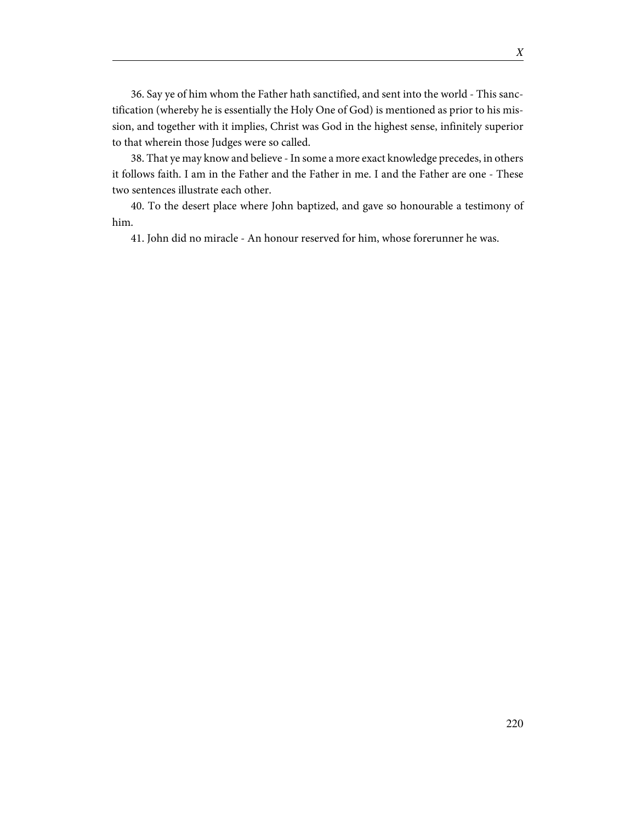36. Say ye of him whom the Father hath sanctified, and sent into the world - This sanctification (whereby he is essentially the Holy One of God) is mentioned as prior to his mission, and together with it implies, Christ was God in the highest sense, infinitely superior to that wherein those Judges were so called.

38. That ye may know and believe - In some a more exact knowledge precedes, in others it follows faith. I am in the Father and the Father in me. I and the Father are one - These two sentences illustrate each other.

40. To the desert place where John baptized, and gave so honourable a testimony of him.

41. John did no miracle - An honour reserved for him, whose forerunner he was.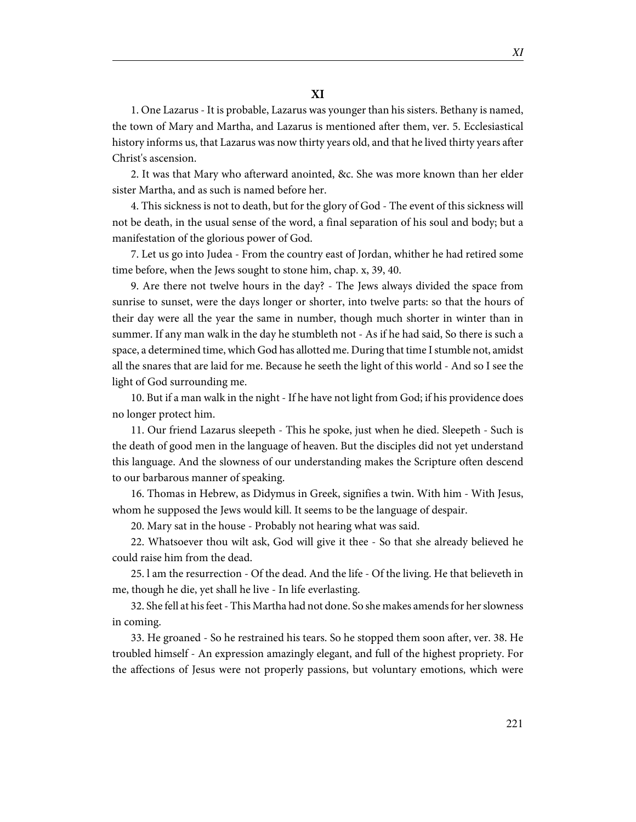1. One Lazarus - It is probable, Lazarus was younger than his sisters. Bethany is named, the town of Mary and Martha, and Lazarus is mentioned after them, ver. 5. Ecclesiastical history informs us, that Lazarus was now thirty years old, and that he lived thirty years after Christ's ascension.

2. It was that Mary who afterward anointed, &c. She was more known than her elder sister Martha, and as such is named before her.

4. This sickness is not to death, but for the glory of God - The event of this sickness will not be death, in the usual sense of the word, a final separation of his soul and body; but a manifestation of the glorious power of God.

7. Let us go into Judea - From the country east of Jordan, whither he had retired some time before, when the Jews sought to stone him, chap. x, 39, 40.

9. Are there not twelve hours in the day? - The Jews always divided the space from sunrise to sunset, were the days longer or shorter, into twelve parts: so that the hours of their day were all the year the same in number, though much shorter in winter than in summer. If any man walk in the day he stumbleth not - As if he had said, So there is such a space, a determined time, which God has allotted me. During that time I stumble not, amidst all the snares that are laid for me. Because he seeth the light of this world - And so I see the light of God surrounding me.

10. But if a man walk in the night - If he have not light from God; if his providence does no longer protect him.

11. Our friend Lazarus sleepeth - This he spoke, just when he died. Sleepeth - Such is the death of good men in the language of heaven. But the disciples did not yet understand this language. And the slowness of our understanding makes the Scripture often descend to our barbarous manner of speaking.

16. Thomas in Hebrew, as Didymus in Greek, signifies a twin. With him - With Jesus, whom he supposed the Jews would kill. It seems to be the language of despair.

20. Mary sat in the house - Probably not hearing what was said.

22. Whatsoever thou wilt ask, God will give it thee - So that she already believed he could raise him from the dead.

25. l am the resurrection - Of the dead. And the life - Of the living. He that believeth in me, though he die, yet shall he live - In life everlasting.

32. She fell at his feet - This Martha had not done. So she makes amends for her slowness in coming.

33. He groaned - So he restrained his tears. So he stopped them soon after, ver. 38. He troubled himself - An expression amazingly elegant, and full of the highest propriety. For the affections of Jesus were not properly passions, but voluntary emotions, which were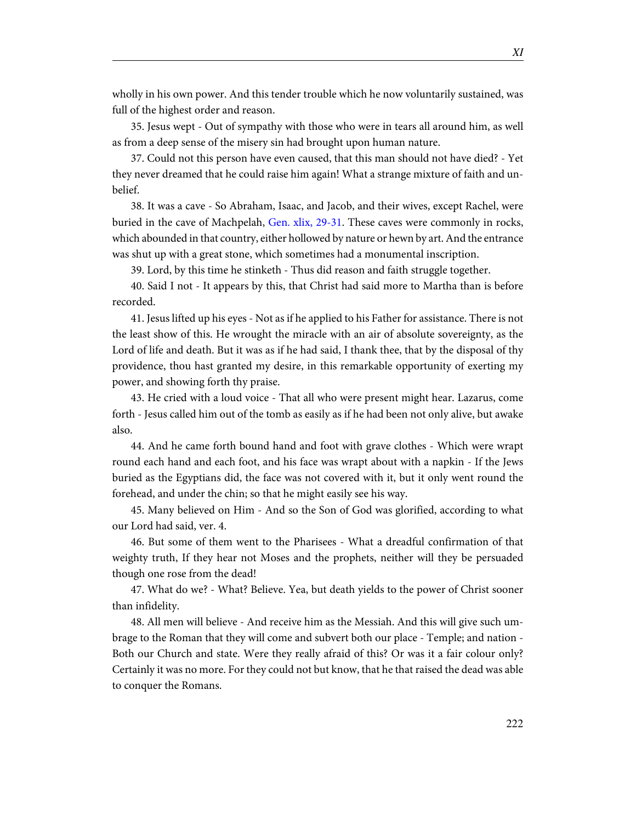wholly in his own power. And this tender trouble which he now voluntarily sustained, was full of the highest order and reason.

35. Jesus wept - Out of sympathy with those who were in tears all around him, as well as from a deep sense of the misery sin had brought upon human nature.

37. Could not this person have even caused, that this man should not have died? - Yet they never dreamed that he could raise him again! What a strange mixture of faith and unbelief.

38. It was a cave - So Abraham, Isaac, and Jacob, and their wives, except Rachel, were buried in the cave of Machpelah, [Gen. xlix, 29-31](http://www.ccel.org/study/Bible:Gen.49.29-Gen.49.31). These caves were commonly in rocks, which abounded in that country, either hollowed by nature or hewn by art. And the entrance was shut up with a great stone, which sometimes had a monumental inscription.

39. Lord, by this time he stinketh - Thus did reason and faith struggle together.

40. Said I not - It appears by this, that Christ had said more to Martha than is before recorded.

41. Jesus lifted up his eyes - Not as if he applied to his Father for assistance. There is not the least show of this. He wrought the miracle with an air of absolute sovereignty, as the Lord of life and death. But it was as if he had said, I thank thee, that by the disposal of thy providence, thou hast granted my desire, in this remarkable opportunity of exerting my power, and showing forth thy praise.

43. He cried with a loud voice - That all who were present might hear. Lazarus, come forth - Jesus called him out of the tomb as easily as if he had been not only alive, but awake also.

44. And he came forth bound hand and foot with grave clothes - Which were wrapt round each hand and each foot, and his face was wrapt about with a napkin - If the Jews buried as the Egyptians did, the face was not covered with it, but it only went round the forehead, and under the chin; so that he might easily see his way.

45. Many believed on Him - And so the Son of God was glorified, according to what our Lord had said, ver. 4.

46. But some of them went to the Pharisees - What a dreadful confirmation of that weighty truth, If they hear not Moses and the prophets, neither will they be persuaded though one rose from the dead!

47. What do we? - What? Believe. Yea, but death yields to the power of Christ sooner than infidelity.

48. All men will believe - And receive him as the Messiah. And this will give such umbrage to the Roman that they will come and subvert both our place - Temple; and nation - Both our Church and state. Were they really afraid of this? Or was it a fair colour only? Certainly it was no more. For they could not but know, that he that raised the dead was able to conquer the Romans.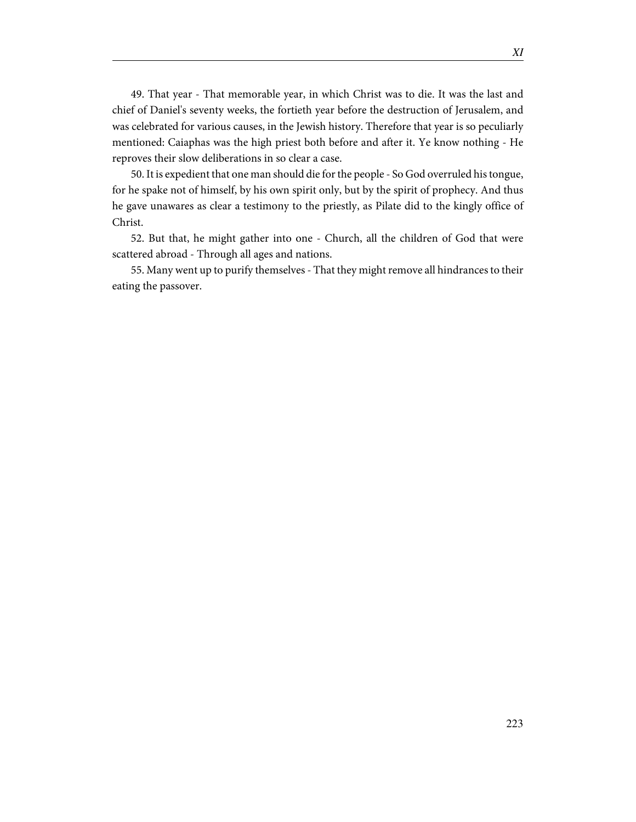49. That year - That memorable year, in which Christ was to die. It was the last and chief of Daniel's seventy weeks, the fortieth year before the destruction of Jerusalem, and was celebrated for various causes, in the Jewish history. Therefore that year is so peculiarly mentioned: Caiaphas was the high priest both before and after it. Ye know nothing - He reproves their slow deliberations in so clear a case.

50. It is expedient that one man should die for the people - So God overruled his tongue, for he spake not of himself, by his own spirit only, but by the spirit of prophecy. And thus he gave unawares as clear a testimony to the priestly, as Pilate did to the kingly office of Christ.

52. But that, he might gather into one - Church, all the children of God that were scattered abroad - Through all ages and nations.

55. Many went up to purify themselves - That they might remove all hindrances to their eating the passover.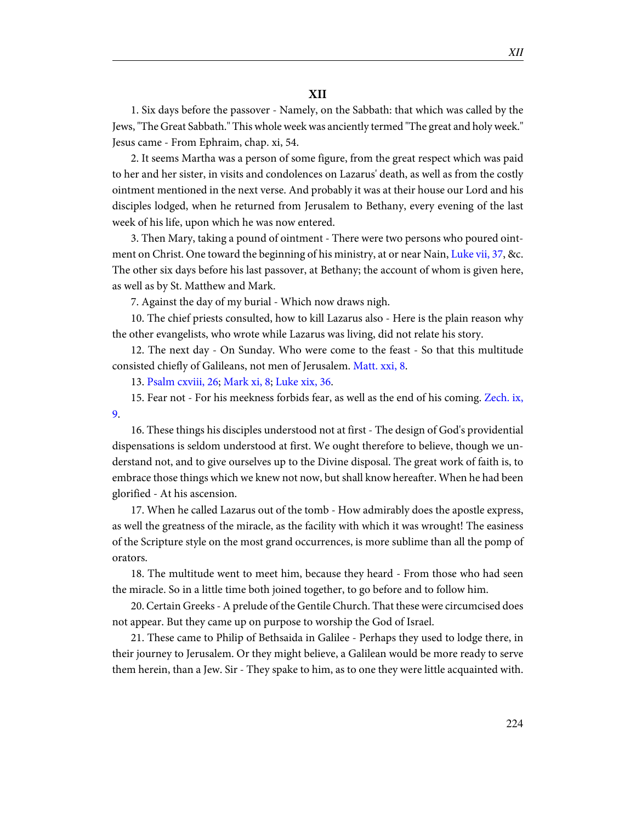1. Six days before the passover - Namely, on the Sabbath: that which was called by the Jews, "The Great Sabbath." This whole week was anciently termed "The great and holy week." Jesus came - From Ephraim, chap. xi, 54.

2. It seems Martha was a person of some figure, from the great respect which was paid to her and her sister, in visits and condolences on Lazarus' death, as well as from the costly ointment mentioned in the next verse. And probably it was at their house our Lord and his disciples lodged, when he returned from Jerusalem to Bethany, every evening of the last week of his life, upon which he was now entered.

3. Then Mary, taking a pound of ointment - There were two persons who poured ointment on Christ. One toward the beginning of his ministry, at or near Nain, [Luke vii, 37](http://www.ccel.org/study/Bible:Luke.7.37), &c. The other six days before his last passover, at Bethany; the account of whom is given here, as well as by St. Matthew and Mark.

7. Against the day of my burial - Which now draws nigh.

10. The chief priests consulted, how to kill Lazarus also - Here is the plain reason why the other evangelists, who wrote while Lazarus was living, did not relate his story.

12. The next day - On Sunday. Who were come to the feast - So that this multitude consisted chiefly of Galileans, not men of Jerusalem. [Matt. xxi, 8](http://www.ccel.org/study/Bible:Matt.21.8).

13. [Psalm cxviii, 26](http://www.ccel.org/study/Bible:Ps.118.26); [Mark xi, 8](http://www.ccel.org/study/Bible:Mark.11.8); [Luke xix, 36.](http://www.ccel.org/study/Bible:Luke.19.36)

15. Fear not - For his meekness forbids fear, as well as the end of his coming. [Zech. ix,](http://www.ccel.org/study/Bible:Zech.9.9) [9](http://www.ccel.org/study/Bible:Zech.9.9).

16. These things his disciples understood not at first - The design of God's providential dispensations is seldom understood at first. We ought therefore to believe, though we understand not, and to give ourselves up to the Divine disposal. The great work of faith is, to embrace those things which we knew not now, but shall know hereafter. When he had been glorified - At his ascension.

17. When he called Lazarus out of the tomb - How admirably does the apostle express, as well the greatness of the miracle, as the facility with which it was wrought! The easiness of the Scripture style on the most grand occurrences, is more sublime than all the pomp of orators.

18. The multitude went to meet him, because they heard - From those who had seen the miracle. So in a little time both joined together, to go before and to follow him.

20. Certain Greeks - A prelude of the Gentile Church. That these were circumcised does not appear. But they came up on purpose to worship the God of Israel.

21. These came to Philip of Bethsaida in Galilee - Perhaps they used to lodge there, in their journey to Jerusalem. Or they might believe, a Galilean would be more ready to serve them herein, than a Jew. Sir - They spake to him, as to one they were little acquainted with.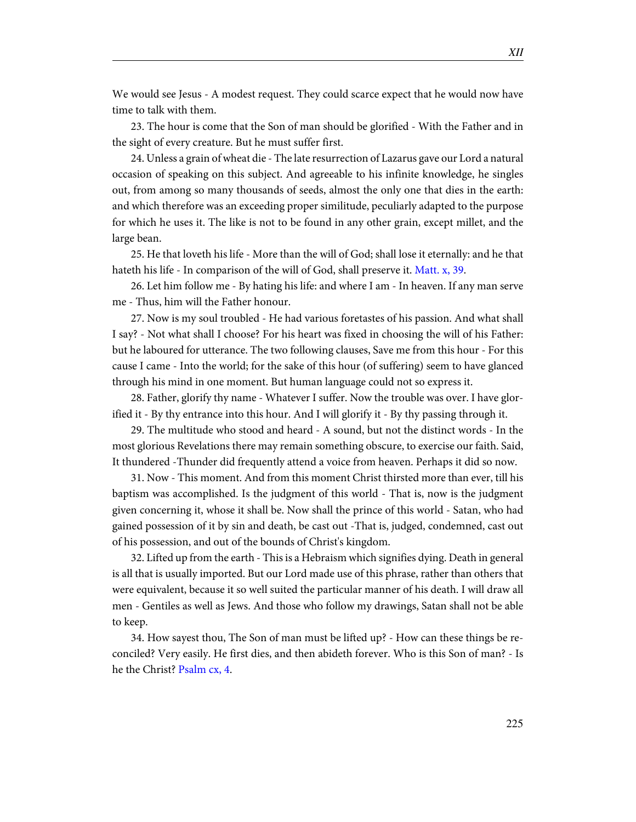We would see Jesus - A modest request. They could scarce expect that he would now have time to talk with them.

23. The hour is come that the Son of man should be glorified - With the Father and in the sight of every creature. But he must suffer first.

24. Unless a grain of wheat die - The late resurrection of Lazarus gave our Lord a natural occasion of speaking on this subject. And agreeable to his infinite knowledge, he singles out, from among so many thousands of seeds, almost the only one that dies in the earth: and which therefore was an exceeding proper similitude, peculiarly adapted to the purpose for which he uses it. The like is not to be found in any other grain, except millet, and the large bean.

25. He that loveth his life - More than the will of God; shall lose it eternally: and he that hateth his life - In comparison of the will of God, shall preserve it. [Matt. x, 39](http://www.ccel.org/study/Bible:Matt.10.39).

26. Let him follow me - By hating his life: and where I am - In heaven. If any man serve me - Thus, him will the Father honour.

27. Now is my soul troubled - He had various foretastes of his passion. And what shall I say? - Not what shall I choose? For his heart was fixed in choosing the will of his Father: but he laboured for utterance. The two following clauses, Save me from this hour - For this cause I came - Into the world; for the sake of this hour (of suffering) seem to have glanced through his mind in one moment. But human language could not so express it.

28. Father, glorify thy name - Whatever I suffer. Now the trouble was over. I have glorified it - By thy entrance into this hour. And I will glorify it - By thy passing through it.

29. The multitude who stood and heard - A sound, but not the distinct words - In the most glorious Revelations there may remain something obscure, to exercise our faith. Said, It thundered -Thunder did frequently attend a voice from heaven. Perhaps it did so now.

31. Now - This moment. And from this moment Christ thirsted more than ever, till his baptism was accomplished. Is the judgment of this world - That is, now is the judgment given concerning it, whose it shall be. Now shall the prince of this world - Satan, who had gained possession of it by sin and death, be cast out -That is, judged, condemned, cast out of his possession, and out of the bounds of Christ's kingdom.

32. Lifted up from the earth - This is a Hebraism which signifies dying. Death in general is all that is usually imported. But our Lord made use of this phrase, rather than others that were equivalent, because it so well suited the particular manner of his death. I will draw all men - Gentiles as well as Jews. And those who follow my drawings, Satan shall not be able to keep.

34. How sayest thou, The Son of man must be lifted up? - How can these things be reconciled? Very easily. He first dies, and then abideth forever. Who is this Son of man? - Is he the Christ? [Psalm cx, 4](http://www.ccel.org/study/Bible:Ps.110.4).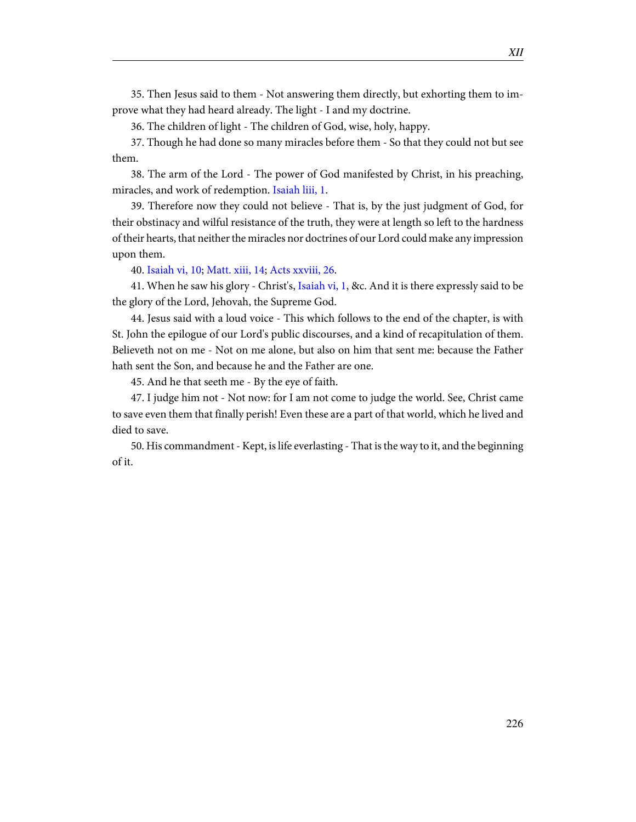35. Then Jesus said to them - Not answering them directly, but exhorting them to improve what they had heard already. The light - I and my doctrine.

36. The children of light - The children of God, wise, holy, happy.

37. Though he had done so many miracles before them - So that they could not but see them.

38. The arm of the Lord - The power of God manifested by Christ, in his preaching, miracles, and work of redemption. [Isaiah liii, 1](http://www.ccel.org/study/Bible:Isa.53.1).

39. Therefore now they could not believe - That is, by the just judgment of God, for their obstinacy and wilful resistance of the truth, they were at length so left to the hardness of their hearts, that neither the miracles nor doctrines of our Lord could make any impression upon them.

40. [Isaiah vi, 10;](http://www.ccel.org/study/Bible:Isa.6.10) [Matt. xiii, 14;](http://www.ccel.org/study/Bible:Matt.13.14) [Acts xxviii, 26.](http://www.ccel.org/study/Bible:Acts.28.26)

41. When he saw his glory - Christ's, [Isaiah vi, 1,](http://www.ccel.org/study/Bible:Isa.6.1) &c. And it is there expressly said to be the glory of the Lord, Jehovah, the Supreme God.

44. Jesus said with a loud voice - This which follows to the end of the chapter, is with St. John the epilogue of our Lord's public discourses, and a kind of recapitulation of them. Believeth not on me - Not on me alone, but also on him that sent me: because the Father hath sent the Son, and because he and the Father are one.

45. And he that seeth me - By the eye of faith.

47. I judge him not - Not now: for I am not come to judge the world. See, Christ came to save even them that finally perish! Even these are a part of that world, which he lived and died to save.

50. His commandment - Kept, is life everlasting - That is the way to it, and the beginning of it.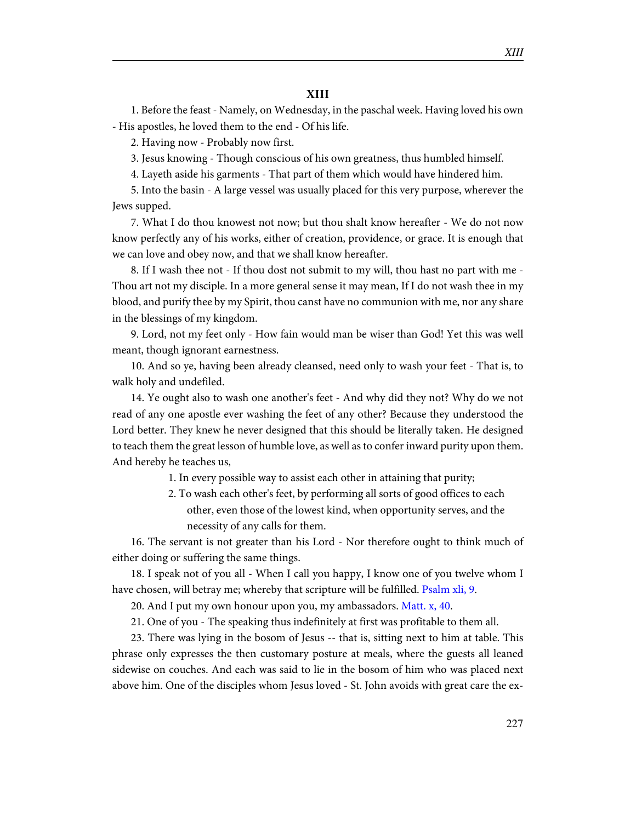## **XIII**

1. Before the feast - Namely, on Wednesday, in the paschal week. Having loved his own - His apostles, he loved them to the end - Of his life.

2. Having now - Probably now first.

3. Jesus knowing - Though conscious of his own greatness, thus humbled himself.

4. Layeth aside his garments - That part of them which would have hindered him.

5. Into the basin - A large vessel was usually placed for this very purpose, wherever the Jews supped.

7. What I do thou knowest not now; but thou shalt know hereafter - We do not now know perfectly any of his works, either of creation, providence, or grace. It is enough that we can love and obey now, and that we shall know hereafter.

8. If I wash thee not - If thou dost not submit to my will, thou hast no part with me - Thou art not my disciple. In a more general sense it may mean, If I do not wash thee in my blood, and purify thee by my Spirit, thou canst have no communion with me, nor any share in the blessings of my kingdom.

9. Lord, not my feet only - How fain would man be wiser than God! Yet this was well meant, though ignorant earnestness.

10. And so ye, having been already cleansed, need only to wash your feet - That is, to walk holy and undefiled.

14. Ye ought also to wash one another's feet - And why did they not? Why do we not read of any one apostle ever washing the feet of any other? Because they understood the Lord better. They knew he never designed that this should be literally taken. He designed to teach them the great lesson of humble love, as well as to confer inward purity upon them. And hereby he teaches us,

1. In every possible way to assist each other in attaining that purity;

2. To wash each other's feet, by performing all sorts of good offices to each other, even those of the lowest kind, when opportunity serves, and the necessity of any calls for them.

16. The servant is not greater than his Lord - Nor therefore ought to think much of either doing or suffering the same things.

18. I speak not of you all - When I call you happy, I know one of you twelve whom I have chosen, will betray me; whereby that scripture will be fulfilled. [Psalm xli, 9.](http://www.ccel.org/study/Bible:Ps.41.9)

20. And I put my own honour upon you, my ambassadors. [Matt. x, 40.](http://www.ccel.org/study/Bible:Matt.10.40)

21. One of you - The speaking thus indefinitely at first was profitable to them all.

23. There was lying in the bosom of Jesus -- that is, sitting next to him at table. This phrase only expresses the then customary posture at meals, where the guests all leaned sidewise on couches. And each was said to lie in the bosom of him who was placed next above him. One of the disciples whom Jesus loved - St. John avoids with great care the ex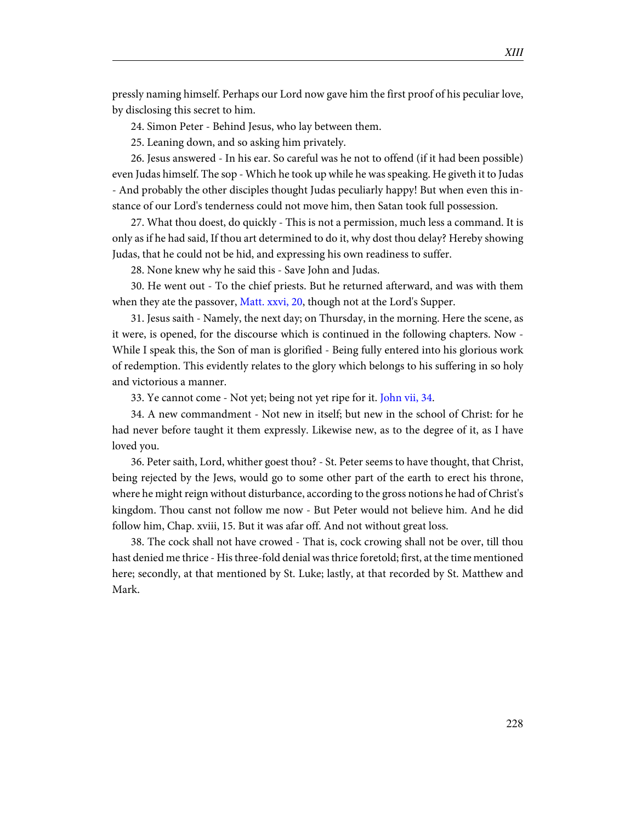pressly naming himself. Perhaps our Lord now gave him the first proof of his peculiar love, by disclosing this secret to him.

24. Simon Peter - Behind Jesus, who lay between them.

25. Leaning down, and so asking him privately.

26. Jesus answered - In his ear. So careful was he not to offend (if it had been possible) even Judas himself. The sop - Which he took up while he was speaking. He giveth it to Judas - And probably the other disciples thought Judas peculiarly happy! But when even this instance of our Lord's tenderness could not move him, then Satan took full possession.

27. What thou doest, do quickly - This is not a permission, much less a command. It is only as if he had said, If thou art determined to do it, why dost thou delay? Hereby showing Judas, that he could not be hid, and expressing his own readiness to suffer.

28. None knew why he said this - Save John and Judas.

30. He went out - To the chief priests. But he returned afterward, and was with them when they ate the passover, [Matt. xxvi, 20](http://www.ccel.org/study/Bible:Matt.26.20), though not at the Lord's Supper.

31. Jesus saith - Namely, the next day; on Thursday, in the morning. Here the scene, as it were, is opened, for the discourse which is continued in the following chapters. Now - While I speak this, the Son of man is glorified - Being fully entered into his glorious work of redemption. This evidently relates to the glory which belongs to his suffering in so holy and victorious a manner.

33. Ye cannot come - Not yet; being not yet ripe for it. [John vii, 34](http://www.ccel.org/study/Bible:John.7.34).

34. A new commandment - Not new in itself; but new in the school of Christ: for he had never before taught it them expressly. Likewise new, as to the degree of it, as I have loved you.

36. Peter saith, Lord, whither goest thou? - St. Peter seems to have thought, that Christ, being rejected by the Jews, would go to some other part of the earth to erect his throne, where he might reign without disturbance, according to the gross notions he had of Christ's kingdom. Thou canst not follow me now - But Peter would not believe him. And he did follow him, Chap. xviii, 15. But it was afar off. And not without great loss.

38. The cock shall not have crowed - That is, cock crowing shall not be over, till thou hast denied me thrice - His three-fold denial was thrice foretold; first, at the time mentioned here; secondly, at that mentioned by St. Luke; lastly, at that recorded by St. Matthew and Mark.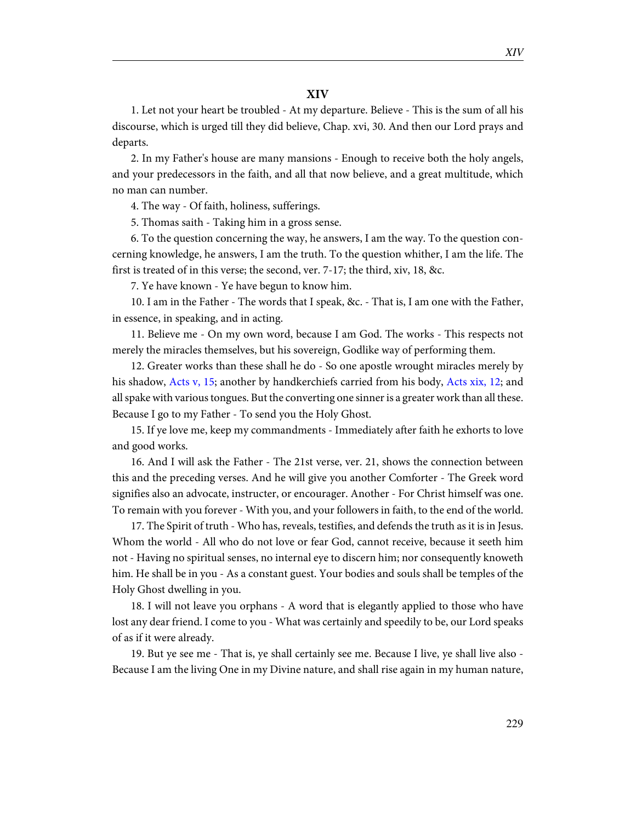#### **XIV**

1. Let not your heart be troubled - At my departure. Believe - This is the sum of all his discourse, which is urged till they did believe, Chap. xvi, 30. And then our Lord prays and departs.

2. In my Father's house are many mansions - Enough to receive both the holy angels, and your predecessors in the faith, and all that now believe, and a great multitude, which no man can number.

4. The way - Of faith, holiness, sufferings.

5. Thomas saith - Taking him in a gross sense.

6. To the question concerning the way, he answers, I am the way. To the question concerning knowledge, he answers, I am the truth. To the question whither, I am the life. The first is treated of in this verse; the second, ver. 7-17; the third, xiv, 18, &c.

7. Ye have known - Ye have begun to know him.

10. I am in the Father - The words that I speak, &c. - That is, I am one with the Father, in essence, in speaking, and in acting.

11. Believe me - On my own word, because I am God. The works - This respects not merely the miracles themselves, but his sovereign, Godlike way of performing them.

12. Greater works than these shall he do - So one apostle wrought miracles merely by his shadow, [Acts v, 15](http://www.ccel.org/study/Bible:Acts.5.15); another by handkerchiefs carried from his body, [Acts xix, 12;](http://www.ccel.org/study/Bible:Acts.19.12) and all spake with various tongues. But the converting one sinner is a greater work than all these. Because I go to my Father - To send you the Holy Ghost.

15. If ye love me, keep my commandments - Immediately after faith he exhorts to love and good works.

16. And I will ask the Father - The 21st verse, ver. 21, shows the connection between this and the preceding verses. And he will give you another Comforter - The Greek word signifies also an advocate, instructer, or encourager. Another - For Christ himself was one. To remain with you forever - With you, and your followers in faith, to the end of the world.

17. The Spirit of truth - Who has, reveals, testifies, and defends the truth as it is in Jesus. Whom the world - All who do not love or fear God, cannot receive, because it seeth him not - Having no spiritual senses, no internal eye to discern him; nor consequently knoweth him. He shall be in you - As a constant guest. Your bodies and souls shall be temples of the Holy Ghost dwelling in you.

18. I will not leave you orphans - A word that is elegantly applied to those who have lost any dear friend. I come to you - What was certainly and speedily to be, our Lord speaks of as if it were already.

19. But ye see me - That is, ye shall certainly see me. Because I live, ye shall live also - Because I am the living One in my Divine nature, and shall rise again in my human nature,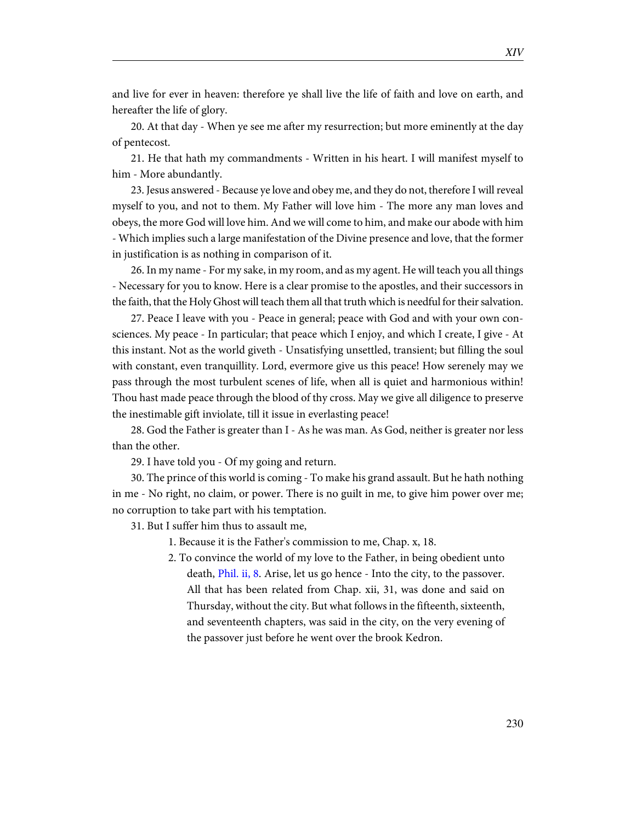and live for ever in heaven: therefore ye shall live the life of faith and love on earth, and hereafter the life of glory.

20. At that day - When ye see me after my resurrection; but more eminently at the day of pentecost.

21. He that hath my commandments - Written in his heart. I will manifest myself to him - More abundantly.

23. Jesus answered - Because ye love and obey me, and they do not, therefore I will reveal myself to you, and not to them. My Father will love him - The more any man loves and obeys, the more God will love him. And we will come to him, and make our abode with him - Which implies such a large manifestation of the Divine presence and love, that the former in justification is as nothing in comparison of it.

26. In my name - For my sake, in my room, and as my agent. He will teach you all things - Necessary for you to know. Here is a clear promise to the apostles, and their successors in the faith, that the Holy Ghost will teach them all that truth which is needful for their salvation.

27. Peace I leave with you - Peace in general; peace with God and with your own consciences. My peace - In particular; that peace which I enjoy, and which I create, I give - At this instant. Not as the world giveth - Unsatisfying unsettled, transient; but filling the soul with constant, even tranquillity. Lord, evermore give us this peace! How serenely may we pass through the most turbulent scenes of life, when all is quiet and harmonious within! Thou hast made peace through the blood of thy cross. May we give all diligence to preserve the inestimable gift inviolate, till it issue in everlasting peace!

28. God the Father is greater than I - As he was man. As God, neither is greater nor less than the other.

29. I have told you - Of my going and return.

30. The prince of this world is coming - To make his grand assault. But he hath nothing in me - No right, no claim, or power. There is no guilt in me, to give him power over me; no corruption to take part with his temptation.

31. But I suffer him thus to assault me,

1. Because it is the Father's commission to me, Chap. x, 18.

2. To convince the world of my love to the Father, in being obedient unto death, [Phil. ii, 8](http://www.ccel.org/study/Bible:Phil.2.8). Arise, let us go hence - Into the city, to the passover. All that has been related from Chap. xii, 31, was done and said on Thursday, without the city. But what follows in the fifteenth, sixteenth, and seventeenth chapters, was said in the city, on the very evening of the passover just before he went over the brook Kedron.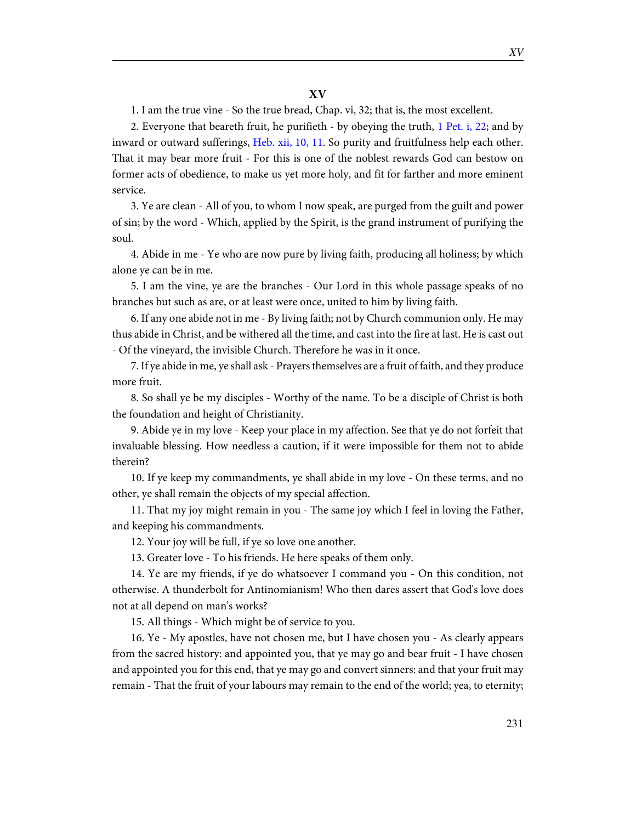#### **XV**

1. I am the true vine - So the true bread, Chap. vi, 32; that is, the most excellent.

2. Everyone that beareth fruit, he purifieth - by obeying the truth, [1 Pet. i, 22](http://www.ccel.org/study/Bible:1Pet.1.22); and by inward or outward sufferings, [Heb. xii, 10, 11.](http://www.ccel.org/study/Bible:Heb.12.10-Heb.12.11) So purity and fruitfulness help each other. That it may bear more fruit - For this is one of the noblest rewards God can bestow on former acts of obedience, to make us yet more holy, and fit for farther and more eminent service.

3. Ye are clean - All of you, to whom I now speak, are purged from the guilt and power of sin; by the word - Which, applied by the Spirit, is the grand instrument of purifying the soul.

4. Abide in me - Ye who are now pure by living faith, producing all holiness; by which alone ye can be in me.

5. I am the vine, ye are the branches - Our Lord in this whole passage speaks of no branches but such as are, or at least were once, united to him by living faith.

6. If any one abide not in me - By living faith; not by Church communion only. He may thus abide in Christ, and be withered all the time, and cast into the fire at last. He is cast out - Of the vineyard, the invisible Church. Therefore he was in it once.

7. If ye abide in me, ye shall ask - Prayers themselves are a fruit of faith, and they produce more fruit.

8. So shall ye be my disciples - Worthy of the name. To be a disciple of Christ is both the foundation and height of Christianity.

9. Abide ye in my love - Keep your place in my affection. See that ye do not forfeit that invaluable blessing. How needless a caution, if it were impossible for them not to abide therein?

10. If ye keep my commandments, ye shall abide in my love - On these terms, and no other, ye shall remain the objects of my special affection.

11. That my joy might remain in you - The same joy which I feel in loving the Father, and keeping his commandments.

12. Your joy will be full, if ye so love one another.

13. Greater love - To his friends. He here speaks of them only.

14. Ye are my friends, if ye do whatsoever I command you - On this condition, not otherwise. A thunderbolt for Antinomianism! Who then dares assert that God's love does not at all depend on man's works?

15. All things - Which might be of service to you.

16. Ye - My apostles, have not chosen me, but I have chosen you - As clearly appears from the sacred history: and appointed you, that ye may go and bear fruit - I have chosen and appointed you for this end, that ye may go and convert sinners: and that your fruit may remain - That the fruit of your labours may remain to the end of the world; yea, to eternity;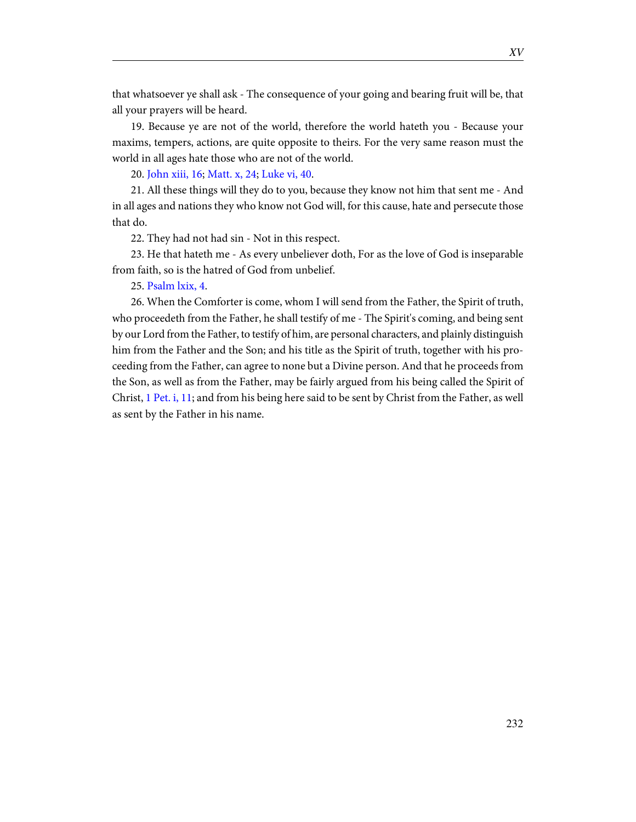that whatsoever ye shall ask - The consequence of your going and bearing fruit will be, that all your prayers will be heard.

19. Because ye are not of the world, therefore the world hateth you - Because your maxims, tempers, actions, are quite opposite to theirs. For the very same reason must the world in all ages hate those who are not of the world.

20. [John xiii, 16;](http://www.ccel.org/study/Bible:John.13.16) [Matt. x, 24;](http://www.ccel.org/study/Bible:Matt.10.24) [Luke vi, 40.](http://www.ccel.org/study/Bible:Luke.6.40)

21. All these things will they do to you, because they know not him that sent me - And in all ages and nations they who know not God will, for this cause, hate and persecute those that do.

22. They had not had sin - Not in this respect.

23. He that hateth me - As every unbeliever doth, For as the love of God is inseparable from faith, so is the hatred of God from unbelief.

25. [Psalm lxix, 4](http://www.ccel.org/study/Bible:Ps.69.4).

26. When the Comforter is come, whom I will send from the Father, the Spirit of truth, who proceedeth from the Father, he shall testify of me - The Spirit's coming, and being sent by our Lord from the Father, to testify of him, are personal characters, and plainly distinguish him from the Father and the Son; and his title as the Spirit of truth, together with his proceeding from the Father, can agree to none but a Divine person. And that he proceeds from the Son, as well as from the Father, may be fairly argued from his being called the Spirit of Christ, [1 Pet. i, 11;](http://www.ccel.org/study/Bible:1Pet.1.11) and from his being here said to be sent by Christ from the Father, as well as sent by the Father in his name.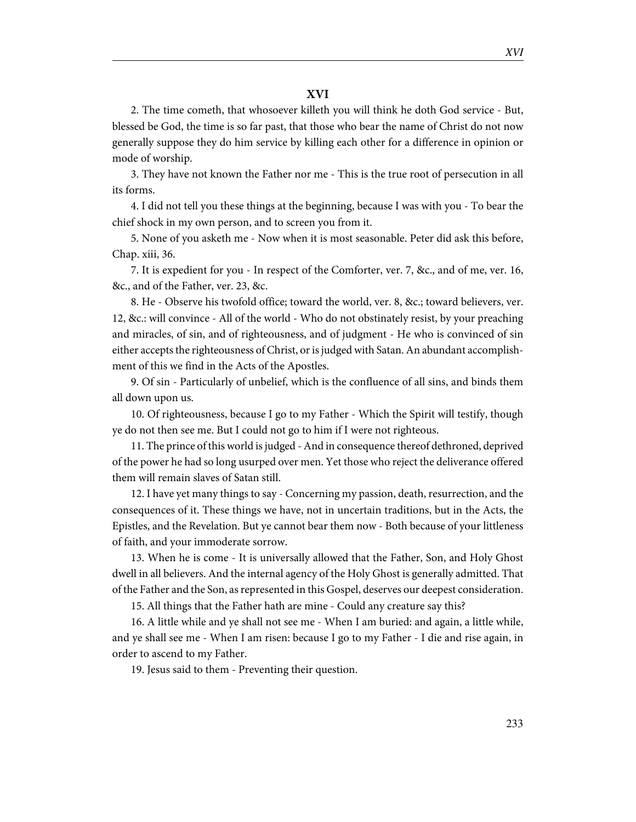#### **XVI**

2. The time cometh, that whosoever killeth you will think he doth God service - But, blessed be God, the time is so far past, that those who bear the name of Christ do not now generally suppose they do him service by killing each other for a difference in opinion or mode of worship.

3. They have not known the Father nor me - This is the true root of persecution in all its forms.

4. I did not tell you these things at the beginning, because I was with you - To bear the chief shock in my own person, and to screen you from it.

5. None of you asketh me - Now when it is most seasonable. Peter did ask this before, Chap. xiii, 36.

7. It is expedient for you - In respect of the Comforter, ver. 7, &c., and of me, ver. 16, &c., and of the Father, ver. 23, &c.

8. He - Observe his twofold office; toward the world, ver. 8, &c.; toward believers, ver. 12, &c.: will convince - All of the world - Who do not obstinately resist, by your preaching and miracles, of sin, and of righteousness, and of judgment - He who is convinced of sin either accepts the righteousness of Christ, or is judged with Satan. An abundant accomplishment of this we find in the Acts of the Apostles.

9. Of sin - Particularly of unbelief, which is the confluence of all sins, and binds them all down upon us.

10. Of righteousness, because I go to my Father - Which the Spirit will testify, though ye do not then see me. But I could not go to him if I were not righteous.

11. The prince of this world is judged - And in consequence thereof dethroned, deprived of the power he had so long usurped over men. Yet those who reject the deliverance offered them will remain slaves of Satan still.

12. I have yet many things to say - Concerning my passion, death, resurrection, and the consequences of it. These things we have, not in uncertain traditions, but in the Acts, the Epistles, and the Revelation. But ye cannot bear them now - Both because of your littleness of faith, and your immoderate sorrow.

13. When he is come - It is universally allowed that the Father, Son, and Holy Ghost dwell in all believers. And the internal agency of the Holy Ghost is generally admitted. That of the Father and the Son, as represented in this Gospel, deserves our deepest consideration.

15. All things that the Father hath are mine - Could any creature say this?

16. A little while and ye shall not see me - When I am buried: and again, a little while, and ye shall see me - When I am risen: because I go to my Father - I die and rise again, in order to ascend to my Father.

19. Jesus said to them - Preventing their question.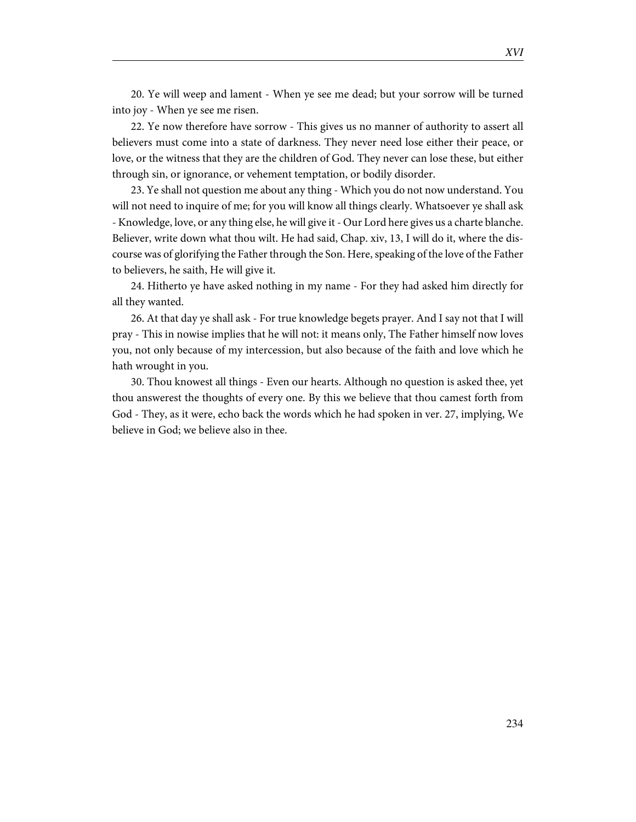20. Ye will weep and lament - When ye see me dead; but your sorrow will be turned into joy - When ye see me risen.

22. Ye now therefore have sorrow - This gives us no manner of authority to assert all believers must come into a state of darkness. They never need lose either their peace, or love, or the witness that they are the children of God. They never can lose these, but either through sin, or ignorance, or vehement temptation, or bodily disorder.

23. Ye shall not question me about any thing - Which you do not now understand. You will not need to inquire of me; for you will know all things clearly. Whatsoever ye shall ask - Knowledge, love, or any thing else, he will give it - Our Lord here gives us a charte blanche. Believer, write down what thou wilt. He had said, Chap. xiv, 13, I will do it, where the discourse was of glorifying the Father through the Son. Here, speaking of the love of the Father to believers, he saith, He will give it.

24. Hitherto ye have asked nothing in my name - For they had asked him directly for all they wanted.

26. At that day ye shall ask - For true knowledge begets prayer. And I say not that I will pray - This in nowise implies that he will not: it means only, The Father himself now loves you, not only because of my intercession, but also because of the faith and love which he hath wrought in you.

30. Thou knowest all things - Even our hearts. Although no question is asked thee, yet thou answerest the thoughts of every one. By this we believe that thou camest forth from God - They, as it were, echo back the words which he had spoken in ver. 27, implying, We believe in God; we believe also in thee.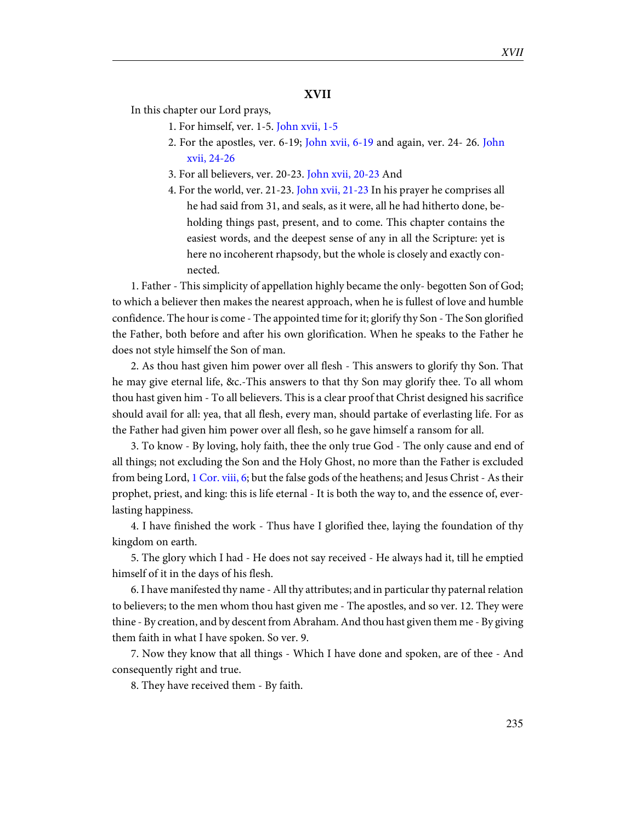## **XVII**

In this chapter our Lord prays,

- 1. For himself, ver. 1-5. [John xvii, 1-5](http://www.ccel.org/study/Bible:John.17.1-John.17.5)
- 2. For the apostles, ver. 6-19; [John xvii, 6-19](http://www.ccel.org/study/Bible:John.17.6-John.17.19) and again, ver. 24- 26. [John](http://www.ccel.org/study/Bible:John.17.24-John.17.26) [xvii, 24-26](http://www.ccel.org/study/Bible:John.17.24-John.17.26)
- 3. For all believers, ver. 20-23. [John xvii, 20-23](http://www.ccel.org/study/Bible:John.17.20-John.17.23) And
- 4. For the world, ver. 21-23. [John xvii, 21-23](http://www.ccel.org/study/Bible:John.17.21-John.17.23) In his prayer he comprises all he had said from 31, and seals, as it were, all he had hitherto done, beholding things past, present, and to come. This chapter contains the easiest words, and the deepest sense of any in all the Scripture: yet is here no incoherent rhapsody, but the whole is closely and exactly connected.

1. Father - This simplicity of appellation highly became the only- begotten Son of God; to which a believer then makes the nearest approach, when he is fullest of love and humble confidence. The hour is come - The appointed time for it; glorify thy Son - The Son glorified the Father, both before and after his own glorification. When he speaks to the Father he does not style himself the Son of man.

2. As thou hast given him power over all flesh - This answers to glorify thy Son. That he may give eternal life, &c.-This answers to that thy Son may glorify thee. To all whom thou hast given him - To all believers. This is a clear proof that Christ designed his sacrifice should avail for all: yea, that all flesh, every man, should partake of everlasting life. For as the Father had given him power over all flesh, so he gave himself a ransom for all.

3. To know - By loving, holy faith, thee the only true God - The only cause and end of all things; not excluding the Son and the Holy Ghost, no more than the Father is excluded from being Lord, [1 Cor. viii, 6;](http://www.ccel.org/study/Bible:1Cor.8.6) but the false gods of the heathens; and Jesus Christ - As their prophet, priest, and king: this is life eternal - It is both the way to, and the essence of, everlasting happiness.

4. I have finished the work - Thus have I glorified thee, laying the foundation of thy kingdom on earth.

5. The glory which I had - He does not say received - He always had it, till he emptied himself of it in the days of his flesh.

6. I have manifested thy name - All thy attributes; and in particular thy paternal relation to believers; to the men whom thou hast given me - The apostles, and so ver. 12. They were thine - By creation, and by descent from Abraham. And thou hast given them me - By giving them faith in what I have spoken. So ver. 9.

7. Now they know that all things - Which I have done and spoken, are of thee - And consequently right and true.

8. They have received them - By faith.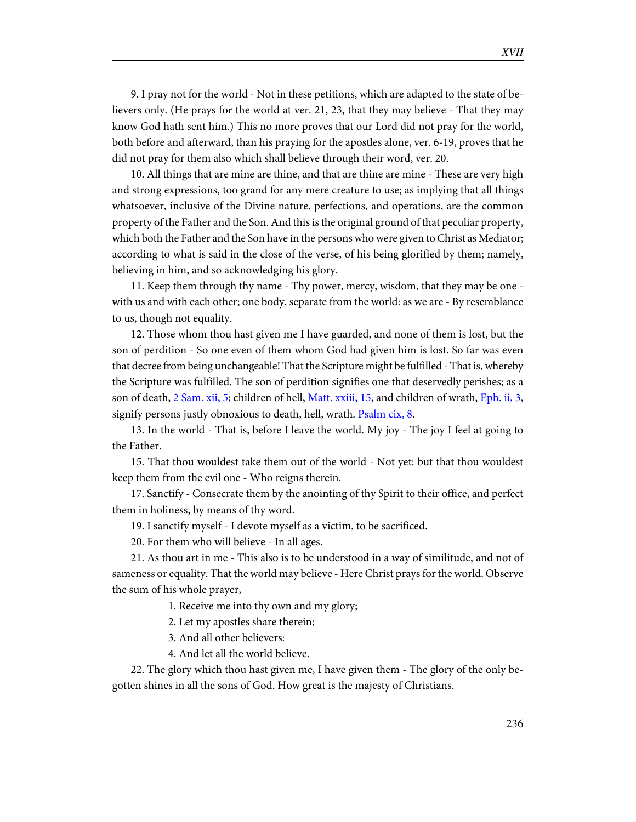9. I pray not for the world - Not in these petitions, which are adapted to the state of believers only. (He prays for the world at ver. 21, 23, that they may believe - That they may know God hath sent him.) This no more proves that our Lord did not pray for the world, both before and afterward, than his praying for the apostles alone, ver. 6-19, proves that he did not pray for them also which shall believe through their word, ver. 20.

10. All things that are mine are thine, and that are thine are mine - These are very high and strong expressions, too grand for any mere creature to use; as implying that all things whatsoever, inclusive of the Divine nature, perfections, and operations, are the common property of the Father and the Son. And this is the original ground of that peculiar property, which both the Father and the Son have in the persons who were given to Christ as Mediator; according to what is said in the close of the verse, of his being glorified by them; namely, believing in him, and so acknowledging his glory.

11. Keep them through thy name - Thy power, mercy, wisdom, that they may be one with us and with each other; one body, separate from the world: as we are - By resemblance to us, though not equality.

12. Those whom thou hast given me I have guarded, and none of them is lost, but the son of perdition - So one even of them whom God had given him is lost. So far was even that decree from being unchangeable! That the Scripture might be fulfilled - That is, whereby the Scripture was fulfilled. The son of perdition signifies one that deservedly perishes; as a son of death, [2 Sam. xii, 5;](http://www.ccel.org/study/Bible:2Sam.12.5) children of hell, [Matt. xxiii, 15](http://www.ccel.org/study/Bible:Matt.23.15), and children of wrath, [Eph. ii, 3,](http://www.ccel.org/study/Bible:Eph.2.3) signify persons justly obnoxious to death, hell, wrath. [Psalm cix, 8](http://www.ccel.org/study/Bible:Ps.109.8).

13. In the world - That is, before I leave the world. My joy - The joy I feel at going to the Father.

15. That thou wouldest take them out of the world - Not yet: but that thou wouldest keep them from the evil one - Who reigns therein.

17. Sanctify - Consecrate them by the anointing of thy Spirit to their office, and perfect them in holiness, by means of thy word.

19. I sanctify myself - I devote myself as a victim, to be sacrificed.

20. For them who will believe - In all ages.

21. As thou art in me - This also is to be understood in a way of similitude, and not of sameness or equality. That the world may believe - Here Christ prays for the world. Observe the sum of his whole prayer,

1. Receive me into thy own and my glory;

2. Let my apostles share therein;

3. And all other believers:

4. And let all the world believe.

22. The glory which thou hast given me, I have given them - The glory of the only begotten shines in all the sons of God. How great is the majesty of Christians.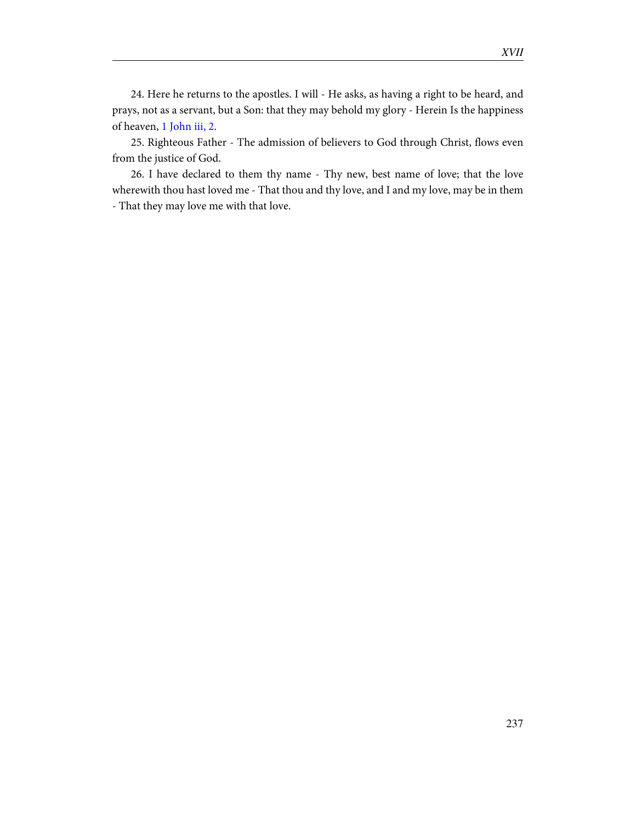24. Here he returns to the apostles. I will - He asks, as having a right to be heard, and prays, not as a servant, but a Son: that they may behold my glory - Herein Is the happiness of heaven, [1 John iii, 2](http://www.ccel.org/study/Bible:1John.3.2).

25. Righteous Father - The admission of believers to God through Christ, flows even from the justice of God.

26. I have declared to them thy name - Thy new, best name of love; that the love wherewith thou hast loved me - That thou and thy love, and I and my love, may be in them - That they may love me with that love.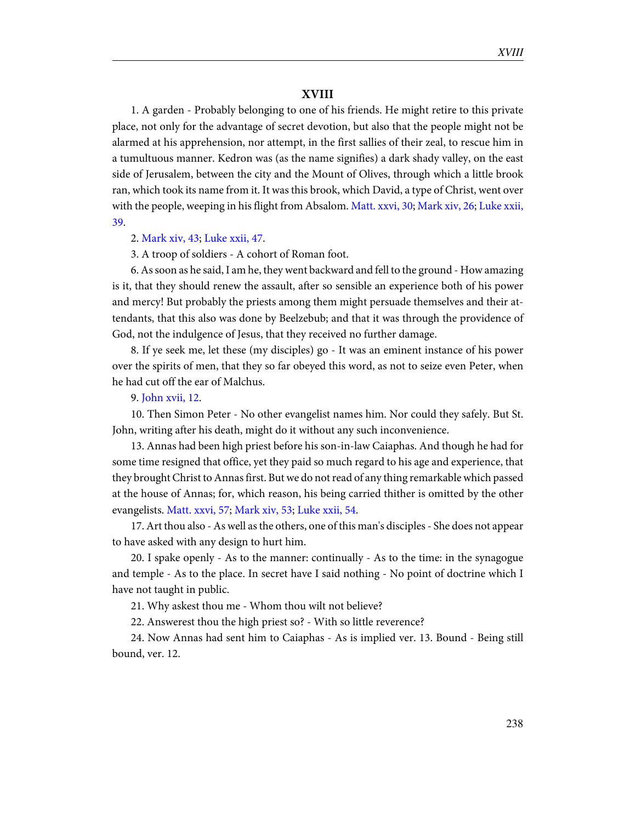#### **XVIII**

1. A garden - Probably belonging to one of his friends. He might retire to this private place, not only for the advantage of secret devotion, but also that the people might not be alarmed at his apprehension, nor attempt, in the first sallies of their zeal, to rescue him in a tumultuous manner. Kedron was (as the name signifies) a dark shady valley, on the east side of Jerusalem, between the city and the Mount of Olives, through which a little brook ran, which took its name from it. It was this brook, which David, a type of Christ, went over with the people, weeping in his flight from Absalom. [Matt. xxvi, 30;](http://www.ccel.org/study/Bible:Matt.26.30) [Mark xiv, 26;](http://www.ccel.org/study/Bible:Mark.14.26) [Luke xxii,](http://www.ccel.org/study/Bible:Luke.22.39) [39.](http://www.ccel.org/study/Bible:Luke.22.39)

#### 2. [Mark xiv, 43;](http://www.ccel.org/study/Bible:Mark.14.43) [Luke xxii, 47.](http://www.ccel.org/study/Bible:Luke.22.47)

3. A troop of soldiers - A cohort of Roman foot.

6. As soon as he said, I am he, they went backward and fell to the ground - How amazing is it, that they should renew the assault, after so sensible an experience both of his power and mercy! But probably the priests among them might persuade themselves and their attendants, that this also was done by Beelzebub; and that it was through the providence of God, not the indulgence of Jesus, that they received no further damage.

8. If ye seek me, let these (my disciples) go - It was an eminent instance of his power over the spirits of men, that they so far obeyed this word, as not to seize even Peter, when he had cut off the ear of Malchus.

9. [John xvii, 12.](http://www.ccel.org/study/Bible:John.17.12)

10. Then Simon Peter - No other evangelist names him. Nor could they safely. But St. John, writing after his death, might do it without any such inconvenience.

13. Annas had been high priest before his son-in-law Caiaphas. And though he had for some time resigned that office, yet they paid so much regard to his age and experience, that they brought Christ to Annas first. But we do not read of any thing remarkable which passed at the house of Annas; for, which reason, his being carried thither is omitted by the other evangelists. [Matt. xxvi, 57;](http://www.ccel.org/study/Bible:Matt.26.57) [Mark xiv, 53](http://www.ccel.org/study/Bible:Mark.14.53); [Luke xxii, 54.](http://www.ccel.org/study/Bible:Luke.22.54)

17. Art thou also - As well as the others, one of this man's disciples - She does not appear to have asked with any design to hurt him.

20. I spake openly - As to the manner: continually - As to the time: in the synagogue and temple - As to the place. In secret have I said nothing - No point of doctrine which I have not taught in public.

21. Why askest thou me - Whom thou wilt not believe?

22. Answerest thou the high priest so? - With so little reverence?

24. Now Annas had sent him to Caiaphas - As is implied ver. 13. Bound - Being still bound, ver. 12.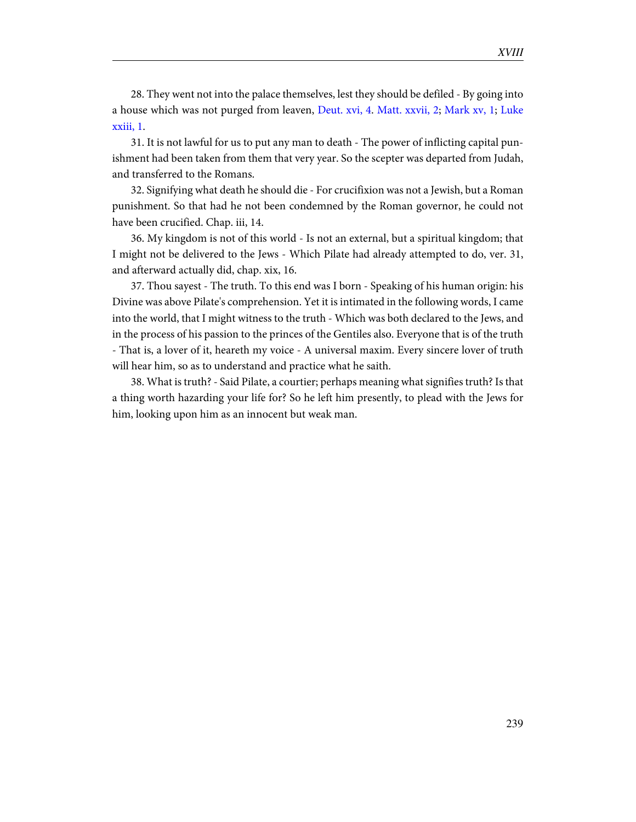28. They went not into the palace themselves, lest they should be defiled - By going into a house which was not purged from leaven, [Deut. xvi, 4.](http://www.ccel.org/study/Bible:Deut.16.4) [Matt. xxvii, 2](http://www.ccel.org/study/Bible:Matt.27.2); [Mark xv, 1](http://www.ccel.org/study/Bible:Mark.15.1); [Luke](http://www.ccel.org/study/Bible:Luke.23.1) [xxiii, 1.](http://www.ccel.org/study/Bible:Luke.23.1)

31. It is not lawful for us to put any man to death - The power of inflicting capital punishment had been taken from them that very year. So the scepter was departed from Judah, and transferred to the Romans.

32. Signifying what death he should die - For crucifixion was not a Jewish, but a Roman punishment. So that had he not been condemned by the Roman governor, he could not have been crucified. Chap. iii, 14.

36. My kingdom is not of this world - Is not an external, but a spiritual kingdom; that I might not be delivered to the Jews - Which Pilate had already attempted to do, ver. 31, and afterward actually did, chap. xix, 16.

37. Thou sayest - The truth. To this end was I born - Speaking of his human origin: his Divine was above Pilate's comprehension. Yet it is intimated in the following words, I came into the world, that I might witness to the truth - Which was both declared to the Jews, and in the process of his passion to the princes of the Gentiles also. Everyone that is of the truth - That is, a lover of it, heareth my voice - A universal maxim. Every sincere lover of truth will hear him, so as to understand and practice what he saith.

38. What is truth? - Said Pilate, a courtier; perhaps meaning what signifies truth? Is that a thing worth hazarding your life for? So he left him presently, to plead with the Jews for him, looking upon him as an innocent but weak man.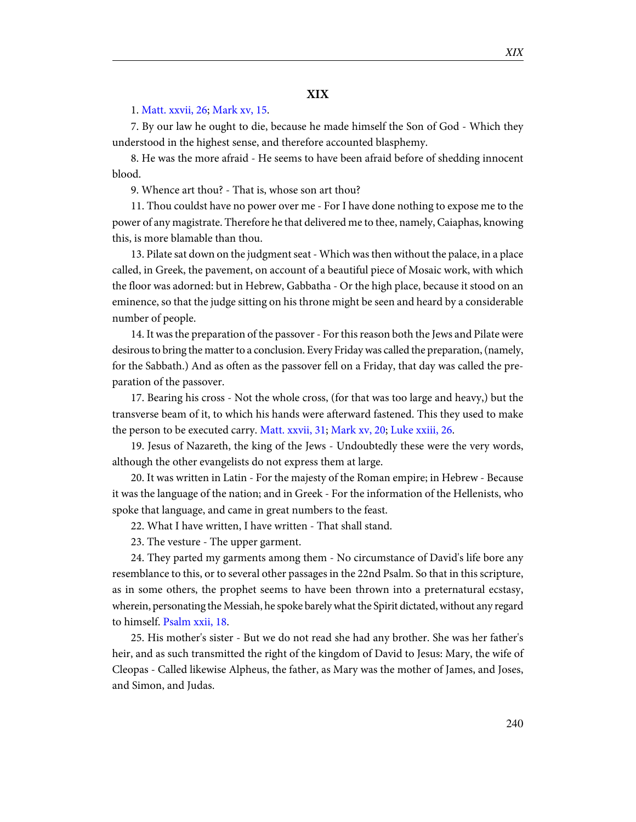**XIX**

#### 1. [Matt. xxvii, 26;](http://www.ccel.org/study/Bible:Matt.27.26) [Mark xv, 15](http://www.ccel.org/study/Bible:Mark.15.15).

7. By our law he ought to die, because he made himself the Son of God - Which they understood in the highest sense, and therefore accounted blasphemy.

8. He was the more afraid - He seems to have been afraid before of shedding innocent blood.

9. Whence art thou? - That is, whose son art thou?

11. Thou couldst have no power over me - For I have done nothing to expose me to the power of any magistrate. Therefore he that delivered me to thee, namely, Caiaphas, knowing this, is more blamable than thou.

13. Pilate sat down on the judgment seat - Which was then without the palace, in a place called, in Greek, the pavement, on account of a beautiful piece of Mosaic work, with which the floor was adorned: but in Hebrew, Gabbatha - Or the high place, because it stood on an eminence, so that the judge sitting on his throne might be seen and heard by a considerable number of people.

14. It was the preparation of the passover - For this reason both the Jews and Pilate were desirous to bring the matter to a conclusion. Every Friday was called the preparation, (namely, for the Sabbath.) And as often as the passover fell on a Friday, that day was called the preparation of the passover.

17. Bearing his cross - Not the whole cross, (for that was too large and heavy,) but the transverse beam of it, to which his hands were afterward fastened. This they used to make the person to be executed carry. [Matt. xxvii, 31;](http://www.ccel.org/study/Bible:Matt.27.31) [Mark xv, 20](http://www.ccel.org/study/Bible:Mark.15.20); [Luke xxiii, 26](http://www.ccel.org/study/Bible:Luke.23.26).

19. Jesus of Nazareth, the king of the Jews - Undoubtedly these were the very words, although the other evangelists do not express them at large.

20. It was written in Latin - For the majesty of the Roman empire; in Hebrew - Because it was the language of the nation; and in Greek - For the information of the Hellenists, who spoke that language, and came in great numbers to the feast.

22. What I have written, I have written - That shall stand.

23. The vesture - The upper garment.

24. They parted my garments among them - No circumstance of David's life bore any resemblance to this, or to several other passages in the 22nd Psalm. So that in this scripture, as in some others, the prophet seems to have been thrown into a preternatural ecstasy, wherein, personating the Messiah, he spoke barely what the Spirit dictated, without any regard to himself. [Psalm xxii, 18](http://www.ccel.org/study/Bible:Ps.22.18).

25. His mother's sister - But we do not read she had any brother. She was her father's heir, and as such transmitted the right of the kingdom of David to Jesus: Mary, the wife of Cleopas - Called likewise Alpheus, the father, as Mary was the mother of James, and Joses, and Simon, and Judas.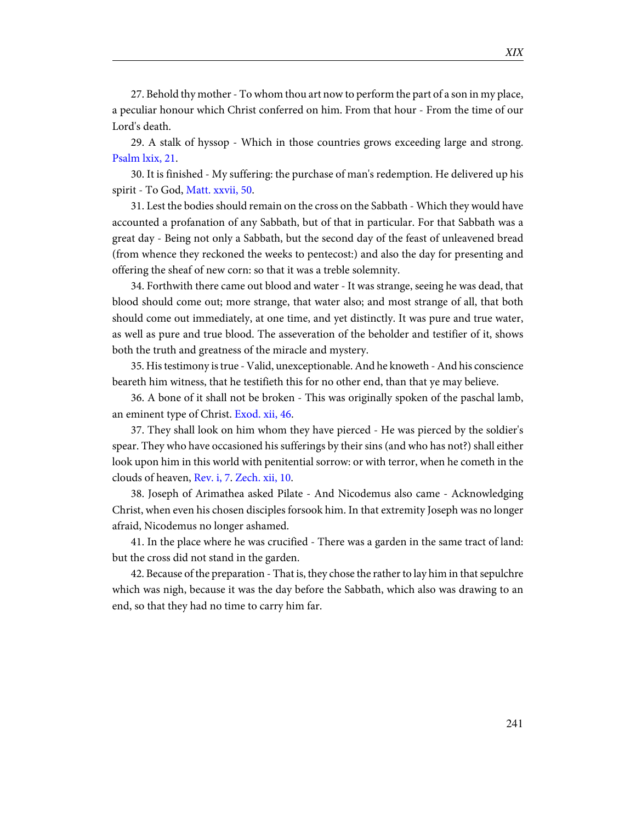27. Behold thy mother - To whom thou art now to perform the part of a son in my place, a peculiar honour which Christ conferred on him. From that hour - From the time of our Lord's death.

29. A stalk of hyssop - Which in those countries grows exceeding large and strong. [Psalm lxix, 21](http://www.ccel.org/study/Bible:Ps.69.21).

30. It is finished - My suffering: the purchase of man's redemption. He delivered up his spirit - To God, [Matt. xxvii, 50](http://www.ccel.org/study/Bible:Matt.27.50).

31. Lest the bodies should remain on the cross on the Sabbath - Which they would have accounted a profanation of any Sabbath, but of that in particular. For that Sabbath was a great day - Being not only a Sabbath, but the second day of the feast of unleavened bread (from whence they reckoned the weeks to pentecost:) and also the day for presenting and offering the sheaf of new corn: so that it was a treble solemnity.

34. Forthwith there came out blood and water - It was strange, seeing he was dead, that blood should come out; more strange, that water also; and most strange of all, that both should come out immediately, at one time, and yet distinctly. It was pure and true water, as well as pure and true blood. The asseveration of the beholder and testifier of it, shows both the truth and greatness of the miracle and mystery.

35. His testimony is true - Valid, unexceptionable. And he knoweth - And his conscience beareth him witness, that he testifieth this for no other end, than that ye may believe.

36. A bone of it shall not be broken - This was originally spoken of the paschal lamb, an eminent type of Christ. [Exod. xii, 46](http://www.ccel.org/study/Bible:Exod.12.46).

37. They shall look on him whom they have pierced - He was pierced by the soldier's spear. They who have occasioned his sufferings by their sins (and who has not?) shall either look upon him in this world with penitential sorrow: or with terror, when he cometh in the clouds of heaven, [Rev. i, 7.](http://www.ccel.org/study/Bible:Rev.1.7) [Zech. xii, 10](http://www.ccel.org/study/Bible:Zech.12.10).

38. Joseph of Arimathea asked Pilate - And Nicodemus also came - Acknowledging Christ, when even his chosen disciples forsook him. In that extremity Joseph was no longer afraid, Nicodemus no longer ashamed.

41. In the place where he was crucified - There was a garden in the same tract of land: but the cross did not stand in the garden.

42. Because of the preparation - That is, they chose the rather to lay him in that sepulchre which was nigh, because it was the day before the Sabbath, which also was drawing to an end, so that they had no time to carry him far.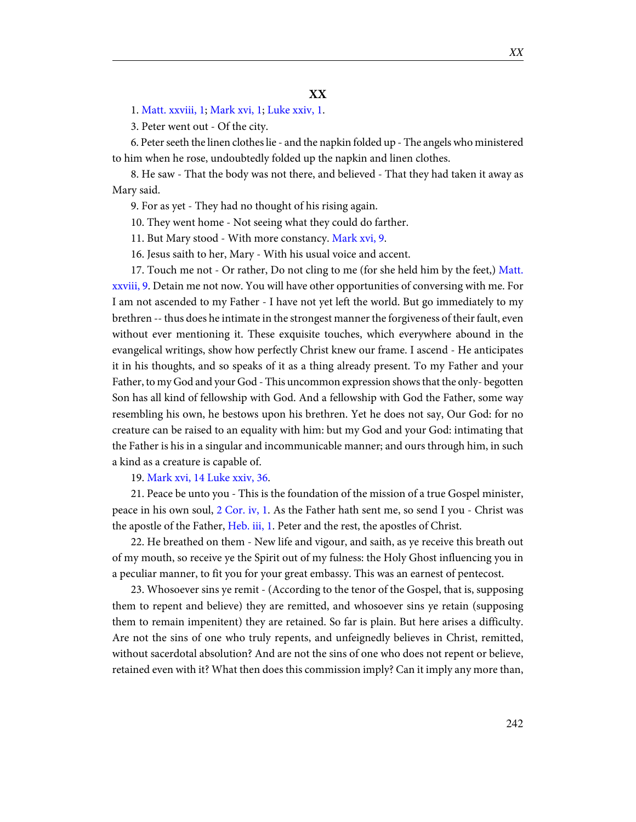### **XX**

1. [Matt. xxviii, 1](http://www.ccel.org/study/Bible:Matt.28.1); [Mark xvi, 1](http://www.ccel.org/study/Bible:Mark.16.1); [Luke xxiv, 1](http://www.ccel.org/study/Bible:Luke.24.1).

3. Peter went out - Of the city.

6. Peter seeth the linen clothes lie - and the napkin folded up - The angels who ministered to him when he rose, undoubtedly folded up the napkin and linen clothes.

8. He saw - That the body was not there, and believed - That they had taken it away as Mary said.

9. For as yet - They had no thought of his rising again.

10. They went home - Not seeing what they could do farther.

11. But Mary stood - With more constancy. [Mark xvi, 9.](http://www.ccel.org/study/Bible:Mark.16.9)

16. Jesus saith to her, Mary - With his usual voice and accent.

17. Touch me not - Or rather, Do not cling to me (for she held him by the feet,) [Matt.](http://www.ccel.org/study/Bible:Matt.28.9) [xxviii, 9](http://www.ccel.org/study/Bible:Matt.28.9). Detain me not now. You will have other opportunities of conversing with me. For I am not ascended to my Father - I have not yet left the world. But go immediately to my brethren -- thus does he intimate in the strongest manner the forgiveness of their fault, even without ever mentioning it. These exquisite touches, which everywhere abound in the evangelical writings, show how perfectly Christ knew our frame. I ascend - He anticipates it in his thoughts, and so speaks of it as a thing already present. To my Father and your Father, to my God and your God - This uncommon expression shows that the only- begotten Son has all kind of fellowship with God. And a fellowship with God the Father, some way resembling his own, he bestows upon his brethren. Yet he does not say, Our God: for no creature can be raised to an equality with him: but my God and your God: intimating that the Father is his in a singular and incommunicable manner; and ours through him, in such a kind as a creature is capable of.

19. [Mark xvi, 14](http://www.ccel.org/study/Bible:Mark.16.14) [Luke xxiv, 36.](http://www.ccel.org/study/Bible:Luke.24.36)

21. Peace be unto you - This is the foundation of the mission of a true Gospel minister, peace in his own soul, [2 Cor. iv, 1.](http://www.ccel.org/study/Bible:2Cor.4.1) As the Father hath sent me, so send I you - Christ was the apostle of the Father, [Heb. iii, 1](http://www.ccel.org/study/Bible:Heb.3.1). Peter and the rest, the apostles of Christ.

22. He breathed on them - New life and vigour, and saith, as ye receive this breath out of my mouth, so receive ye the Spirit out of my fulness: the Holy Ghost influencing you in a peculiar manner, to fit you for your great embassy. This was an earnest of pentecost.

23. Whosoever sins ye remit - (According to the tenor of the Gospel, that is, supposing them to repent and believe) they are remitted, and whosoever sins ye retain (supposing them to remain impenitent) they are retained. So far is plain. But here arises a difficulty. Are not the sins of one who truly repents, and unfeignedly believes in Christ, remitted, without sacerdotal absolution? And are not the sins of one who does not repent or believe, retained even with it? What then does this commission imply? Can it imply any more than,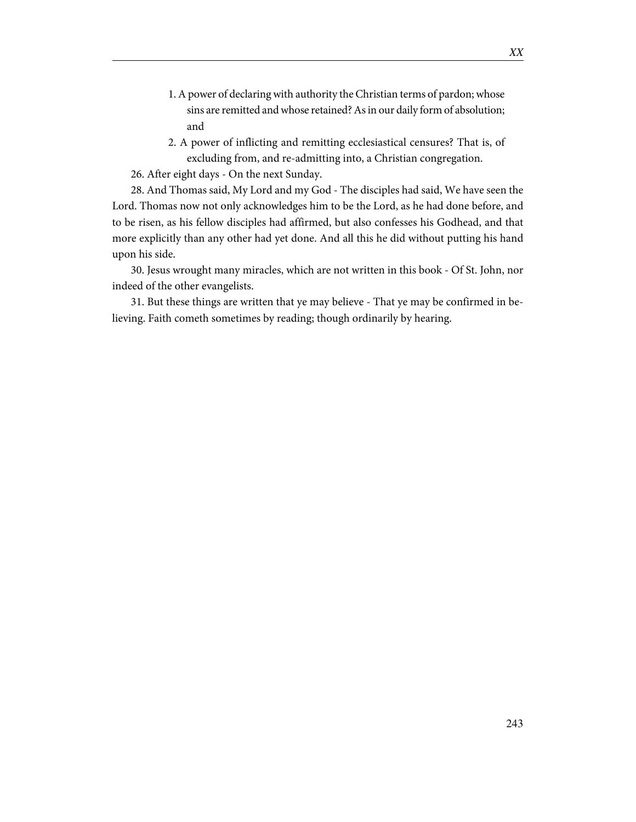- 1. A power of declaring with authority the Christian terms of pardon; whose sins are remitted and whose retained? As in our daily form of absolution; and
- 2. A power of inflicting and remitting ecclesiastical censures? That is, of excluding from, and re-admitting into, a Christian congregation.

26. After eight days - On the next Sunday.

28. And Thomas said, My Lord and my God - The disciples had said, We have seen the Lord. Thomas now not only acknowledges him to be the Lord, as he had done before, and to be risen, as his fellow disciples had affirmed, but also confesses his Godhead, and that more explicitly than any other had yet done. And all this he did without putting his hand upon his side.

30. Jesus wrought many miracles, which are not written in this book - Of St. John, nor indeed of the other evangelists.

31. But these things are written that ye may believe - That ye may be confirmed in believing. Faith cometh sometimes by reading; though ordinarily by hearing.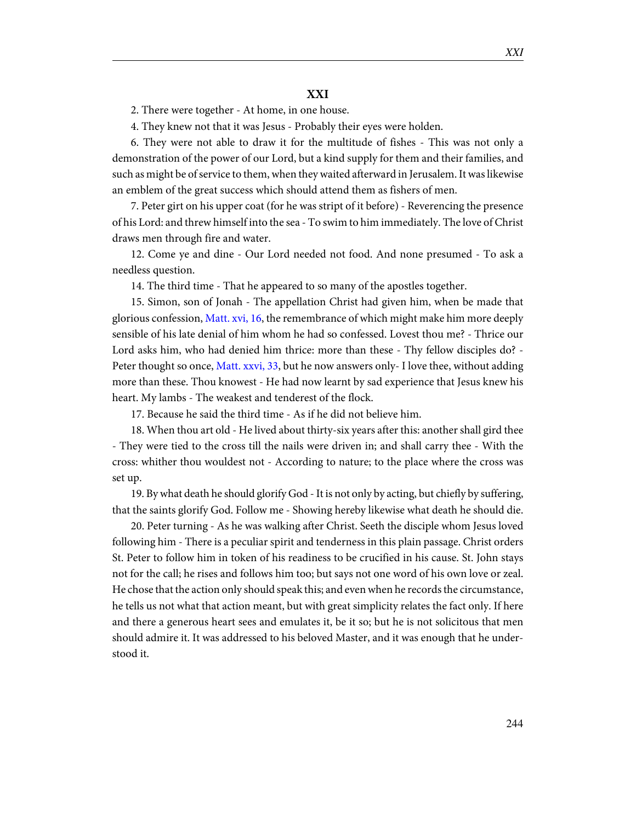## **XXI**

2. There were together - At home, in one house.

4. They knew not that it was Jesus - Probably their eyes were holden.

6. They were not able to draw it for the multitude of fishes - This was not only a demonstration of the power of our Lord, but a kind supply for them and their families, and such as might be of service to them, when they waited afterward in Jerusalem. It was likewise an emblem of the great success which should attend them as fishers of men.

7. Peter girt on his upper coat (for he was stript of it before) - Reverencing the presence of his Lord: and threw himself into the sea - To swim to him immediately. The love of Christ draws men through fire and water.

12. Come ye and dine - Our Lord needed not food. And none presumed - To ask a needless question.

14. The third time - That he appeared to so many of the apostles together.

15. Simon, son of Jonah - The appellation Christ had given him, when be made that glorious confession, [Matt. xvi, 16,](http://www.ccel.org/study/Bible:Matt.16.16) the remembrance of which might make him more deeply sensible of his late denial of him whom he had so confessed. Lovest thou me? - Thrice our Lord asks him, who had denied him thrice: more than these - Thy fellow disciples do? - Peter thought so once, [Matt. xxvi, 33,](http://www.ccel.org/study/Bible:Matt.26.33) but he now answers only- I love thee, without adding more than these. Thou knowest - He had now learnt by sad experience that Jesus knew his heart. My lambs - The weakest and tenderest of the flock.

17. Because he said the third time - As if he did not believe him.

18. When thou art old - He lived about thirty-six years after this: another shall gird thee - They were tied to the cross till the nails were driven in; and shall carry thee - With the cross: whither thou wouldest not - According to nature; to the place where the cross was set up.

19. By what death he should glorify God - It is not only by acting, but chiefly by suffering, that the saints glorify God. Follow me - Showing hereby likewise what death he should die.

20. Peter turning - As he was walking after Christ. Seeth the disciple whom Jesus loved following him - There is a peculiar spirit and tenderness in this plain passage. Christ orders St. Peter to follow him in token of his readiness to be crucified in his cause. St. John stays not for the call; he rises and follows him too; but says not one word of his own love or zeal. He chose that the action only should speak this; and even when he records the circumstance, he tells us not what that action meant, but with great simplicity relates the fact only. If here and there a generous heart sees and emulates it, be it so; but he is not solicitous that men should admire it. It was addressed to his beloved Master, and it was enough that he understood it.